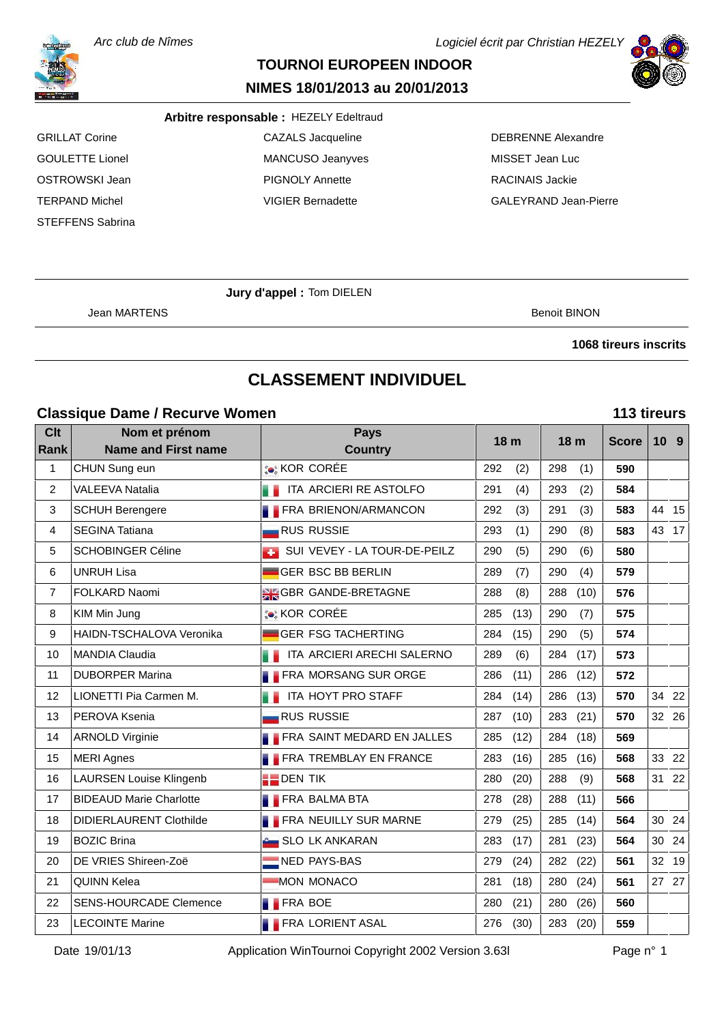Arc club de Nîmes

# **TOURNOI EUROPEEN INDOOR**

#### **NIMES 18/01/2013 au 20/01/2013**

#### **Arbitre responsable :** HEZELY Edeltraud

STEFFENS Sabrina

GRILLAT Corine **CAZALS Jacqueline** CAZALS Jacqueline **CAZALS** Jacqueline **CAZALS** Jacqueline GOULETTE Lionel **MANCUSO** Jeanyves MISSET Jean Luc OSTROWSKI Jean PIGNOLY Annette RACINAIS Jackie

TERPAND Michel VIGIER Bernadette GALEYRAND Jean-Pierre

Logiciel écrit par Christian HEZELY

**Jury d'appel :** Tom DIELEN

Jean MARTENS Benoit BINON

#### **1068 tireurs inscrits**

# **CLASSEMENT INDIVIDUEL**

#### **Classique Dame / Recurve Women 113 tireurs**

| <b>Clt</b><br><b>Rank</b> | Nom et prénom<br><b>Name and First name</b> | <b>Pays</b><br><b>Country</b>  | 18 <sub>m</sub> | 18 <sub>m</sub> | <b>Score</b> |       | 10 <sub>9</sub> |
|---------------------------|---------------------------------------------|--------------------------------|-----------------|-----------------|--------------|-------|-----------------|
| $\mathbf{1}$              | CHUN Sung eun                               | <b>COR CORÉE</b>               | 292<br>(2)      | 298<br>(1)      | 590          |       |                 |
| 2                         | <b>VALEEVA Natalia</b>                      | ITA ARCIERI RE ASTOLFO         | 291<br>(4)      | 293<br>(2)      | 584          |       |                 |
| 3                         | <b>SCHUH Berengere</b>                      | <b>FRA BRIENON/ARMANCON</b>    | 292<br>(3)      | 291<br>(3)      | 583          |       | 44 15           |
| 4                         | <b>SEGINA Tatiana</b>                       | <b>RUS RUSSIE</b>              | 293<br>(1)      | 290<br>(8)      | 583          |       | 43 17           |
| 5                         | SCHOBINGER Céline                           | SUI VEVEY - LA TOUR-DE-PEILZ   | 290<br>(5)      | 290<br>(6)      | 580          |       |                 |
| 6                         | <b>UNRUH Lisa</b>                           | <b>GER BSC BB BERLIN</b>       | 289<br>(7)      | 290<br>(4)      | 579          |       |                 |
| $\overline{7}$            | FOLKARD Naomi                               | <b>SK GBR GANDE-BRETAGNE</b>   | 288<br>(8)      | 288<br>(10)     | 576          |       |                 |
| 8                         | KIM Min Jung                                | <b>C</b> KOR CORÉE             | 285<br>(13)     | 290<br>(7)      | 575          |       |                 |
| 9                         | HAIDN-TSCHALOVA Veronika                    | <b>GER FSG TACHERTING</b>      | 284<br>(15)     | 290<br>(5)      | 574          |       |                 |
| 10                        | <b>MANDIA Claudia</b>                       | ITA ARCIERI ARECHI SALERNO     | 289<br>(6)      | 284<br>(17)     | 573          |       |                 |
| 11                        | <b>DUBORPER Marina</b>                      | <b>FRA MORSANG SUR ORGE</b>    | 286<br>(11)     | 286<br>(12)     | 572          |       |                 |
| 12                        | LIONETTI Pia Carmen M.                      | ITA HOYT PRO STAFF             | 284<br>(14)     | 286<br>(13)     | 570          |       | 34 22           |
| 13                        | PEROVA Ksenia                               | <b>RUS RUSSIE</b>              | 287<br>(10)     | 283<br>(21)     | 570          |       | 32 26           |
| 14                        | <b>ARNOLD Virginie</b>                      | FRA SAINT MEDARD EN JALLES     | 285<br>(12)     | 284<br>(18)     | 569          |       |                 |
| 15                        | <b>MERI Agnes</b>                           | <b>FRA TREMBLAY EN FRANCE</b>  | 283<br>(16)     | 285<br>(16)     | 568          |       | 33 22           |
| 16                        | <b>LAURSEN Louise Klingenb</b>              | $\blacksquare$ DEN TIK         | 280<br>(20)     | 288<br>(9)      | 568          |       | 31 22           |
| 17                        | <b>BIDEAUD Marie Charlotte</b>              | <b>FRA BALMA BTA</b>           | 278<br>(28)     | 288<br>(11)     | 566          |       |                 |
| 18                        | <b>DIDIERLAURENT Clothilde</b>              | <b>FRA NEUILLY SUR MARNE</b>   | 279<br>(25)     | 285<br>(14)     | 564          | 30 24 |                 |
| 19                        | <b>BOZIC Brina</b>                          | <b>Computer SLO LK ANKARAN</b> | 283<br>(17)     | 281<br>(23)     | 564          |       | 30 24           |
| 20                        | DE VRIES Shireen-Zoë                        | NED PAYS-BAS                   | 279<br>(24)     | 282<br>(22)     | 561          | 32    | 19              |
| 21                        | <b>QUINN Kelea</b>                          | <b>MON MONACO</b>              | 281<br>(18)     | 280<br>(24)     | 561          |       | 27 27           |
| 22                        | <b>SENS-HOURCADE Clemence</b>               | <b>FRA BOE</b>                 | 280<br>(21)     | 280<br>(26)     | 560          |       |                 |
| 23                        | <b>LECOINTE Marine</b>                      | <b>FRA LORIENT ASAL</b>        | 276<br>(30)     | 283<br>(20)     | 559          |       |                 |



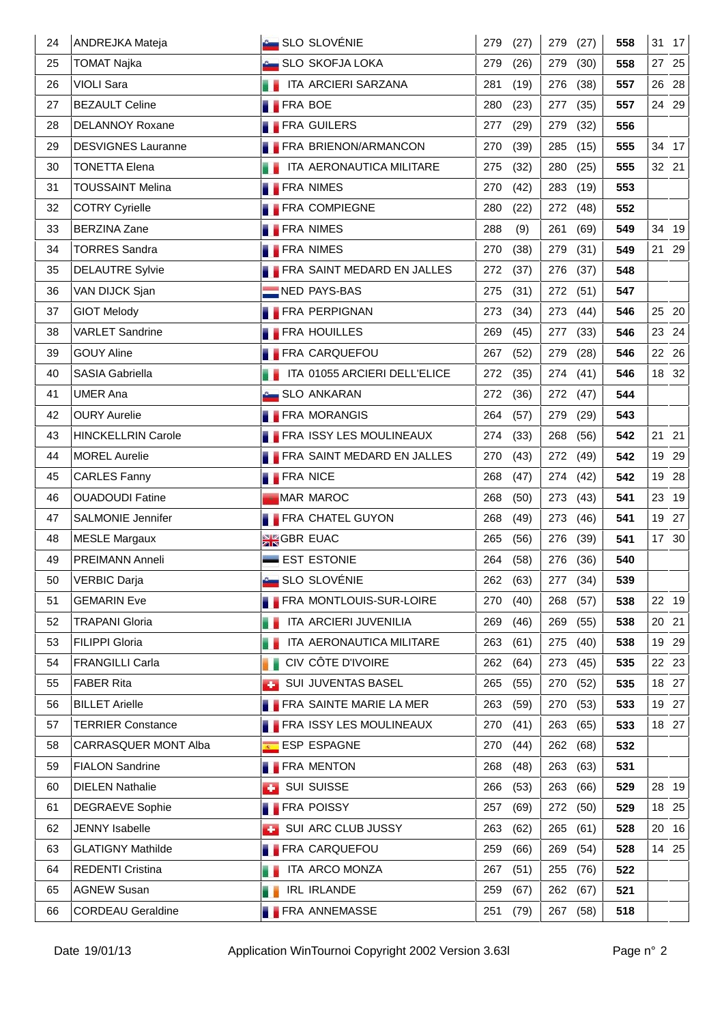| 24 | ANDREJKA Mateja           | <b>SLO SLOVÉNIE</b>                 | 279<br>(27) | 279<br>(27) | 558 | 31 17    |
|----|---------------------------|-------------------------------------|-------------|-------------|-----|----------|
| 25 | <b>TOMAT Najka</b>        | <b>SLO SKOFJA LOKA</b>              | 279<br>(26) | 279<br>(30) | 558 | 27<br>25 |
| 26 | <b>VIOLI Sara</b>         | ITA ARCIERI SARZANA                 | 281<br>(19) | 276<br>(38) | 557 | 26 28    |
| 27 | <b>BEZAULT Celine</b>     | <b>FRA BOE</b>                      | 280<br>(23) | (35)<br>277 | 557 | 24 29    |
| 28 | <b>DELANNOY Roxane</b>    | <b>FRA GUILERS</b>                  | 277<br>(29) | 279<br>(32) | 556 |          |
| 29 | <b>DESVIGNES Lauranne</b> | <b>FRA BRIENON/ARMANCON</b>         | 270<br>(39) | 285<br>(15) | 555 | 34 17    |
| 30 | <b>TONETTA Elena</b>      | <b>THE ITA AERONAUTICA MILITARE</b> | 275<br>(32) | 280<br>(25) | 555 | 32 21    |
| 31 | <b>TOUSSAINT Melina</b>   | <b>FRA NIMES</b>                    | 270<br>(42) | (19)<br>283 | 553 |          |
| 32 | <b>COTRY Cyrielle</b>     | <b>FRA COMPIEGNE</b>                | 280<br>(22) | 272<br>(48) | 552 |          |
| 33 | <b>BERZINA Zane</b>       | <b>FRA NIMES</b>                    | 288<br>(9)  | (69)<br>261 | 549 | 34<br>19 |
| 34 | <b>TORRES Sandra</b>      | <b>FRA NIMES</b>                    | 270<br>(38) | 279<br>(31) | 549 | 21 29    |
| 35 | <b>DELAUTRE Sylvie</b>    | <b>FRA SAINT MEDARD EN JALLES</b>   | 272<br>(37) | 276<br>(37) | 548 |          |
| 36 | VAN DIJCK Sjan            | NED PAYS-BAS                        | 275<br>(31) | 272 (51)    | 547 |          |
| 37 | <b>GIOT Melody</b>        | <b>FRA PERPIGNAN</b>                | 273<br>(34) | 273 (44)    | 546 | 25 20    |
| 38 | <b>VARLET Sandrine</b>    | <b>FRA HOUILLES</b>                 | 269<br>(45) | 277<br>(33) | 546 | 23 24    |
| 39 | <b>GOUY Aline</b>         | <b>FRA CARQUEFOU</b>                | 267<br>(52) | (28)<br>279 | 546 | 22 26    |
| 40 | <b>SASIA Gabriella</b>    | ITA 01055 ARCIERI DELL'ELICE        | 272<br>(35) | (41)<br>274 | 546 | 18 32    |
| 41 | <b>UMER Ana</b>           | <b>Company SLO ANKARAN</b>          | 272<br>(36) | 272 (47)    | 544 |          |
| 42 | <b>OURY Aurelie</b>       | <b>FRA MORANGIS</b>                 | 264<br>(57) | 279<br>(29) | 543 |          |
| 43 | <b>HINCKELLRIN Carole</b> | <b>FRA ISSY LES MOULINEAUX</b>      | 274<br>(33) | (56)<br>268 | 542 | 21 21    |
| 44 | <b>MOREL Aurelie</b>      | <b>FRA SAINT MEDARD EN JALLES</b>   | 270<br>(43) | 272<br>(49) | 542 | 19 29    |
| 45 | <b>CARLES Fanny</b>       | <b>FRA NICE</b>                     | 268<br>(47) | 274 (42)    | 542 | 19 28    |
| 46 | <b>OUADOUDI Fatine</b>    | <b>MAR MAROC</b>                    | 268<br>(50) | (43)<br>273 | 541 | 23 19    |
| 47 | <b>SALMONIE Jennifer</b>  | <b>FRA CHATEL GUYON</b>             | 268<br>(49) | 273<br>(46) | 541 | 19 27    |
| 48 | <b>MESLE Margaux</b>      | <b>AK</b> GBR EUAC                  | 265<br>(56) | 276<br>(39) | 541 | 17 30    |
| 49 | PREIMANN Anneli           | <b>EST ESTONIE</b>                  | 264<br>(58) | 276 (36)    | 540 |          |
| 50 | VERBIC Darja              | <b>C</b> SLO SLOVÉNIE               | 262 (63)    | 277 (34)    | 539 |          |
| 51 | <b>GEMARIN Eve</b>        | FRA MONTLOUIS-SUR-LOIRE             | 270<br>(40) | 268<br>(57) | 538 | 22 19    |
| 52 | <b>TRAPANI Gloria</b>     | ITA ARCIERI JUVENILIA               | 269<br>(46) | (55)<br>269 | 538 | 20 21    |
| 53 | <b>FILIPPI Gloria</b>     | ITA AERONAUTICA MILITARE<br>H.      | 263<br>(61) | 275<br>(40) | 538 | 19 29    |
| 54 | <b>FRANGILLI Carla</b>    | CIV CÔTE D'IVOIRE                   | 262<br>(64) | 273<br>(45) | 535 | 22 23    |
| 55 | <b>FABER Rita</b>         | SUI JUVENTAS BASEL<br><b>A</b>      | (55)<br>265 | 270<br>(52) | 535 | 18 27    |
| 56 | <b>BILLET Arielle</b>     | <b>FRA SAINTE MARIE LA MER</b>      | 263<br>(59) | 270<br>(53) | 533 | 19 27    |
| 57 | <b>TERRIER Constance</b>  | <b>FRA ISSY LES MOULINEAUX</b>      | 270<br>(41) | 263<br>(65) | 533 | 18 27    |
| 58 | CARRASQUER MONT Alba      | ESP ESPAGNE                         | (44)<br>270 | 262<br>(68) | 532 |          |
| 59 | <b>FIALON Sandrine</b>    | <b>FRA MENTON</b>                   | 268<br>(48) | 263<br>(63) | 531 |          |
| 60 | <b>DIELEN Nathalie</b>    | <b>SUI SUISSE</b><br>æ.             | 266<br>(53) | 263<br>(66) | 529 | 28 19    |
| 61 | <b>DEGRAEVE Sophie</b>    | <b>FRA POISSY</b>                   | 257<br>(69) | (50)<br>272 | 529 | 18 25    |
| 62 | <b>JENNY</b> Isabelle     | SUI ARC CLUB JUSSY<br><b>COL</b>    | 263<br>(62) | 265<br>(61) | 528 | 16<br>20 |
| 63 | <b>GLATIGNY Mathilde</b>  | <b>FRA CARQUEFOU</b>                | 259<br>(66) | 269<br>(54) | 528 | 14 25    |
| 64 | REDENTI Cristina          | ITA ARCO MONZA                      | 267<br>(51) | 255<br>(76) | 522 |          |
| 65 | <b>AGNEW Susan</b>        | <b>IRL IRLANDE</b><br>. .           | 259<br>(67) | 262<br>(67) | 521 |          |
| 66 | <b>CORDEAU Geraldine</b>  | <b>FRA ANNEMASSE</b>                | 251<br>(79) | 267 (58)    | 518 |          |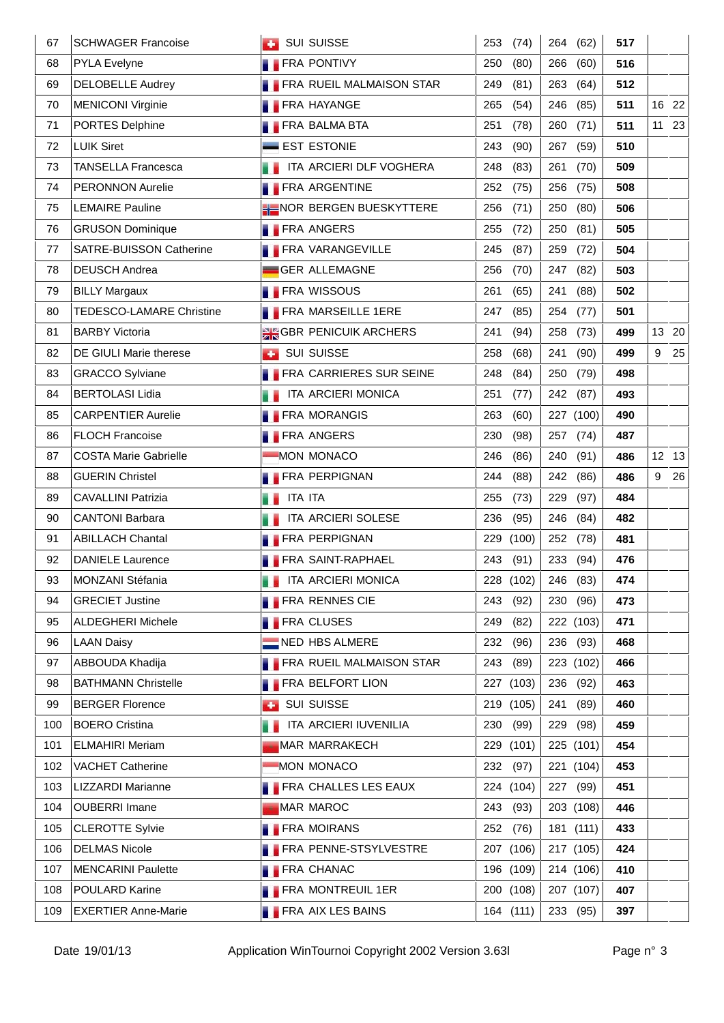| 67  | <b>SCHWAGER Francoise</b>    | <b>BUI SUISSE</b>                  | 253<br>(74) | 264<br>(62)        | 517 |       |       |
|-----|------------------------------|------------------------------------|-------------|--------------------|-----|-------|-------|
| 68  | PYLA Evelyne                 | <b>FRA PONTIVY</b>                 | 250<br>(80) | 266<br>(60)        | 516 |       |       |
| 69  | <b>DELOBELLE Audrey</b>      | <b>FRA RUEIL MALMAISON STAR</b>    | 249<br>(81) | 263<br>(64)        | 512 |       |       |
| 70  | <b>MENICONI Virginie</b>     | <b>FRA HAYANGE</b>                 | 265<br>(54) | 246<br>(85)        | 511 | 16 22 |       |
| 71  | PORTES Delphine              | <b>FRA BALMA BTA</b>               | 251<br>(78) | 260<br>(71)        | 511 |       | 11 23 |
| 72  | <b>LUIK Siret</b>            | <b>EST ESTONIE</b>                 | 243<br>(90) | 267<br>(59)        | 510 |       |       |
| 73  | <b>TANSELLA Francesca</b>    | <b>THE ITA ARCIERI DLF VOGHERA</b> | 248<br>(83) | 261<br>(70)        | 509 |       |       |
| 74  | <b>PERONNON Aurelie</b>      | <b>FRA ARGENTINE</b>               | 252<br>(75) | (75)<br>256        | 508 |       |       |
| 75  | <b>LEMAIRE Pauline</b>       | <b>HE NOR BERGEN BUESKYTTERE</b>   | 256<br>(71) | 250<br>(80)        | 506 |       |       |
| 76  | <b>GRUSON Dominique</b>      | <b>FRA ANGERS</b>                  | 255<br>(72) | 250<br>(81)        | 505 |       |       |
| 77  | SATRE-BUISSON Catherine      | <b>FRA VARANGEVILLE</b>            | 245<br>(87) | 259<br>(72)        | 504 |       |       |
| 78  | <b>DEUSCH Andrea</b>         | <b>GER ALLEMAGNE</b>               | 256<br>(70) | 247<br>(82)        | 503 |       |       |
| 79  | <b>BILLY Margaux</b>         | <b>FRA WISSOUS</b>                 | 261<br>(65) | 241<br>(88)        | 502 |       |       |
| 80  | TEDESCO-LAMARE Christine     | <b>FRA MARSEILLE 1ERE</b>          | 247<br>(85) | (77)<br>254        | 501 |       |       |
| 81  | <b>BARBY Victoria</b>        | <b>SK GBR PENICUIK ARCHERS</b>     | 241<br>(94) | 258<br>(73)        | 499 |       | 13 20 |
| 82  | DE GIULI Marie therese       | <b>BET SUI SUISSE</b>              | 258<br>(68) | 241<br>(90)        | 499 | 9     | 25    |
| 83  | <b>GRACCO Sylviane</b>       | FRA CARRIERES SUR SEINE            | 248<br>(84) | (79)<br>250        | 498 |       |       |
| 84  | <b>BERTOLASI Lidia</b>       | ITA ARCIERI MONICA                 | 251<br>(77) | (87)<br>242        | 493 |       |       |
| 85  | <b>CARPENTIER Aurelie</b>    | <b>FRA MORANGIS</b>                | 263<br>(60) | 227 (100)          | 490 |       |       |
| 86  | <b>FLOCH Francoise</b>       | <b>FRA ANGERS</b>                  | 230<br>(98) | 257 (74)           | 487 |       |       |
| 87  | <b>COSTA Marie Gabrielle</b> | MON MONACO                         | 246<br>(86) | 240<br>(91)        | 486 |       | 12 13 |
| 88  | <b>GUERIN Christel</b>       | <b>FRA PERPIGNAN</b>               | 244<br>(88) | 242 (86)           | 486 | 9     | 26    |
| 89  | <b>CAVALLINI Patrizia</b>    | <b>ITA ITA</b>                     | 255<br>(73) | 229<br>(97)        | 484 |       |       |
| 90  | <b>CANTONI Barbara</b>       | ITA ARCIERI SOLESE                 | 236<br>(95) | 246<br>(84)        | 482 |       |       |
| 91  | <b>ABILLACH Chantal</b>      | <b>FRA PERPIGNAN</b>               | 229 (100)   | 252 (78)           | 481 |       |       |
| 92  | <b>DANIELE Laurence</b>      | <b>FRA SAINT-RAPHAEL</b>           | 243 (91)    | 233 (94)           | 476 |       |       |
| 93  | MONZANI Stéfania             | <b>THE ITA ARCIERI MONICA</b>      |             | 228 (102) 246 (83) | 474 |       |       |
| 94  | <b>GRECIET Justine</b>       | FRA RENNES CIE                     | 243<br>(92) | 230 (96)           | 473 |       |       |
| 95  | <b>ALDEGHERI Michele</b>     | <b>FRA CLUSES</b>                  | 249<br>(82) | 222 (103)          | 471 |       |       |
| 96  | <b>LAAN Daisy</b>            | NED HBS ALMERE                     | 232<br>(96) | 236<br>(93)        | 468 |       |       |
| 97  | ABBOUDA Khadija              | <b>FRA RUEIL MALMAISON STAR</b>    | 243<br>(89) | 223 (102)          | 466 |       |       |
| 98  | <b>BATHMANN Christelle</b>   | <b>FRA BELFORT LION</b>            | 227 (103)   | 236 (92)           | 463 |       |       |
| 99  | <b>BERGER Florence</b>       | <b>SUI SUISSE</b><br><b>A</b>      | 219 (105)   | 241<br>(89)        | 460 |       |       |
| 100 | <b>BOERO Cristina</b>        | ITA ARCIERI IUVENILIA              | 230<br>(99) | 229<br>(98)        | 459 |       |       |
| 101 | <b>ELMAHIRI Meriam</b>       | <b>MAR MARRAKECH</b>               | 229 (101)   | 225 (101)          | 454 |       |       |
| 102 | <b>VACHET Catherine</b>      | MON MONACO                         | 232<br>(97) | 221 (104)          | 453 |       |       |
| 103 | LIZZARDI Marianne            | <b>FRA CHALLES LES EAUX</b>        | 224 (104)   | 227 (99)           | 451 |       |       |
| 104 | <b>OUBERRI Imane</b>         | <b>MAR MAROC</b>                   | 243 (93)    | 203 (108)          | 446 |       |       |
| 105 | <b>CLEROTTE Sylvie</b>       | <b>FRA MOIRANS</b>                 | (76)<br>252 | 181 (111)          | 433 |       |       |
| 106 | <b>DELMAS Nicole</b>         | <b>FRA PENNE-STSYLVESTRE</b>       | 207 (106)   | 217 (105)          | 424 |       |       |
| 107 | <b>MENCARINI Paulette</b>    | <b>FRA CHANAC</b>                  | 196 (109)   | 214 (106)          | 410 |       |       |
| 108 | POULARD Karine               | <b>FRA MONTREUIL 1ER</b>           | 200 (108)   | 207 (107)          | 407 |       |       |
| 109 | <b>EXERTIER Anne-Marie</b>   | <b>FRA AIX LES BAINS</b>           | 164 (111)   | 233 (95)           | 397 |       |       |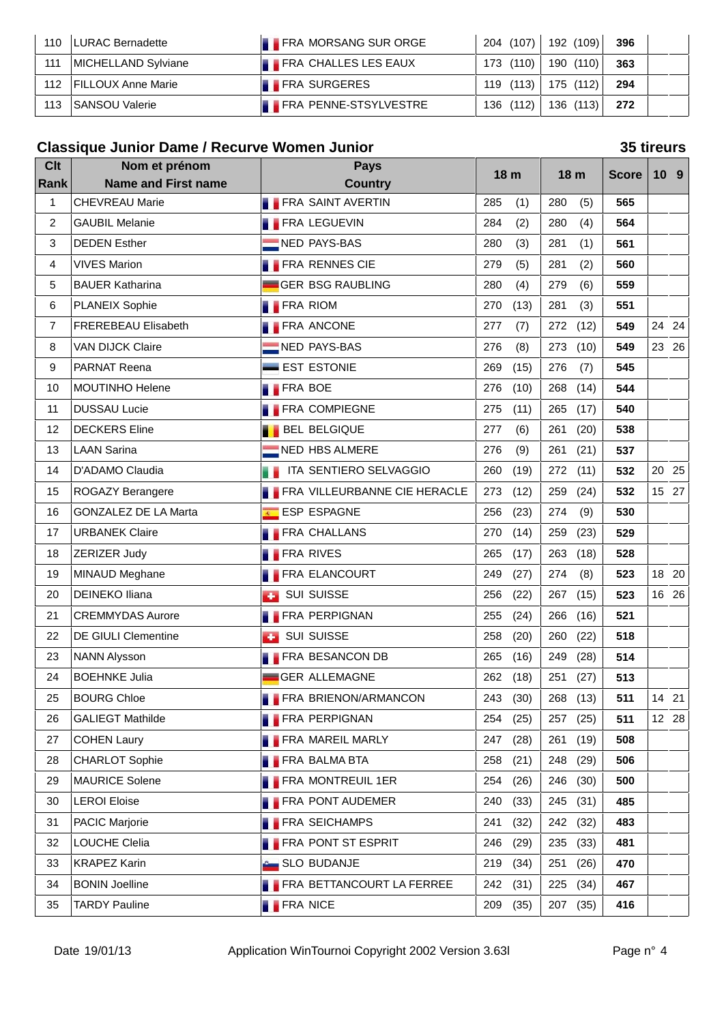| 110 | LURAC Bernadette          | <b>FRA MORSANG SUR ORGE</b>  | 204 (107) | 192 (109) | - 396 |  |
|-----|---------------------------|------------------------------|-----------|-----------|-------|--|
| 111 | MICHELLAND Sylviane       | <b>FRA CHALLES LES EAUX</b>  | 173 (110) | 190 (110) | 363   |  |
| 112 | <b>FILLOUX Anne Marie</b> | <b>FRA SURGERES</b>          | 119 (113) | 175 (112) | 294   |  |
| 113 | SANSOU Valerie            | <b>FRA PENNE-STSYLVESTRE</b> | 136 (112) | 136 (113) | 272   |  |

# **Classique Junior Dame / Recurve Women Junior 35 tireurs**

| <b>Clt</b>     | Nom et prénom               |                  | <b>Pays</b>                         |     | 18 <sub>m</sub> |     | 18 <sub>m</sub> | <b>Score</b> |    | 10 <sub>9</sub> |
|----------------|-----------------------------|------------------|-------------------------------------|-----|-----------------|-----|-----------------|--------------|----|-----------------|
| Rank           | <b>Name and First name</b>  |                  | <b>Country</b>                      |     |                 |     |                 |              |    |                 |
| 1              | <b>CHEVREAU Marie</b>       |                  | <b>FRA SAINT AVERTIN</b>            | 285 | (1)             | 280 | (5)             | 565          |    |                 |
| 2              | <b>GAUBIL Melanie</b>       |                  | <b>FRA LEGUEVIN</b>                 | 284 | (2)             | 280 | (4)             | 564          |    |                 |
| 3              | <b>DEDEN Esther</b>         |                  | NED PAYS-BAS                        | 280 | (3)             | 281 | (1)             | 561          |    |                 |
| 4              | <b>VIVES Marion</b>         |                  | <b>FRA RENNES CIE</b>               | 279 | (5)             | 281 | (2)             | 560          |    |                 |
| 5              | <b>BAUER Katharina</b>      |                  | <b>GER BSG RAUBLING</b>             | 280 | (4)             | 279 | (6)             | 559          |    |                 |
| 6              | <b>PLANEIX Sophie</b>       | <b>FRA RIOM</b>  |                                     | 270 | (13)            | 281 | (3)             | 551          |    |                 |
| $\overline{7}$ | <b>FREREBEAU Elisabeth</b>  |                  | <b>FRA ANCONE</b>                   | 277 | (7)             | 272 | (12)            | 549          |    | 24 24           |
| 8              | <b>VAN DIJCK Claire</b>     |                  | NED PAYS-BAS                        | 276 | (8)             | 273 | (10)            | 549          |    | 23 26           |
| 9              | PARNAT Reena                |                  | EST ESTONIE                         | 269 | (15)            | 276 | (7)             | 545          |    |                 |
| 10             | <b>MOUTINHO Helene</b>      | <b>FRA BOE</b>   |                                     | 276 | (10)            | 268 | (14)            | 544          |    |                 |
| 11             | <b>DUSSAU Lucie</b>         |                  | <b>FRA COMPIEGNE</b>                | 275 | (11)            | 265 | (17)            | 540          |    |                 |
| 12             | <b>DECKERS Eline</b>        |                  | <b>BEL BELGIQUE</b>                 | 277 | (6)             | 261 | (20)            | 538          |    |                 |
| 13             | <b>LAAN Sarina</b>          |                  | NED HBS ALMERE                      | 276 | (9)             | 261 | (21)            | 537          |    |                 |
| 14             | D'ADAMO Claudia             |                  | ITA SENTIERO SELVAGGIO              | 260 | (19)            | 272 | (11)            | 532          | 20 | 25              |
| 15             | ROGAZY Berangere            |                  | <b>FRA VILLEURBANNE CIE HERACLE</b> | 273 | (12)            | 259 | (24)            | 532          |    | 15 27           |
| 16             | <b>GONZALEZ DE LA Marta</b> |                  | ESP ESPAGNE                         | 256 | (23)            | 274 | (9)             | 530          |    |                 |
| 17             | <b>URBANEK Claire</b>       |                  | <b>FRA CHALLANS</b>                 | 270 | (14)            | 259 | (23)            | 529          |    |                 |
| 18             | ZERIZER Judy                | <b>FRA RIVES</b> |                                     | 265 | (17)            | 263 | (18)            | 528          |    |                 |
| 19             | MINAUD Meghane              |                  | <b>FRA ELANCOURT</b>                | 249 | (27)            | 274 | (8)             | 523          |    | 18 20           |
| 20             | <b>DEINEKO Iliana</b>       |                  | <b>BUI SUISSE</b>                   | 256 | (22)            | 267 | (15)            | 523          |    | 16 26           |
| 21             | <b>CREMMYDAS Aurore</b>     |                  | <b>FRA PERPIGNAN</b>                | 255 | (24)            | 266 | (16)            | 521          |    |                 |
| 22             | <b>DE GIULI Clementine</b>  |                  | <b>B</b> SUI SUISSE                 | 258 | (20)            | 260 | (22)            | 518          |    |                 |
| 23             | <b>NANN Alysson</b>         |                  | <b>FRA BESANCON DB</b>              | 265 | (16)            | 249 | (28)            | 514          |    |                 |
| 24             | <b>BOEHNKE Julia</b>        |                  | <b>GER ALLEMAGNE</b>                | 262 | (18)            | 251 | (27)            | 513          |    |                 |
| 25             | <b>BOURG Chloe</b>          |                  | <b>FRA BRIENON/ARMANCON</b>         | 243 | (30)            | 268 | (13)            | 511          |    | 14 21           |
| 26             | <b>GALIEGT Mathilde</b>     |                  | <b>FRA PERPIGNAN</b>                | 254 | (25)            |     | 257 (25)        | 511          |    | 12 28           |
| 27             | <b>COHEN Laury</b>          |                  | <b>FRA MAREIL MARLY</b>             | 247 | (28)            | 261 | (19)            | 508          |    |                 |
| 28             | <b>CHARLOT Sophie</b>       |                  | <b>FRA BALMA BTA</b>                | 258 | (21)            | 248 | (29)            | 506          |    |                 |
| 29             | <b>MAURICE Solene</b>       |                  | <b>FRA MONTREUIL 1ER</b>            | 254 | (26)            |     | 246 (30)        | 500          |    |                 |
| 30             | <b>LEROI Eloise</b>         |                  | <b>FRA PONT AUDEMER</b>             | 240 | (33)            | 245 | (31)            | 485          |    |                 |
| 31             | <b>PACIC Marjorie</b>       |                  | <b>FRA SEICHAMPS</b>                | 241 | (32)            |     | 242 (32)        | 483          |    |                 |
| 32             | LOUCHE Clelia               |                  | <b>FRA PONT ST ESPRIT</b>           | 246 | (29)            |     | 235 (33)        | 481          |    |                 |
| 33             | <b>KRAPEZ Karin</b>         |                  | <b>Control</b> SLO BUDANJE          | 219 | (34)            | 251 | (26)            | 470          |    |                 |
| 34             | <b>BONIN Joelline</b>       |                  | <b>FRA BETTANCOURT LA FERREE</b>    | 242 | (31)            | 225 | (34)            | 467          |    |                 |
| 35             | <b>TARDY Pauline</b>        | <b>FRA NICE</b>  |                                     | 209 | (35)            |     | 207 (35)        | 416          |    |                 |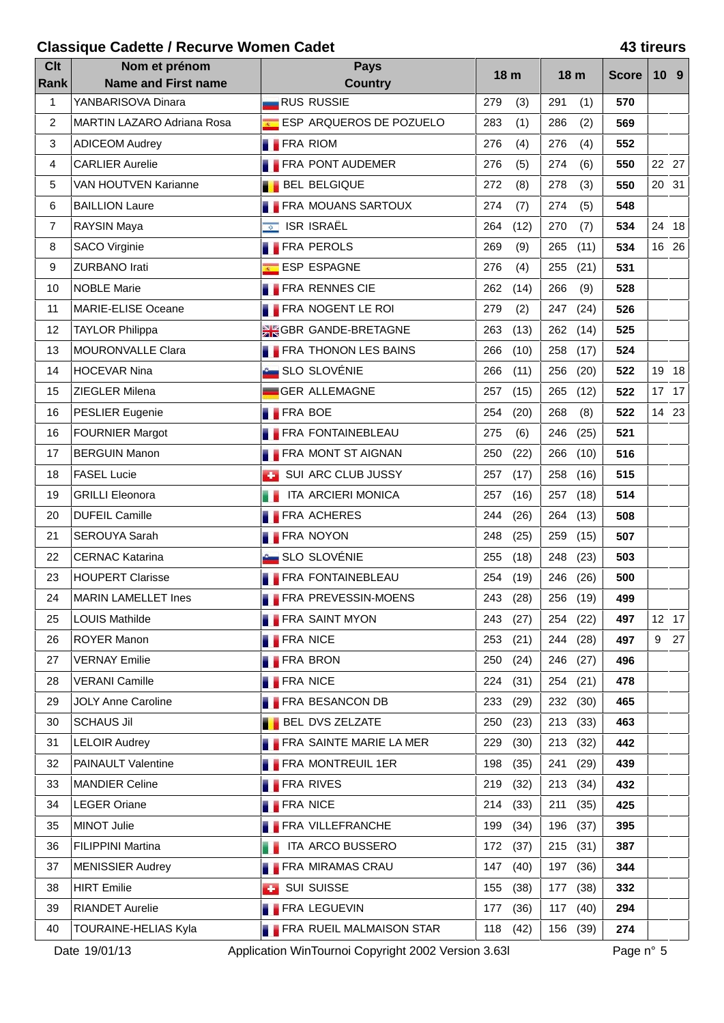### **Classique Cadette / Recurve Women Cadet 43 tireurs**

| <b>Clt</b><br>Rank | Nom et prénom<br><b>Name and First name</b> | <b>Pays</b><br><b>Country</b>   | 18 <sub>m</sub> | 18 m        | <b>Score</b> | 10 <sub>9</sub> |
|--------------------|---------------------------------------------|---------------------------------|-----------------|-------------|--------------|-----------------|
| 1                  | YANBARISOVA Dinara                          | <b>RUS RUSSIE</b>               | 279<br>(3)      | 291<br>(1)  | 570          |                 |
| $\overline{2}$     | MARTIN LAZARO Adriana Rosa                  | ESP ARQUEROS DE POZUELO         | 283<br>(1)      | 286<br>(2)  | 569          |                 |
| 3                  | <b>ADICEOM Audrey</b>                       | <b>FRA RIOM</b>                 | 276<br>(4)      | 276<br>(4)  | 552          |                 |
| 4                  | <b>CARLIER Aurelie</b>                      | <b>FRA PONT AUDEMER</b>         | 276<br>(5)      | 274<br>(6)  | 550          | 22 27           |
| 5                  | <b>VAN HOUTVEN Karianne</b>                 | <b>BEL BELGIQUE</b>             | 272<br>(8)      | (3)<br>278  | 550          | 20 31           |
| 6                  | <b>BAILLION Laure</b>                       | <b>FRA MOUANS SARTOUX</b>       | 274<br>(7)      | 274<br>(5)  | 548          |                 |
| $\overline{7}$     | RAYSIN Maya                                 | <b>E</b> ISR ISRAËL             | 264<br>(12)     | (7)<br>270  | 534          | 24 18           |
| 8                  | <b>SACO Virginie</b>                        | <b>FRA PEROLS</b>               | 269<br>(9)      | 265<br>(11) | 534          | 16 26           |
| 9                  | <b>ZURBANO Irati</b>                        | ESP ESPAGNE                     | 276<br>(4)      | 255<br>(21) | 531          |                 |
| 10                 | <b>NOBLE Marie</b>                          | <b>FRA RENNES CIE</b>           | 262<br>(14)     | 266<br>(9)  | 528          |                 |
| 11                 | MARIE-ELISE Oceane                          | <b>FRA NOGENT LE ROI</b>        | 279<br>(2)      | 247<br>(24) | 526          |                 |
| 12                 | <b>TAYLOR Philippa</b>                      | <b>SK GBR GANDE-BRETAGNE</b>    | 263<br>(13)     | 262<br>(14) | 525          |                 |
| 13                 | MOURONVALLE Clara                           | <b>FRA THONON LES BAINS</b>     | 266<br>(10)     | 258<br>(17) | 524          |                 |
| 14                 | <b>HOCEVAR Nina</b>                         | SLO SLOVÉNIE                    | 266<br>(11)     | 256<br>(20) | 522          | 19 18           |
| 15                 | ZIEGLER Milena                              | GER ALLEMAGNE                   | 257<br>(15)     | 265<br>(12) | 522          | 17 17           |
| 16                 | <b>PESLIER Eugenie</b>                      | <b>FRA BOE</b>                  | 254<br>(20)     | (8)<br>268  | 522          | 14 23           |
| 16                 | <b>FOURNIER Margot</b>                      | <b>FRA FONTAINEBLEAU</b>        | 275<br>(6)      | 246<br>(25) | 521          |                 |
| 17                 | <b>BERGUIN Manon</b>                        | <b>FRA MONT ST AIGNAN</b>       | 250<br>(22)     | 266<br>(10) | 516          |                 |
| 18                 | <b>FASEL Lucie</b>                          | SUI ARC CLUB JUSSY              | 257<br>(17)     | (16)<br>258 | 515          |                 |
| 19                 | <b>GRILLI Eleonora</b>                      | ITA ARCIERI MONICA              | 257<br>(16)     | (18)<br>257 | 514          |                 |
| 20                 | <b>DUFEIL Camille</b>                       | <b>FRA ACHERES</b>              | 244<br>(26)     | 264<br>(13) | 508          |                 |
| 21                 | SEROUYA Sarah                               | <b>FRA NOYON</b>                | 248<br>(25)     | 259<br>(15) | 507          |                 |
| 22                 | <b>CERNAC Katarina</b>                      | SLO SLOVÉNIE                    | (18)<br>255     | (23)<br>248 | 503          |                 |
| 23                 | <b>HOUPERT Clarisse</b>                     | <b>FRA FONTAINEBLEAU</b>        | 254<br>(19)     | 246<br>(26) | 500          |                 |
| 24                 | MARIN LAMELLET Ines                         | <b>FRA PREVESSIN-MOENS</b>      | 243<br>(28)     | 256<br>(19) | 499          |                 |
| 25                 | <b>LOUIS Mathilde</b>                       | <b>FRA SAINT MYON</b>           | 243<br>(27)     | 254 (22)    | 497          | 12 17           |
| 26                 | ROYER Manon                                 | <b>FRA NICE</b>                 | 253<br>(21)     | 244 (28)    | 497          | 9 27            |
| 27                 | <b>VERNAY Emilie</b>                        | <b>FRA BRON</b>                 | 250<br>(24)     | 246 (27)    | 496          |                 |
| 28                 | <b>VERANI Camille</b>                       | <b>FRA NICE</b>                 | 224<br>(31)     | 254<br>(21) | 478          |                 |
| 29                 | <b>JOLY Anne Caroline</b>                   | <b>FRA BESANCON DB</b>          | 233<br>(29)     | 232 (30)    | 465          |                 |
| 30                 | <b>SCHAUS Jil</b>                           | <b>BEL DVS ZELZATE</b>          | 250<br>(23)     | 213 (33)    | 463          |                 |
| 31                 | <b>LELOIR Audrey</b>                        | <b>FRA SAINTE MARIE LA MER</b>  | 229<br>(30)     | 213 (32)    | 442          |                 |
| 32                 | PAINAULT Valentine                          | <b>FRA MONTREUIL 1ER</b>        | 198<br>(35)     | 241<br>(29) | 439          |                 |
| 33                 | <b>MANDIER Celine</b>                       | <b>FRA RIVES</b>                | 219<br>(32)     | (34)<br>213 | 432          |                 |
| 34                 | <b>LEGER Oriane</b>                         | <b>FRA NICE</b>                 | 214<br>(33)     | 211<br>(35) | 425          |                 |
| 35                 | <b>MINOT Julie</b>                          | <b>FRA VILLEFRANCHE</b>         | 199<br>(34)     | 196<br>(37) | 395          |                 |
| 36                 | <b>FILIPPINI Martina</b>                    | ITA ARCO BUSSERO                | 172<br>(37)     | 215 (31)    | 387          |                 |
| 37                 | <b>MENISSIER Audrey</b>                     | <b>FRA MIRAMAS CRAU</b>         | 147<br>(40)     | 197<br>(36) | 344          |                 |
| 38                 | <b>HIRT</b> Emilie                          | <b>BUI SUISSE</b>               | 155<br>(38)     | 177<br>(38) | 332          |                 |
| 39                 | <b>RIANDET Aurelie</b>                      | <b>FRA LEGUEVIN</b>             | 177<br>(36)     | 117 (40)    | 294          |                 |
| 40                 | TOURAINE-HELIAS Kyla                        | <b>FRA RUEIL MALMAISON STAR</b> | (42)<br>118     | 156<br>(39) | 274          |                 |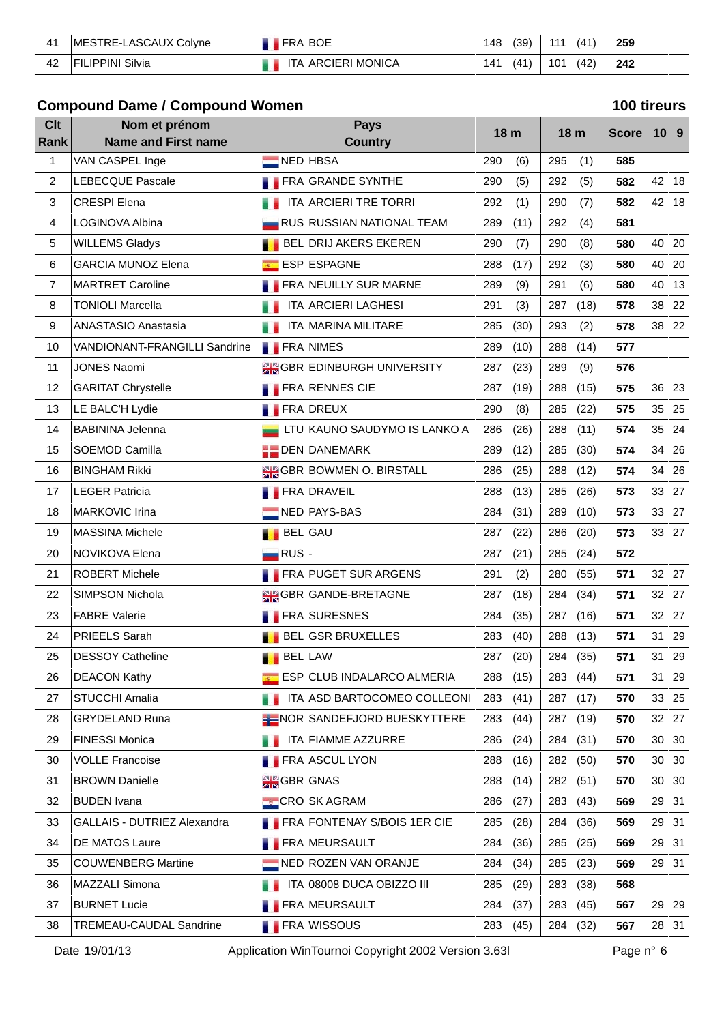| MESTRE-LASCAUX Colyne | FRA BOE                      | 48 | (39) | 111 | (41) | 259 |  |
|-----------------------|------------------------------|----|------|-----|------|-----|--|
| IPPINI Silvia         | <b>ARCIERI MONICA</b><br>ITA | 41 | (41) | 101 | (42) | 242 |  |

# **Compound Dame / Compound Women 100 tireurs**

| <b>Clt</b>     | Nom et prénom                  |                    | <b>Pays</b>                        |     | 18 m |     | 18 <sub>m</sub> | <b>Score</b> |    | 10 <sub>9</sub> |
|----------------|--------------------------------|--------------------|------------------------------------|-----|------|-----|-----------------|--------------|----|-----------------|
| Rank           | <b>Name and First name</b>     |                    | <b>Country</b>                     |     |      |     |                 |              |    |                 |
| 1              | VAN CASPEL Inge                | NED HBSA           |                                    | 290 | (6)  | 295 | (1)             | 585          |    |                 |
| 2              | <b>LEBECQUE Pascale</b>        |                    | <b>FRA GRANDE SYNTHE</b>           | 290 | (5)  | 292 | (5)             | 582          |    | 42 18           |
| 3              | <b>CRESPI Elena</b>            |                    | ITA ARCIERI TRE TORRI              | 292 | (1)  | 290 | (7)             | 582          |    | 42 18           |
| 4              | LOGINOVA Albina                |                    | <b>RUS RUSSIAN NATIONAL TEAM</b>   | 289 | (11) | 292 | (4)             | 581          |    |                 |
| 5              | <b>WILLEMS Gladys</b>          |                    | <b>BEL DRIJ AKERS EKEREN</b>       | 290 | (7)  | 290 | (8)             | 580          |    | 40 20           |
| 6              | <b>GARCIA MUNOZ Elena</b>      |                    | ESP ESPAGNE                        | 288 | (17) | 292 | (3)             | 580          | 40 | 20              |
| $\overline{7}$ | <b>MARTRET Caroline</b>        |                    | <b>FRA NEUILLY SUR MARNE</b>       | 289 | (9)  | 291 | (6)             | 580          | 40 | 13              |
| 8              | <b>TONIOLI Marcella</b>        |                    | ITA ARCIERI LAGHESI                | 291 | (3)  | 287 | (18)            | 578          | 38 | 22              |
| 9              | ANASTASIO Anastasia            |                    | ITA MARINA MILITARE                | 285 | (30) | 293 | (2)             | 578          |    | 38 22           |
| 10             | VANDIONANT-FRANGILLI Sandrine  | <b>FRA NIMES</b>   |                                    | 289 | (10) | 288 | (14)            | 577          |    |                 |
| 11             | <b>JONES Naomi</b>             |                    | <b>SK GBR EDINBURGH UNIVERSITY</b> | 287 | (23) | 289 | (9)             | 576          |    |                 |
| 12             | <b>GARITAT Chrystelle</b>      |                    | <b>FRA RENNES CIE</b>              | 287 | (19) | 288 | (15)            | 575          |    | 36 23           |
| 13             | LE BALC'H Lydie                | <b>FRA DREUX</b>   |                                    | 290 | (8)  | 285 | (22)            | 575          |    | 35 25           |
| 14             | <b>BABININA Jelenna</b>        |                    | LTU KAUNO SAUDYMO IS LANKO A       | 286 | (26) | 288 | (11)            | 574          | 35 | 24              |
| 15             | SOEMOD Camilla                 |                    | <b>DEN DANEMARK</b>                | 289 | (12) | 285 | (30)            | 574          | 34 | 26              |
| 16             | <b>BINGHAM Rikki</b>           |                    | <b>SIGBR BOWMEN O. BIRSTALL</b>    | 286 | (25) | 288 | (12)            | 574          | 34 | 26              |
| 17             | <b>LEGER Patricia</b>          |                    | <b>FRA DRAVEIL</b>                 | 288 | (13) | 285 | (26)            | 573          |    | 33 27           |
| 18             | <b>MARKOVIC Irina</b>          |                    | NED PAYS-BAS                       | 284 | (31) | 289 | (10)            | 573          |    | 33 27           |
| 19             | <b>MASSINA Michele</b>         | <b>BEL GAU</b>     |                                    | 287 | (22) | 286 | (20)            | 573          |    | 33 27           |
| 20             | NOVIKOVA Elena                 | $RUS -$            |                                    | 287 | (21) | 285 | (24)            | 572          |    |                 |
| 21             | <b>ROBERT Michele</b>          |                    | <b>FRA PUGET SUR ARGENS</b>        | 291 | (2)  | 280 | (55)            | 571          |    | 32 27           |
| 22             | SIMPSON Nichola                |                    | <b>SIGGBR GANDE-BRETAGNE</b>       | 287 | (18) | 284 | (34)            | 571          |    | 32 27           |
| 23             | <b>FABRE Valerie</b>           |                    | <b>FRA SURESNES</b>                | 284 | (35) | 287 | (16)            | 571          |    | 32 27           |
| 24             | <b>PRIEELS Sarah</b>           |                    | <b>BEL GSR BRUXELLES</b>           | 283 | (40) | 288 | (13)            | 571          |    | 31 29           |
| 25             | <b>DESSOY Catheline</b>        | <b>BEL LAW</b>     |                                    | 287 | (20) | 284 | (35)            | 571          | 31 | 29              |
| 26             | <b>DEACON Kathy</b>            |                    | ESP CLUB INDALARCO ALMERIA         | 288 | (15) | 283 | (44)            | 571          | 31 | 29              |
| 27             | STUCCHI Amalia                 |                    | ITA ASD BARTOCOMEO COLLEONI        | 283 | (41) | 287 | (17)            | 570          |    | 33 25           |
| 28             | <b>GRYDELAND Runa</b>          |                    | HE NOR SANDEFJORD BUESKYTTERE      | 283 | (44) | 287 | (19)            | 570          |    | 32 27           |
| 29             | <b>FINESSI Monica</b>          |                    | ITA FIAMME AZZURRE                 | 286 | (24) | 284 | (31)            | 570          |    | 30 30           |
| 30             | <b>VOLLE Francoise</b>         |                    | <b>FRA ASCUL LYON</b>              | 288 | (16) | 282 | (50)            | 570          |    | 30 30           |
| 31             | <b>BROWN Danielle</b>          | <b>SK</b> GBR GNAS |                                    | 288 | (14) | 282 | (51)            | 570          |    | 30 30           |
| 32             | <b>BUDEN Ivana</b>             |                    | <b>CRO SK AGRAM</b>                | 286 | (27) | 283 | (43)            | 569          |    | 29 31           |
| 33             | GALLAIS - DUTRIEZ Alexandra    |                    | <b>FRA FONTENAY S/BOIS 1ER CIE</b> | 285 | (28) | 284 | (36)            | 569          |    | 29 31           |
| 34             | DE MATOS Laure                 |                    | <b>FRA MEURSAULT</b>               | 284 | (36) | 285 | (25)            | 569          |    | 29 31           |
| 35             | <b>COUWENBERG Martine</b>      |                    | NED ROZEN VAN ORANJE               | 284 | (34) | 285 | (23)            | 569          |    | 29 31           |
| 36             | MAZZALI Simona                 |                    | ITA 08008 DUCA OBIZZO III          | 285 | (29) | 283 | (38)            | 568          |    |                 |
| 37             | <b>BURNET Lucie</b>            |                    | <b>FRA MEURSAULT</b>               | 284 | (37) | 283 | (45)            | 567          |    | 29 29           |
| 38             | <b>TREMEAU-CAUDAL Sandrine</b> |                    | <b>FRA WISSOUS</b>                 | 283 | (45) | 284 | (32)            | 567          |    | 28 31           |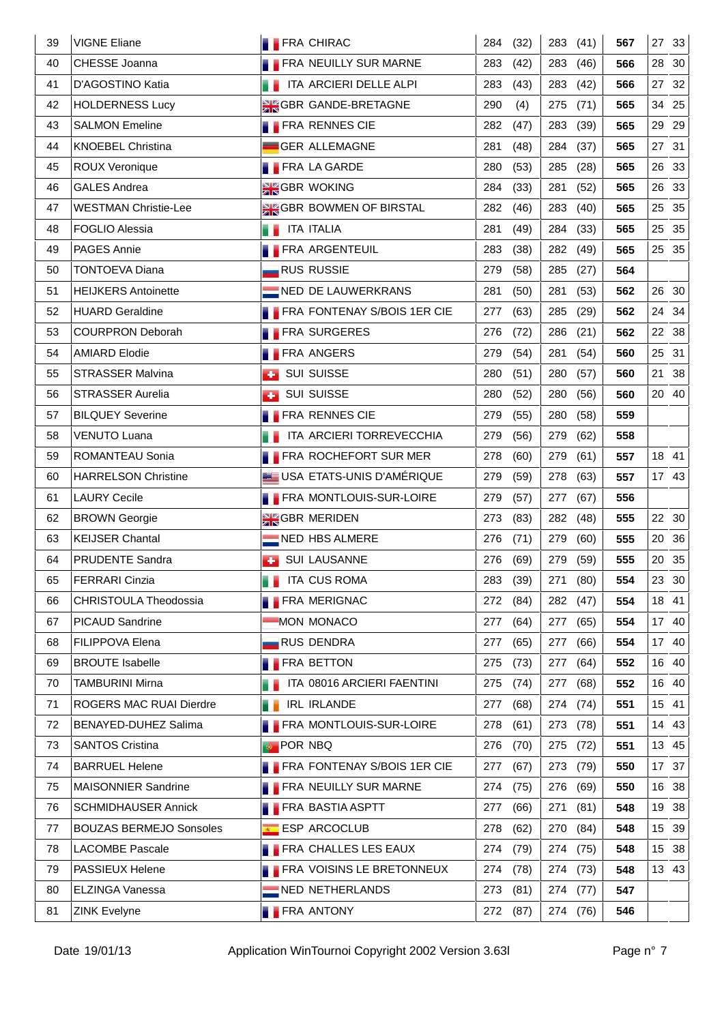| 39 | <b>VIGNE Eliane</b>            | <b>FRA CHIRAC</b>     |                                    | 284 | (32)     |     | 283 (41) | 567 |                  | 27 33 |
|----|--------------------------------|-----------------------|------------------------------------|-----|----------|-----|----------|-----|------------------|-------|
| 40 | CHESSE Joanna                  |                       | <b>FRA NEUILLY SUR MARNE</b>       | 283 | (42)     | 283 | (46)     | 566 |                  | 28 30 |
| 41 | D'AGOSTINO Katia               |                       | ITA ARCIERI DELLE ALPI             | 283 | (43)     | 283 | (42)     | 566 |                  | 27 32 |
| 42 | <b>HOLDERNESS Lucy</b>         |                       | <b>SIGGBR GANDE-BRETAGNE</b>       | 290 | (4)      | 275 | (71)     | 565 |                  | 34 25 |
| 43 | <b>SALMON Emeline</b>          |                       | <b>FRA RENNES CIE</b>              | 282 | (47)     | 283 | (39)     | 565 |                  | 29 29 |
| 44 | <b>KNOEBEL Christina</b>       |                       | GER ALLEMAGNE                      | 281 | (48)     | 284 | (37)     | 565 |                  | 27 31 |
| 45 | <b>ROUX Veronique</b>          |                       | <b>FRA LA GARDE</b>                | 280 | (53)     | 285 | (28)     | 565 |                  | 26 33 |
| 46 | <b>GALES Andrea</b>            |                       | <b>SEGBR WOKING</b>                | 284 | (33)     | 281 | (52)     | 565 |                  | 26 33 |
| 47 | <b>WESTMAN Christie-Lee</b>    |                       | <b>SK GBR BOWMEN OF BIRSTAL</b>    | 282 | (46)     | 283 | (40)     | 565 |                  | 25 35 |
| 48 | <b>FOGLIO Alessia</b>          | <b>THE ITA ITALIA</b> |                                    | 281 | (49)     | 284 | (33)     | 565 |                  | 25 35 |
| 49 | PAGES Annie                    |                       | <b>FRA ARGENTEUIL</b>              | 283 | (38)     | 282 | (49)     | 565 |                  | 25 35 |
| 50 | <b>TONTOEVA Diana</b>          |                       | <b>RUS RUSSIE</b>                  | 279 | (58)     | 285 | (27)     | 564 |                  |       |
| 51 | <b>HEIJKERS Antoinette</b>     |                       | NED DE LAUWERKRANS                 | 281 | (50)     | 281 | (53)     | 562 |                  | 26 30 |
| 52 | <b>HUARD Geraldine</b>         |                       | <b>FRA FONTENAY S/BOIS 1ER CIE</b> | 277 | (63)     | 285 | (29)     | 562 |                  | 24 34 |
| 53 | <b>COURPRON Deborah</b>        |                       | <b>FRA SURGERES</b>                | 276 | (72)     | 286 | (21)     | 562 |                  | 22 38 |
| 54 | <b>AMIARD Elodie</b>           |                       | <b>FRA ANGERS</b>                  | 279 | (54)     | 281 | (54)     | 560 |                  | 25 31 |
| 55 | <b>STRASSER Malvina</b>        | <b>BUI SUISSE</b>     |                                    | 280 | (51)     | 280 | (57)     | 560 | 21               | 38    |
| 56 | <b>STRASSER Aurelia</b>        |                       | <b>BUI SUISSE</b>                  | 280 | (52)     | 280 | (56)     | 560 |                  | 20 40 |
| 57 | <b>BILQUEY Severine</b>        |                       | <b>FRA RENNES CIE</b>              | 279 | (55)     | 280 | (58)     | 559 |                  |       |
| 58 | <b>VENUTO Luana</b>            |                       | ITA ARCIERI TORREVECCHIA           | 279 | (56)     | 279 | (62)     | 558 |                  |       |
| 59 | ROMANTEAU Sonia                |                       | <b>FRA ROCHEFORT SUR MER</b>       | 278 | (60)     | 279 | (61)     | 557 |                  | 18 41 |
| 60 | <b>HARRELSON Christine</b>     |                       | USA ETATS-UNIS D'AMÉRIQUE          | 279 | (59)     | 278 | (63)     | 557 |                  | 17 43 |
| 61 | <b>LAURY Cecile</b>            |                       | <b>FRA MONTLOUIS-SUR-LOIRE</b>     | 279 | (57)     | 277 | (67)     | 556 |                  |       |
| 62 | <b>BROWN Georgie</b>           |                       | <b>SEGBR MERIDEN</b>               | 273 | (83)     | 282 | (48)     | 555 |                  | 22 30 |
| 63 | <b>KEIJSER Chantal</b>         |                       | $\blacksquare$ NED HBS ALMERE      | 276 | (71)     | 279 | (60)     | 555 |                  | 20 36 |
| 64 | <b>PRUDENTE Sandra</b>         |                       | <b>B</b> SUI LAUSANNE              | 276 | (69)     | 279 | (59)     | 555 |                  | 20 35 |
| 65 | <b>FERRARI Cinzia</b>          |                       | <b>THE ITA CUS ROMA</b>            |     | 283 (39) |     | 271 (80) | 554 |                  | 23 30 |
| 66 | CHRISTOULA Theodossia          |                       | <b>FRA MERIGNAC</b>                | 272 | (84)     |     | 282 (47) | 554 |                  | 18 41 |
| 67 | PICAUD Sandrine                |                       | MON MONACO                         | 277 | (64)     | 277 | (65)     | 554 |                  | 17 40 |
| 68 | FILIPPOVA Elena                |                       | <b>RUS DENDRA</b>                  | 277 | (65)     | 277 | (66)     | 554 |                  | 17 40 |
| 69 | <b>BROUTE Isabelle</b>         |                       | <b>FRA BETTON</b>                  | 275 | (73)     | 277 | (64)     | 552 |                  | 16 40 |
| 70 | <b>TAMBURINI Mirna</b>         |                       | ITA 08016 ARCIERI FAENTINI         | 275 | (74)     | 277 | (68)     | 552 |                  | 16 40 |
| 71 | ROGERS MAC RUAI Dierdre        |                       | <b>IRL IRLANDE</b>                 | 277 | (68)     | 274 | (74)     | 551 |                  | 15 41 |
| 72 | BENAYED-DUHEZ Salima           |                       | <b>FRA MONTLOUIS-SUR-LOIRE</b>     | 278 | (61)     | 273 | (78)     | 551 |                  | 14 43 |
| 73 | <b>SANTOS Cristina</b>         | <b>POR NBQ</b>        |                                    | 276 | (70)     | 275 | (72)     | 551 |                  | 13 45 |
| 74 | <b>BARRUEL Helene</b>          |                       | <b>FRA FONTENAY S/BOIS 1ER CIE</b> | 277 | (67)     | 273 | (79)     | 550 |                  | 17 37 |
| 75 | <b>MAISONNIER Sandrine</b>     |                       | <b>FRA NEUILLY SUR MARNE</b>       | 274 | (75)     | 276 | (69)     | 550 |                  | 16 38 |
| 76 | <b>SCHMIDHAUSER Annick</b>     |                       | <b>FRA BASTIA ASPTT</b>            | 277 | (66)     | 271 | (81)     | 548 |                  | 19 38 |
| 77 | <b>BOUZAS BERMEJO Sonsoles</b> |                       | ESP ARCOCLUB                       | 278 | (62)     | 270 | (84)     | 548 | 15 <sub>15</sub> | 39    |
| 78 | <b>LACOMBE Pascale</b>         |                       | <b>FRA CHALLES LES EAUX</b>        | 274 | (79)     |     | 274 (75) | 548 |                  | 15 38 |
| 79 | PASSIEUX Helene                |                       | <b>FRA VOISINS LE BRETONNEUX</b>   | 274 | (78)     |     | 274 (73) | 548 |                  | 13 43 |
| 80 | <b>ELZINGA Vanessa</b>         |                       | NED NETHERLANDS                    | 273 | (81)     | 274 | (77)     | 547 |                  |       |
| 81 | <b>ZINK Evelyne</b>            |                       | <b>FRA ANTONY</b>                  | 272 | (87)     |     | 274 (76) | 546 |                  |       |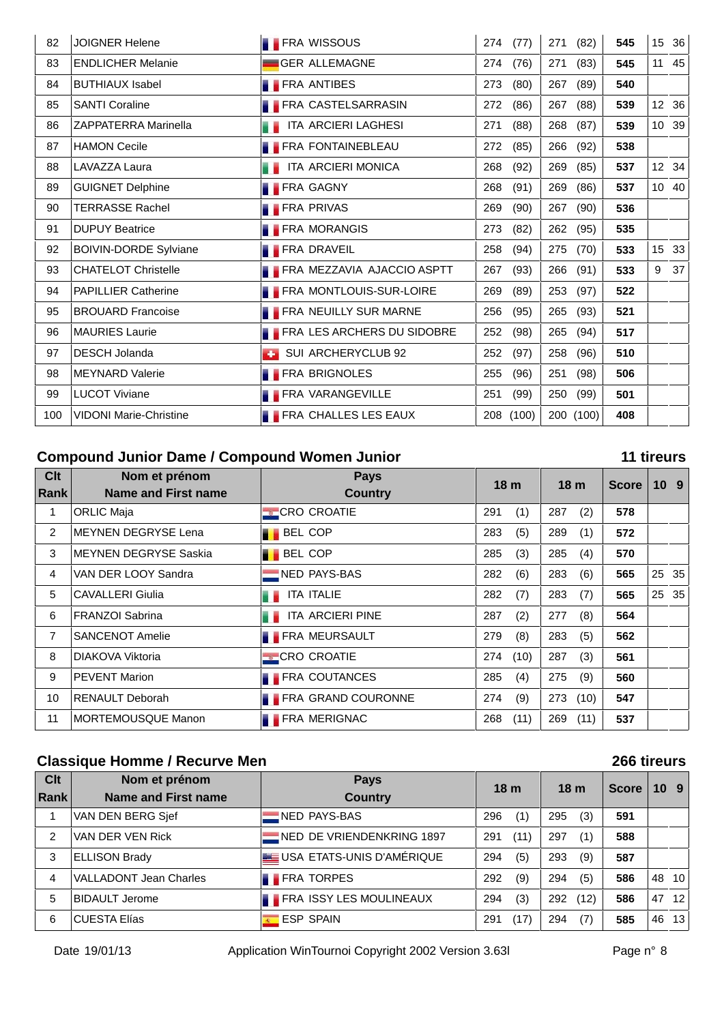| 82  | <b>JOIGNER Helene</b>         | <b>FRA WISSOUS</b>                | (77)<br>274 | 271<br>(82) | 545 | 15              | 36    |
|-----|-------------------------------|-----------------------------------|-------------|-------------|-----|-----------------|-------|
| 83  | <b>ENDLICHER Melanie</b>      | <b>GER ALLEMAGNE</b>              | (76)<br>274 | 271<br>(83) | 545 |                 | 11 45 |
| 84  | <b>BUTHIAUX Isabel</b>        | <b>FRA ANTIBES</b>                | 273<br>(80) | 267<br>(89) | 540 |                 |       |
| 85  | <b>SANTI Coraline</b>         | <b>FRA CASTELSARRASIN</b>         | 272<br>(86) | 267<br>(88) | 539 |                 | 12 36 |
| 86  | <b>ZAPPATERRA Marinella</b>   | ITA ARCIERI LAGHESI               | (88)<br>271 | 268<br>(87) | 539 |                 | 10 39 |
| 87  | <b>HAMON Cecile</b>           | FRA FONTAINEBLEAU                 | 272<br>(85) | 266<br>(92) | 538 |                 |       |
| 88  | LAVAZZA Laura                 | ITA ARCIERI MONICA                | 268<br>(92) | 269<br>(85) | 537 |                 | 12 34 |
| 89  | <b>GUIGNET Delphine</b>       | <b>FRA GAGNY</b>                  | 268<br>(91) | 269<br>(86) | 537 |                 | 10 40 |
| 90  | <b>TERRASSE Rachel</b>        | <b>FRA PRIVAS</b>                 | 269<br>(90) | 267<br>(90) | 536 |                 |       |
| 91  | <b>DUPUY Beatrice</b>         | <b>FRA MORANGIS</b>               | 273<br>(82) | 262<br>(95) | 535 |                 |       |
| 92  | <b>BOIVIN-DORDE Sylviane</b>  | <b>FRA DRAVEIL</b>                | 258<br>(94) | 275<br>(70) | 533 | 15 <sup>1</sup> | 33    |
| 93  | <b>CHATELOT Christelle</b>    | <b>FRA MEZZAVIA AJACCIO ASPTT</b> | 267<br>(93) | 266<br>(91) | 533 | 9               | 37    |
| 94  | <b>PAPILLIER Catherine</b>    | <b>FRA MONTLOUIS-SUR-LOIRE</b>    | (89)<br>269 | 253<br>(97) | 522 |                 |       |
| 95  | <b>BROUARD Francoise</b>      | <b>FRA NEUILLY SUR MARNE</b>      | 256<br>(95) | 265<br>(93) | 521 |                 |       |
| 96  | <b>MAURIES Laurie</b>         | <b>FRA LES ARCHERS DU SIDOBRE</b> | 252<br>(98) | 265<br>(94) | 517 |                 |       |
| 97  | <b>DESCH Jolanda</b>          | SUI ARCHERYCLUB 92                | 252<br>(97) | 258<br>(96) | 510 |                 |       |
| 98  | <b>MEYNARD Valerie</b>        | <b>FRA BRIGNOLES</b>              | 255<br>(96) | 251<br>(98) | 506 |                 |       |
| 99  | <b>LUCOT Viviane</b>          | <b>FRA VARANGEVILLE</b>           | 251<br>(99) | 250<br>(99) | 501 |                 |       |
| 100 | <b>VIDONI Marie-Christine</b> | <b>FRA CHALLES LES EAUX</b>       | 208 (100)   | 200 (100)   | 408 |                 |       |

### **Compound Junior Dame / Compound Women Junior**

#### 11 tireurs

| Clt         | Nom et prénom                | <b>Pays</b>               |     | 18 <sub>m</sub> |     | 18 <sub>m</sub> | <b>Score</b> | 10 <sub>9</sub> |
|-------------|------------------------------|---------------------------|-----|-----------------|-----|-----------------|--------------|-----------------|
| <b>Rank</b> | Name and First name          | <b>Country</b>            |     |                 |     |                 |              |                 |
| 1           | <b>ORLIC Maja</b>            | <b>CRO CROATIE</b>        | 291 | (1)             | 287 | (2)             | 578          |                 |
| 2           | <b>MEYNEN DEGRYSE Lena</b>   | <b>BEL COP</b>            | 283 | (5)             | 289 | (1)             | 572          |                 |
| 3           | <b>MEYNEN DEGRYSE Saskia</b> | <b>BEL COP</b>            | 285 | (3)             | 285 | (4)             | 570          |                 |
| 4           | VAN DER LOOY Sandra          | NED PAYS-BAS              | 282 | (6)             | 283 | (6)             | 565          | 25 35           |
| 5           | <b>CAVALLERI Giulia</b>      | <b>ITA ITALIE</b>         | 282 | (7)             | 283 | (7)             | 565          | 25 35           |
| 6           | <b>FRANZOI Sabrina</b>       | ITA ARCIERI PINE          | 287 | (2)             | 277 | (8)             | 564          |                 |
| 7           | <b>SANCENOT Amelie</b>       | <b>FRA MEURSAULT</b>      | 279 | (8)             | 283 | (5)             | 562          |                 |
| 8           | DIAKOVA Viktoria             | <b>CRO CROATIE</b>        | 274 | (10)            | 287 | (3)             | 561          |                 |
| 9           | <b>PEVENT Marion</b>         | <b>FRA COUTANCES</b>      | 285 | (4)             | 275 | (9)             | 560          |                 |
| 10          | <b>RENAULT Deborah</b>       | <b>FRA GRAND COURONNE</b> | 274 | (9)             | 273 | (10)            | 547          |                 |
| 11          | <b>MORTEMOUSQUE Manon</b>    | <b>FRA MERIGNAC</b>       | 268 | (11)            | 269 | (11)            | 537          |                 |

### **Classique Homme / Recurve Men**

| Clt<br><b>Rank</b> | Nom et prénom<br><b>Name and First name</b> | <b>Pays</b><br><b>Country</b>  | 18 <sub>m</sub> |      | 18 <sub>m</sub> |      | Score |    | 10 <sub>9</sub> |
|--------------------|---------------------------------------------|--------------------------------|-----------------|------|-----------------|------|-------|----|-----------------|
| 1                  | VAN DEN BERG Sjef                           | NED PAYS-BAS                   | 296             | (1)  | 295             | (3)  | 591   |    |                 |
| 2                  | VAN DER VEN Rick                            | NED DE VRIENDENKRING 1897      | 291             | (11) | 297             | (1)  | 588   |    |                 |
| 3                  | <b>ELLISON Brady</b>                        | USA ETATS-UNIS D'AMÉRIQUE      | 294             | (5)  | 293             | (9)  | 587   |    |                 |
| 4                  | <b>VALLADONT Jean Charles</b>               | <b>FRA TORPES</b>              | 292             | (9)  | 294             | (5)  | 586   | 48 | 10 <sup>1</sup> |
| 5                  | BIDAULT Jerome                              | <b>FRA ISSY LES MOULINEAUX</b> | 294             | (3)  | 292             | (12) | 586   | 47 | 12 <sub>1</sub> |
| 6                  | <b>CUESTA Elías</b>                         | <b>ESP SPAIN</b>               | 291             | (17) | 294             | (7)  | 585   | 46 | 13 <sup>1</sup> |

266 tireurs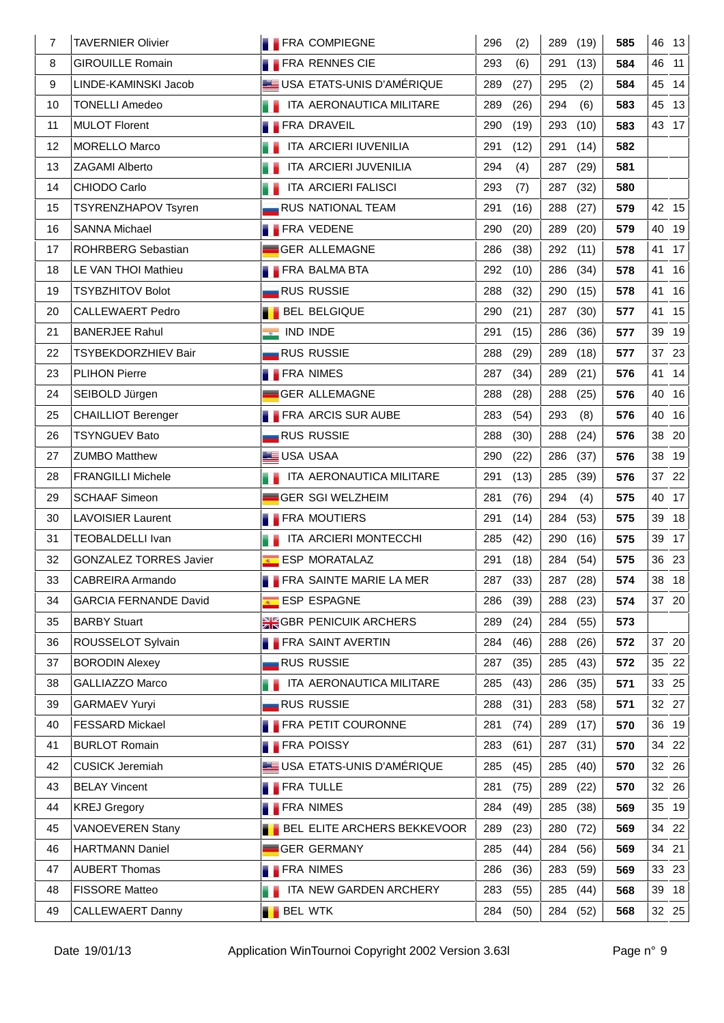| 7  | <b>TAVERNIER Olivier</b>      | <b>FRA COMPIEGNE</b>               | 296<br>(2)  | (19)<br>289 | 585 | 46 13    |
|----|-------------------------------|------------------------------------|-------------|-------------|-----|----------|
| 8  | <b>GIROUILLE Romain</b>       | <b>FRA RENNES CIE</b>              | 293<br>(6)  | (13)<br>291 | 584 | 46<br>11 |
| 9  | LINDE-KAMINSKI Jacob          | USA ETATS-UNIS D'AMÉRIQUE          | 289<br>(27) | 295<br>(2)  | 584 | 45<br>14 |
| 10 | <b>TONELLI Amedeo</b>         | ITA AERONAUTICA MILITARE           | 289<br>(26) | 294<br>(6)  | 583 | 45 13    |
| 11 | <b>MULOT Florent</b>          | <b>FRA DRAVEIL</b>                 | 290<br>(19) | 293<br>(10) | 583 | 43 17    |
| 12 | <b>MORELLO Marco</b>          | ITA ARCIERI IUVENILIA              | 291<br>(12) | (14)<br>291 | 582 |          |
| 13 | ZAGAMI Alberto                | ITA ARCIERI JUVENILIA              | 294<br>(4)  | 287<br>(29) | 581 |          |
| 14 | CHIODO Carlo                  | a a<br>ITA ARCIERI FALISCI         | 293<br>(7)  | (32)<br>287 | 580 |          |
| 15 | <b>TSYRENZHAPOV Tsyren</b>    | <b>RUS NATIONAL TEAM</b>           | 291<br>(16) | 288<br>(27) | 579 | 42 15    |
| 16 | <b>SANNA Michael</b>          | <b>FRA VEDENE</b>                  | 290<br>(20) | 289<br>(20) | 579 | 40<br>19 |
| 17 | ROHRBERG Sebastian            | GER ALLEMAGNE                      | 286<br>(38) | 292<br>(11) | 578 | 41 17    |
| 18 | LE VAN THOI Mathieu           | <b>FRA BALMA BTA</b>               | 292<br>(10) | 286<br>(34) | 578 | 41<br>16 |
| 19 | <b>TSYBZHITOV Bolot</b>       | <b>RUS RUSSIE</b>                  | 288<br>(32) | 290<br>(15) | 578 | 16<br>41 |
| 20 | <b>CALLEWAERT Pedro</b>       | <b>BEL BELGIQUE</b>                | 290<br>(21) | 287<br>(30) | 577 | 15<br>41 |
| 21 | <b>BANERJEE Rahul</b>         | $\bullet$ IND INDE                 | 291<br>(15) | 286<br>(36) | 577 | 19<br>39 |
| 22 | TSYBEKDORZHIEV Bair           | <b>RUS RUSSIE</b>                  | 288<br>(29) | (18)<br>289 | 577 | 37 23    |
| 23 | <b>PLIHON Pierre</b>          | <b>FRA NIMES</b>                   | 287<br>(34) | 289<br>(21) | 576 | 41<br>14 |
| 24 | SEIBOLD Jürgen                | GER ALLEMAGNE                      | 288<br>(28) | 288<br>(25) | 576 | 40 16    |
| 25 | <b>CHAILLIOT Berenger</b>     | <b>FRA ARCIS SUR AUBE</b>          | 283<br>(54) | 293<br>(8)  | 576 | 16<br>40 |
| 26 | <b>TSYNGUEV Bato</b>          | <b>RUS RUSSIE</b>                  | 288<br>(30) | 288<br>(24) | 576 | 38 20    |
| 27 | <b>ZUMBO Matthew</b>          | USA USAA                           | 290<br>(22) | 286<br>(37) | 576 | 38<br>19 |
| 28 | <b>FRANGILLI Michele</b>      | ITA AERONAUTICA MILITARE           | 291<br>(13) | (39)<br>285 | 576 | 37 22    |
| 29 | <b>SCHAAF Simeon</b>          | GER SGI WELZHEIM                   | 281<br>(76) | 294<br>(4)  | 575 | 17<br>40 |
| 30 | <b>LAVOISIER Laurent</b>      | <b>FRA MOUTIERS</b>                | 291<br>(14) | 284<br>(53) | 575 | 39 18    |
| 31 | TEOBALDELLI Ivan              | ITA ARCIERI MONTECCHI              | 285<br>(42) | 290<br>(16) | 575 | 39 17    |
| 32 | <b>GONZALEZ TORRES Javier</b> | ESP MORATALAZ                      | 291<br>(18) | 284 (54)    | 575 | 36 23    |
| 33 | CABREIRA Armando              | FRA SAINTE MARIE LA MER            | 287 (33)    | 287 (28)    | 574 | 38 18    |
| 34 | <b>GARCIA FERNANDE David</b>  | <b>ESP ESPAGNE</b>                 | 286<br>(39) | 288<br>(23) | 574 | 37 20    |
| 35 | <b>BARBY Stuart</b>           | <b>SK GBR PENICUIK ARCHERS</b>     | 289<br>(24) | (55)<br>284 | 573 |          |
| 36 | ROUSSELOT Sylvain             | <b>FRA SAINT AVERTIN</b>           | 284<br>(46) | 288<br>(26) | 572 | 37 20    |
| 37 | <b>BORODIN Alexey</b>         | <b>RUS RUSSIE</b>                  | 287<br>(35) | 285<br>(43) | 572 | 35 22    |
| 38 | <b>GALLIAZZO Marco</b>        | ITA AERONAUTICA MILITARE           | 285<br>(43) | 286<br>(35) | 571 | 33 25    |
| 39 | <b>GARMAEV Yuryi</b>          | <b>RUS RUSSIE</b>                  | 288<br>(31) | 283<br>(58) | 571 | 32 27    |
| 40 | FESSARD Mickael               | <b>FRA PETIT COURONNE</b>          | 281<br>(74) | (17)<br>289 | 570 | 36<br>19 |
| 41 | <b>BURLOT Romain</b>          | <b>FRA POISSY</b>                  | 283<br>(61) | (31)<br>287 | 570 | 22<br>34 |
| 42 | <b>CUSICK Jeremiah</b>        | USA ETATS-UNIS D'AMÉRIQUE          | 285<br>(45) | 285<br>(40) | 570 | 32 26    |
| 43 | <b>BELAY Vincent</b>          | <b>FRA TULLE</b>                   | 281<br>(75) | 289<br>(22) | 570 | 32 26    |
| 44 | <b>KREJ Gregory</b>           | <b>FRA NIMES</b>                   | 284<br>(49) | 285<br>(38) | 569 | 35 19    |
| 45 | <b>VANOEVEREN Stany</b>       | <b>BEL ELITE ARCHERS BEKKEVOOR</b> | 289<br>(23) | (72)<br>280 | 569 | 34 22    |
| 46 | <b>HARTMANN Daniel</b>        | <b>GER GERMANY</b>                 | 285<br>(44) | 284<br>(56) | 569 | 21<br>34 |
| 47 | <b>AUBERT Thomas</b>          | <b>FRA NIMES</b>                   | 286<br>(36) | (59)<br>283 | 569 | 33 23    |
| 48 | <b>FISSORE Matteo</b>         | ITA NEW GARDEN ARCHERY             | 283<br>(55) | 285<br>(44) | 568 | 39 18    |
| 49 | <b>CALLEWAERT Danny</b>       | <b>BEL WTK</b>                     | 284<br>(50) | 284<br>(52) | 568 | 32 25    |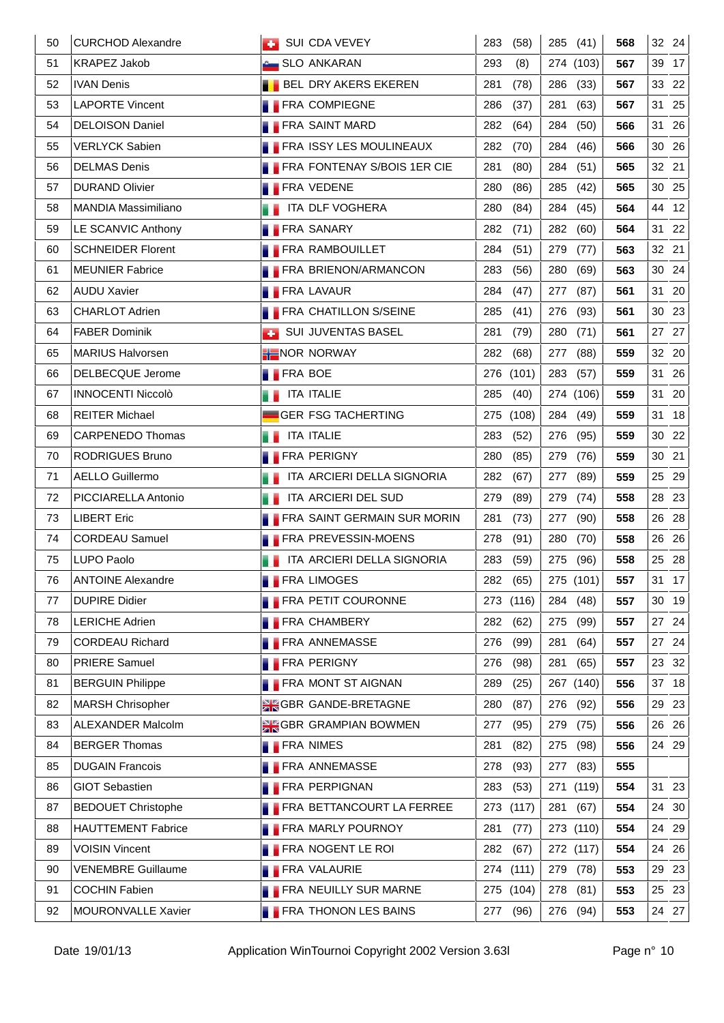| 50 | <b>CURCHOD Alexandre</b>  | SUI CDA VEVEY                      | 283<br>(58)  | 285 (41)    | 568 | 32 24 |
|----|---------------------------|------------------------------------|--------------|-------------|-----|-------|
| 51 | <b>KRAPEZ Jakob</b>       | <b>Company SLO ANKARAN</b>         | 293<br>(8)   | 274 (103)   | 567 | 39 17 |
| 52 | <b>IVAN Denis</b>         | <b>BEL DRY AKERS EKEREN</b>        | 281<br>(78)  | (33)<br>286 | 567 | 33 22 |
| 53 | <b>LAPORTE Vincent</b>    | <b>FRA COMPIEGNE</b>               | 286<br>(37)  | 281<br>(63) | 567 | 31 25 |
| 54 | <b>DELOISON Daniel</b>    | <b>FRA SAINT MARD</b>              | 282<br>(64)  | 284<br>(50) | 566 | 31 26 |
| 55 | <b>VERLYCK Sabien</b>     | <b>FRA ISSY LES MOULINEAUX</b>     | 282<br>(70)  | 284<br>(46) | 566 | 30 26 |
| 56 | <b>DELMAS Denis</b>       | FRA FONTENAY S/BOIS 1ER CIE        | 281<br>(80)  | (51)<br>284 | 565 | 32 21 |
| 57 | <b>DURAND Olivier</b>     | <b>FRA VEDENE</b>                  | 280<br>(86)  | 285<br>(42) | 565 | 30 25 |
| 58 | MANDIA Massimiliano       | <b>THE ITA DLF VOGHERA</b>         | 280<br>(84)  | 284<br>(45) | 564 | 44 12 |
| 59 | LE SCANVIC Anthony        | <b>FRA SANARY</b>                  | 282<br>(71)  | 282<br>(60) | 564 | 31 22 |
| 60 | <b>SCHNEIDER Florent</b>  | <b>FRA RAMBOUILLET</b>             | 284<br>(51)  | 279<br>(77) | 563 | 32 21 |
| 61 | <b>MEUNIER Fabrice</b>    | <b>FRA BRIENON/ARMANCON</b>        | 283<br>(56)  | 280<br>(69) | 563 | 30 24 |
| 62 | <b>AUDU Xavier</b>        | <b>FRA LAVAUR</b>                  | 284<br>(47)  | (87)<br>277 | 561 | 31 20 |
| 63 | <b>CHARLOT Adrien</b>     | <b>FRA CHATILLON S/SEINE</b>       | 285<br>(41)  | (93)<br>276 | 561 | 30 23 |
| 64 | <b>FABER Dominik</b>      | <b>SUI JUVENTAS BASEL</b>          | 281<br>(79)  | (71)<br>280 | 561 | 27 27 |
| 65 | <b>MARIUS Halvorsen</b>   | NOR NORWAY                         | 282<br>(68)  | (88)<br>277 | 559 | 32 20 |
| 66 | DELBECQUE Jerome          | <b>FRA BOE</b>                     | 276<br>(101) | 283<br>(57) | 559 | 31 26 |
| 67 | <b>INNOCENTI Niccolò</b>  | <b>THE ITA ITALIE</b>              | 285<br>(40)  | 274 (106)   | 559 | 31 20 |
| 68 | <b>REITER Michael</b>     | GER FSG TACHERTING                 | 275 (108)    | 284 (49)    | 559 | 31 18 |
| 69 | <b>CARPENEDO Thomas</b>   | ITA ITALIE                         | 283<br>(52)  | (95)<br>276 | 559 | 30 22 |
| 70 | <b>RODRIGUES Bruno</b>    | <b>FRA PERIGNY</b>                 | 280<br>(85)  | 279<br>(76) | 559 | 30 21 |
| 71 | <b>AELLO Guillermo</b>    | ITA ARCIERI DELLA SIGNORIA         | 282<br>(67)  | (89)<br>277 | 559 | 25 29 |
| 72 | PICCIARELLA Antonio       | ITA ARCIERI DEL SUD<br>. .         | 279<br>(89)  | 279<br>(74) | 558 | 28 23 |
| 73 | <b>LIBERT Eric</b>        | <b>FRA SAINT GERMAIN SUR MORIN</b> | 281<br>(73)  | 277<br>(90) | 558 | 26 28 |
| 74 | <b>CORDEAU Samuel</b>     | <b>FRA PREVESSIN-MOENS</b>         | 278<br>(91)  | 280 (70)    | 558 | 26 26 |
| 75 | LUPO Paolo                | ITA ARCIERI DELLA SIGNORIA         | 283<br>(59)  | 275<br>(96) | 558 | 25 28 |
| 76 | <b>ANTOINE Alexandre</b>  | <b>FRA LIMOGES</b>                 | 282 (65)     | 275 $(101)$ | 557 | 31 17 |
| 77 | <b>DUPIRE Didier</b>      | <b>FRA PETIT COURONNE</b>          | (116)<br>273 | 284 (48)    | 557 | 30 19 |
| 78 | <b>LERICHE Adrien</b>     | <b>FRA CHAMBERY</b>                | 282<br>(62)  | (99)<br>275 | 557 | 27 24 |
| 79 | <b>CORDEAU Richard</b>    | <b>FRA ANNEMASSE</b>               | 276<br>(99)  | 281<br>(64) | 557 | 27 24 |
| 80 | <b>PRIERE Samuel</b>      | <b>FRA PERIGNY</b>                 | 276<br>(98)  | (65)<br>281 | 557 | 23 32 |
| 81 | <b>BERGUIN Philippe</b>   | <b>FRA MONT ST AIGNAN</b>          | 289<br>(25)  | 267 (140)   | 556 | 37 18 |
| 82 | <b>MARSH Chrisopher</b>   | <b>SK GBR GANDE-BRETAGNE</b>       | 280<br>(87)  | 276<br>(92) | 556 | 29 23 |
| 83 | ALEXANDER Malcolm         | GBR GRAMPIAN BOWMEN                | 277<br>(95)  | 279<br>(75) | 556 | 26 26 |
| 84 | <b>BERGER Thomas</b>      | <b>FRA NIMES</b>                   | 281<br>(82)  | 275<br>(98) | 556 | 24 29 |
| 85 | <b>DUGAIN Francois</b>    | <b>FRA ANNEMASSE</b>               | 278<br>(93)  | 277<br>(83) | 555 |       |
| 86 | <b>GIOT Sebastien</b>     | <b>FRA PERPIGNAN</b>               | 283<br>(53)  | 271 (119)   | 554 | 31 23 |
| 87 | <b>BEDOUET Christophe</b> | <b>FRA BETTANCOURT LA FERREE</b>   | (117)<br>273 | 281<br>(67) | 554 | 24 30 |
| 88 | <b>HAUTTEMENT Fabrice</b> | <b>FRA MARLY POURNOY</b>           | 281<br>(77)  | 273 (110)   | 554 | 24 29 |
| 89 | <b>VOISIN Vincent</b>     | <b>FRA NOGENT LE ROI</b>           | 282<br>(67)  | 272 (117)   | 554 | 24 26 |
| 90 | <b>VENEMBRE Guillaume</b> | <b>FRA VALAURIE</b>                | 274<br>(111) | 279<br>(78) | 553 | 29 23 |
| 91 | <b>COCHIN Fabien</b>      | <b>FRA NEUILLY SUR MARNE</b>       | 275 (104)    | (81)<br>278 | 553 | 25 23 |
| 92 | MOURONVALLE Xavier        | <b>FRA THONON LES BAINS</b>        | 277<br>(96)  | 276 (94)    | 553 | 24 27 |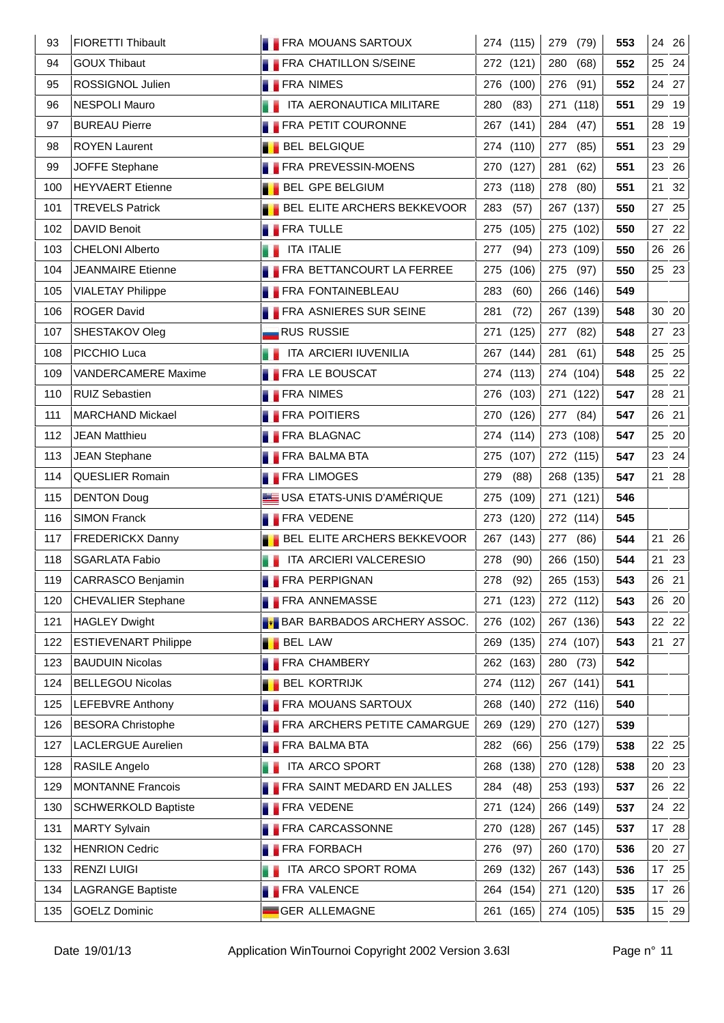| 93  | FIORETTI Thibault           | <b>FRA MOUANS SARTOUX</b>            | 274 (115)    | 279 (79)             | 553 | 24 26    |
|-----|-----------------------------|--------------------------------------|--------------|----------------------|-----|----------|
| 94  | <b>GOUX Thibaut</b>         | <b>FRA CHATILLON S/SEINE</b>         | 272 (121)    | 280<br>(68)          | 552 | 25 24    |
| 95  | ROSSIGNOL Julien            | <b>FRA NIMES</b>                     | 276 (100)    | 276<br>(91)          | 552 | 24 27    |
| 96  | <b>NESPOLI Mauro</b>        | ITA AERONAUTICA MILITARE             | 280 (83)     | 271 (118)            | 551 | 29 19    |
| 97  | <b>BUREAU Pierre</b>        | <b>FRA PETIT COURONNE</b>            | 267 (141)    | (47)<br>284          | 551 | 28 19    |
| 98  | <b>ROYEN Laurent</b>        | <b>BEL BELGIQUE</b>                  | 274 (110)    | 277<br>(85)          | 551 | 23 29    |
| 99  | JOFFE Stephane              | <b>FRA PREVESSIN-MOENS</b>           | 270 (127)    | 281<br>(62)          | 551 | 23 26    |
| 100 | <b>HEYVAERT</b> Etienne     | <b>BEL GPE BELGIUM</b>               | 273 (118)    | 278 (80)             | 551 | 21 32    |
| 101 | <b>TREVELS Patrick</b>      | <b>BEL ELITE ARCHERS BEKKEVOOR</b>   | 283<br>(57)  | 267 (137)            | 550 | 25<br>27 |
| 102 | <b>DAVID Benoit</b>         | <b>FRA TULLE</b>                     | 275 (105)    | 275 (102)            | 550 | 27 22    |
| 103 | CHELONI Alberto             | <b>THE ITA ITALIE</b>                | 277<br>(94)  | 273 (109)            | 550 | 26 26    |
| 104 | <b>JEANMAIRE Etienne</b>    | <b>FRA BETTANCOURT LA FERREE</b>     | 275<br>(106) | 275<br>(97)          | 550 | 25 23    |
| 105 | <b>VIALETAY Philippe</b>    | <b>FRA FONTAINEBLEAU</b>             | 283<br>(60)  | 266 (146)            | 549 |          |
| 106 | <b>ROGER David</b>          | FRA ASNIERES SUR SEINE               | 281<br>(72)  | 267 (139)            | 548 | 30 20    |
| 107 | SHESTAKOV Oleg              | <b>RUS RUSSIE</b>                    | 271<br>(125) | 277 (82)             | 548 | 27 23    |
| 108 | PICCHIO Luca                | <b>THE ITA ARCIERI IUVENILIA</b>     | 267 (144)    | 281<br>(61)          | 548 | 25 25    |
| 109 | <b>VANDERCAMERE Maxime</b>  | <b>FRA LE BOUSCAT</b>                | 274 (113)    | 274 (104)            | 548 | 25 22    |
| 110 | <b>RUIZ Sebastien</b>       | <b>FRA NIMES</b>                     | 276 (103)    | 271 (122)            | 547 | 28 21    |
| 111 | <b>MARCHAND Mickael</b>     | <b>FRA POITIERS</b>                  | 270 (126)    | 277 (84)             | 547 | 26 21    |
| 112 | <b>JEAN Matthieu</b>        | <b>FRA BLAGNAC</b>                   | 274 (114)    | 273 (108)            | 547 | 25 20    |
| 113 | <b>JEAN Stephane</b>        | <b>FRA BALMA BTA</b>                 | 275 (107)    | 272 (115)            | 547 | 23 24    |
| 114 | QUESLIER Romain             | <b>FRA LIMOGES</b>                   | 279<br>(88)  | 268 (135)            | 547 | 21 28    |
| 115 | <b>DENTON Doug</b>          | USA ETATS-UNIS D'AMÉRIQUE            | 275 (109)    | 271 (121)            | 546 |          |
| 116 | <b>SIMON Franck</b>         | <b>FRA VEDENE</b>                    | 273 (120)    | 272 (114)            | 545 |          |
| 117 | <b>FREDERICKX Danny</b>     | <b>BEL ELITE ARCHERS BEKKEVOOR</b>   | 267 (143)    | 277 (86)             | 544 | 21 26    |
| 118 | SGARLATA Fabio              | <b>THE ITA ARCIERI VALCERESIO</b>    | 278 (90)     | 266 (150)            | 544 | 21 23    |
| 119 | CARRASCO Benjamin           | <b>FRA PERPIGNAN</b>                 |              | 278 (92)   265 (153) | 543 | $26$ 21  |
| 120 | <b>CHEVALIER Stephane</b>   | <b>FRA ANNEMASSE</b>                 | 271<br>(123) | 272 (112)            | 543 | 26<br>20 |
| 121 | <b>HAGLEY Dwight</b>        | <b>F</b> BAR BARBADOS ARCHERY ASSOC. | 276 (102)    | 267 (136)            | 543 | 22<br>22 |
| 122 | <b>ESTIEVENART Philippe</b> | <b>BEL LAW</b><br>. .                | 269<br>(135) | 274 (107)            | 543 | 21 27    |
| 123 | <b>BAUDUIN Nicolas</b>      | <b>FRA CHAMBERY</b>                  | 262 (163)    | 280<br>(73)          | 542 |          |
| 124 | <b>BELLEGOU Nicolas</b>     | <b>BEL KORTRIJK</b>                  | 274 (112)    | 267 (141)            | 541 |          |
| 125 | LEFEBVRE Anthony            | <b>FRA MOUANS SARTOUX</b>            | 268 (140)    | 272 (116)            | 540 |          |
| 126 | <b>BESORA Christophe</b>    | <b>FRA ARCHERS PETITE CAMARGUE</b>   | 269<br>(129) | 270 (127)            | 539 |          |
| 127 | <b>LACLERGUE Aurelien</b>   | <b>FRA BALMA BTA</b>                 | 282<br>(66)  | 256 (179)            | 538 | 22<br>25 |
| 128 | RASILE Angelo               | ITA ARCO SPORT                       | 268<br>(138) | 270 (128)            | 538 | 20 23    |
| 129 | <b>MONTANNE Francois</b>    | <b>FRA SAINT MEDARD EN JALLES</b>    | 284<br>(48)  | 253 (193)            | 537 | 26 22    |
| 130 | <b>SCHWERKOLD Baptiste</b>  | <b>FRA VEDENE</b>                    | 271<br>(124) | 266 (149)            | 537 | 22<br>24 |
| 131 | <b>MARTY Sylvain</b>        | <b>FRA CARCASSONNE</b>               | 270<br>(128) | 267 (145)            | 537 | 28<br>17 |
| 132 | <b>HENRION Cedric</b>       | <b>FRA FORBACH</b>                   | 276<br>(97)  | 260 (170)            | 536 | 20 27    |
| 133 | <b>RENZI LUIGI</b>          | ITA ARCO SPORT ROMA                  | 269 (132)    | 267 (143)            | 536 | 17 25    |
| 134 | <b>LAGRANGE Baptiste</b>    | <b>FRA VALENCE</b>                   | 264 (154)    | 271 (120)            | 535 | 17 26    |
| 135 | <b>GOELZ Dominic</b>        | <b>GER ALLEMAGNE</b>                 | 261 (165)    | 274 (105)            | 535 | 15 29    |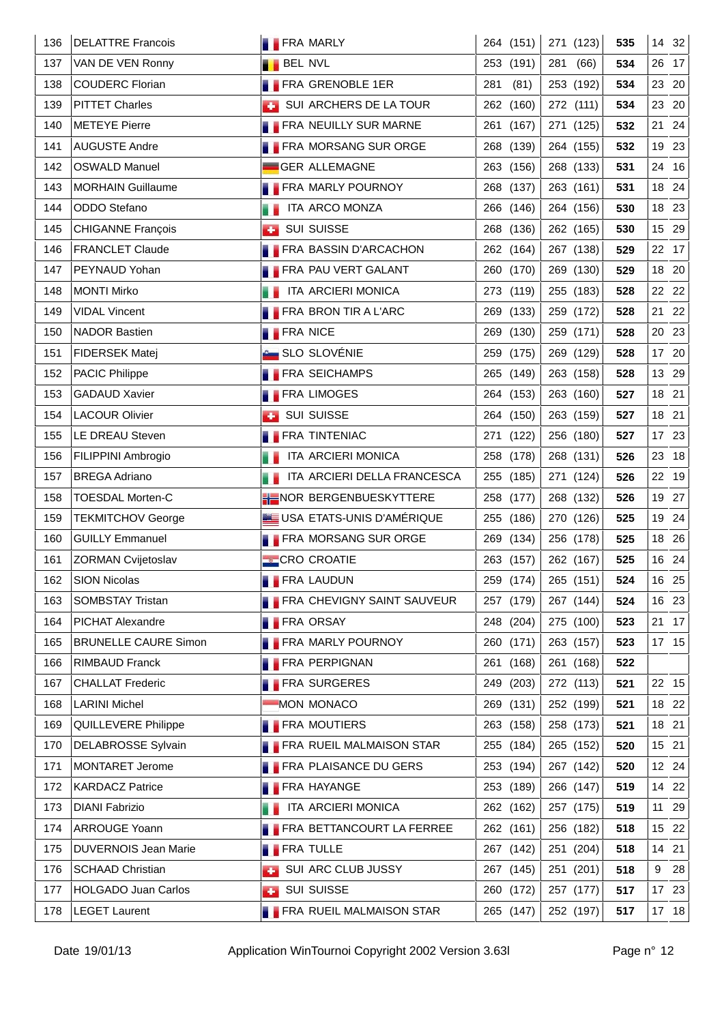| 136 | <b>DELATTRE Francois</b>    | <b>FRA MARLY</b>                 | 264 (151)    | 271 (123)             | 535 | 14 32    |
|-----|-----------------------------|----------------------------------|--------------|-----------------------|-----|----------|
| 137 | VAN DE VEN Ronny            | <b>BEL NVL</b>                   | 253 (191)    | 281<br>(66)           | 534 | 26 17    |
| 138 | <b>COUDERC Florian</b>      | FRA GRENOBLE 1ER                 | 281<br>(81)  | 253 (192)             | 534 | 23 20    |
| 139 | <b>PITTET Charles</b>       | SUI ARCHERS DE LA TOUR           | 262 (160)    | 272 (111)             | 534 | 23 20    |
| 140 | <b>METEYE Pierre</b>        | <b>FRA NEUILLY SUR MARNE</b>     | 261<br>(167) | 271 (125)             | 532 | 21 24    |
| 141 | <b>AUGUSTE Andre</b>        | <b>FRA MORSANG SUR ORGE</b>      | 268 (139)    | 264 (155)             | 532 | 19 23    |
| 142 | <b>OSWALD Manuel</b>        | <b>GER ALLEMAGNE</b>             | 263 (156)    | 268 (133)             | 531 | 24 16    |
| 143 | <b>MORHAIN Guillaume</b>    | <b>FRA MARLY POURNOY</b>         | 268 (137)    | 263 (161)             | 531 | 18 24    |
| 144 | ODDO Stefano                | ITA ARCO MONZA                   | 266 (146)    | 264 (156)             | 530 | 18 23    |
| 145 | <b>CHIGANNE François</b>    | SUI SUISSE<br><b>CO</b>          | 268 (136)    | 262 (165)             | 530 | 15 29    |
| 146 | <b>FRANCLET Claude</b>      | <b>FRA BASSIN D'ARCACHON</b>     | 262 (164)    | 267 (138)             | 529 | 22 17    |
| 147 | PEYNAUD Yohan               | <b>FRA PAU VERT GALANT</b>       | 260 (170)    | 269 (130)             | 529 | 18 20    |
| 148 | <b>MONTI Mirko</b>          | ITA ARCIERI MONICA               | 273 (119)    | 255 (183)             | 528 | 22 22    |
| 149 | <b>VIDAL Vincent</b>        | <b>FRA BRON TIR A L'ARC</b>      | 269 (133)    | 259 (172)             | 528 | 21<br>22 |
| 150 | <b>NADOR Bastien</b>        | <b>FRA NICE</b>                  | 269 (130)    | 259 (171)             | 528 | 20 23    |
| 151 | FIDERSEK Matej              | <b>SLO SLOVÉNIE</b>              | 259 (175)    | 269 (129)             | 528 | 17 20    |
| 152 | PACIC Philippe              | <b>FRA SEICHAMPS</b>             | 265 (149)    | 263 (158)             | 528 | 13 29    |
| 153 | <b>GADAUD Xavier</b>        | <b>FRA LIMOGES</b>               | 264 (153)    | 263 (160)             | 527 | 18 21    |
| 154 | <b>LACOUR Olivier</b>       | <b>BUI SUISSE</b>                | 264 (150)    | 263 (159)             | 527 | 18 21    |
| 155 | LE DREAU Steven             | <b>FRA TINTENIAC</b>             | 271 (122)    | 256 (180)             | 527 | 17 23    |
| 156 | FILIPPINI Ambrogio          | ITA ARCIERI MONICA               | 258 (178)    | 268 (131)             | 526 | 23 18    |
| 157 | <b>BREGA Adriano</b>        | ITA ARCIERI DELLA FRANCESCA      | 255 (185)    | 271 (124)             | 526 | 22 19    |
| 158 | <b>TOESDAL Morten-C</b>     | HENOR BERGENBUESKYTTERE          | 258 (177)    | 268 (132)             | 526 | 19 27    |
| 159 | <b>TEKMITCHOV George</b>    | USA ETATS-UNIS D'AMÉRIQUE        | 255 (186)    | 270 (126)             | 525 | 19 24    |
| 160 | <b>GUILLY Emmanuel</b>      | <b>FRA MORSANG SUR ORGE</b>      | 269 (134)    | 256 (178)             | 525 | 18 26    |
| 161 | ZORMAN Cvijetoslav          | <b>CRO CROATIE</b>               | 263 (157)    | 262 (167)             | 525 | 16 24    |
| 162 | SION Nicolas                | <b>FRA LAUDUN</b>                |              | 259 (174)   265 (151) | 524 | 16 25    |
| 163 | <b>SOMBSTAY Tristan</b>     | FRA CHEVIGNY SAINT SAUVEUR       | 257 (179)    | 267 (144)             | 524 | 16 23    |
| 164 | PICHAT Alexandre            | <b>FRA ORSAY</b>                 | 248 (204)    | 275 (100)             | 523 | 21 17    |
| 165 | <b>BRUNELLE CAURE Simon</b> | <b>FRA MARLY POURNOY</b>         | 260 (171)    | 263 (157)             | 523 | 17 15    |
| 166 | <b>RIMBAUD Franck</b>       | <b>FRA PERPIGNAN</b>             | 261 (168)    | 261 (168)             | 522 |          |
| 167 | <b>CHALLAT Frederic</b>     | <b>FRA SURGERES</b>              | 249<br>(203) | 272 (113)             | 521 | 22 15    |
| 168 | <b>LARINI Michel</b>        | MON MONACO                       | 269 (131)    | 252 (199)             | 521 | 18 22    |
| 169 | QUILLEVERE Philippe         | <b>FRA MOUTIERS</b>              | 263 (158)    | 258 (173)             | 521 | 18 21    |
| 170 | <b>DELABROSSE Sylvain</b>   | <b>FRA RUEIL MALMAISON STAR</b>  | 255 (184)    | 265 (152)             | 520 | 15 21    |
| 171 | MONTARET Jerome             | <b>FRA PLAISANCE DU GERS</b>     | 253 (194)    | 267 (142)             | 520 | 12 24    |
| 172 | <b>KARDACZ Patrice</b>      | <b>FRA HAYANGE</b>               | 253 (189)    | 266 (147)             | 519 | 14 22    |
| 173 | <b>DIANI Fabrizio</b>       | ITA ARCIERI MONICA               | 262 (162)    | 257 (175)             | 519 | 11 29    |
| 174 | <b>ARROUGE Yoann</b>        | <b>FRA BETTANCOURT LA FERREE</b> | 262 (161)    | 256 (182)             | 518 | 15 22    |
| 175 | <b>DUVERNOIS Jean Marie</b> | <b>FRA TULLE</b>                 | 267 (142)    | 251 (204)             | 518 | 14 21    |
| 176 | <b>SCHAAD Christian</b>     | SUI ARC CLUB JUSSY               | 267 (145)    | 251 (201)             | 518 | 28<br>9  |
| 177 | <b>HOLGADO Juan Carlos</b>  | <b>SUI SUISSE</b><br>a ba        | 260 (172)    | 257 (177)             | 517 | 17 23    |
| 178 | <b>LEGET Laurent</b>        | <b>FRA RUEIL MALMAISON STAR</b>  | 265 (147)    | 252 (197)             | 517 | $17$ 18  |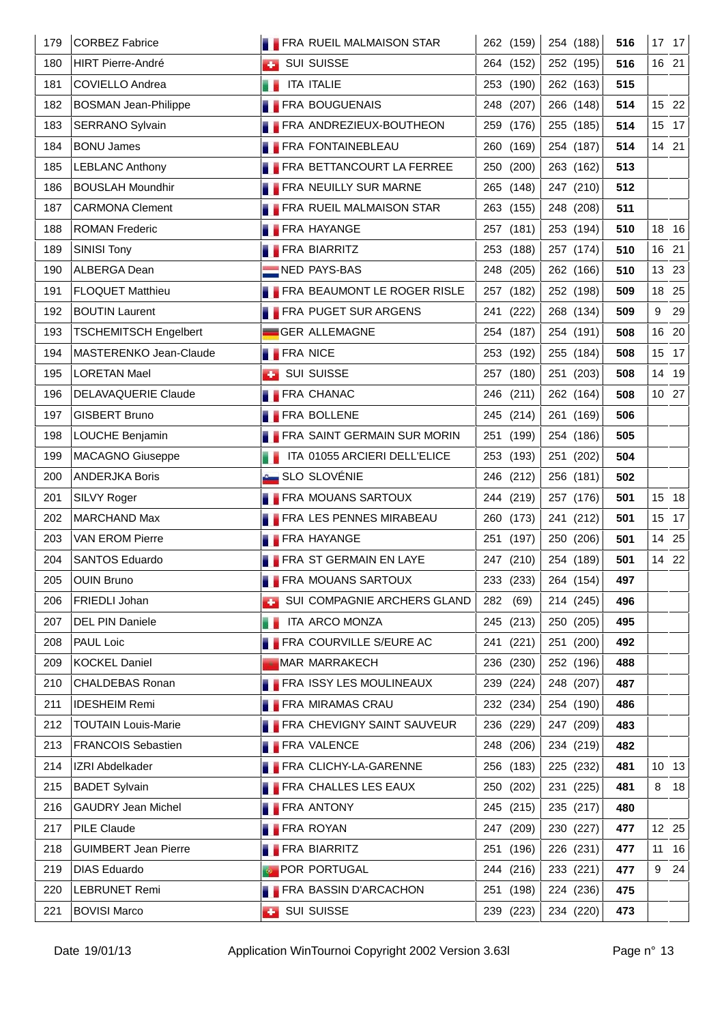| 179 | <b>CORBEZ Fabrice</b>        |                 | <b>FRA RUEIL MALMAISON STAR</b>    |     | 262 (159)           |           | 254 (188) | 516 |    | 17 17 |
|-----|------------------------------|-----------------|------------------------------------|-----|---------------------|-----------|-----------|-----|----|-------|
| 180 | <b>HIRT Pierre-André</b>     | <b>COL</b>      | <b>SUI SUISSE</b>                  |     | 264 (152)           | 252 (195) |           | 516 |    | 16 21 |
| 181 | COVIELLO Andrea              |                 | <b>ITA ITALIE</b>                  |     | 253 (190)           |           | 262 (163) | 515 |    |       |
| 182 | <b>BOSMAN Jean-Philippe</b>  |                 | <b>FRA BOUGUENAIS</b>              |     | 248 (207)           | 266 (148) |           | 514 |    | 15 22 |
| 183 | SERRANO Sylvain              |                 | <b>FRA ANDREZIEUX-BOUTHEON</b>     |     | 259 (176)           | 255 (185) |           | 514 |    | 15 17 |
| 184 | <b>BONU James</b>            |                 | <b>FRA FONTAINEBLEAU</b>           |     | 260 (169)           |           | 254 (187) | 514 |    | 14 21 |
| 185 | <b>LEBLANC Anthony</b>       |                 | <b>FRA BETTANCOURT LA FERREE</b>   |     | 250 (200)           | 263 (162) |           | 513 |    |       |
| 186 | <b>BOUSLAH Moundhir</b>      |                 | <b>FRA NEUILLY SUR MARNE</b>       |     | 265 (148)           | 247 (210) |           | 512 |    |       |
| 187 | <b>CARMONA Clement</b>       |                 | <b>FRA RUEIL MALMAISON STAR</b>    |     | 263 (155)           | 248 (208) |           | 511 |    |       |
| 188 | <b>ROMAN Frederic</b>        |                 | <b>FRA HAYANGE</b>                 |     | 257 (181)           | 253 (194) |           | 510 |    | 18 16 |
| 189 | SINISI Tony                  |                 | <b>FRA BIARRITZ</b>                |     | 253 (188)           |           | 257 (174) | 510 |    | 16 21 |
| 190 | ALBERGA Dean                 |                 | NED PAYS-BAS                       |     | 248 (205)           |           | 262 (166) | 510 |    | 13 23 |
| 191 | <b>FLOQUET Matthieu</b>      |                 | FRA BEAUMONT LE ROGER RISLE        |     | 257 (182)           |           | 252 (198) | 509 |    | 18 25 |
| 192 | <b>BOUTIN Laurent</b>        |                 | <b>FRA PUGET SUR ARGENS</b>        |     | 241 (222)           | 268 (134) |           | 509 | 9  | 29    |
| 193 | <b>TSCHEMITSCH Engelbert</b> |                 | <b>GER ALLEMAGNE</b>               |     | 254 (187)           |           | 254 (191) | 508 |    | 16 20 |
| 194 | MASTERENKO Jean-Claude       | <b>FRA NICE</b> |                                    |     | 253 (192)           | 255 (184) |           | 508 |    | 15 17 |
| 195 | <b>LORETAN Mael</b>          |                 | <b>BUI SUISSE</b>                  |     | 257 (180)           | 251 (203) |           | 508 |    | 14 19 |
| 196 | DELAVAQUERIE Claude          |                 | <b>FRA CHANAC</b>                  |     | 246 (211)           |           | 262 (164) | 508 |    | 10 27 |
| 197 | <b>GISBERT Bruno</b>         |                 | <b>FRA BOLLENE</b>                 |     | 245 (214)           |           | 261 (169) | 506 |    |       |
| 198 | LOUCHE Benjamin              |                 | <b>FRA SAINT GERMAIN SUR MORIN</b> |     | 251 (199)           | 254 (186) |           | 505 |    |       |
| 199 | <b>MACAGNO Giuseppe</b>      |                 | ITA 01055 ARCIERI DELL'ELICE       |     | 253 (193)           | 251 (202) |           | 504 |    |       |
| 200 | <b>ANDERJKA Boris</b>        |                 | <b>A</b> SLO SLOVÉNIE              |     | 246 (212)           |           | 256 (181) | 502 |    |       |
| 201 | SILVY Roger                  |                 | <b>FRA MOUANS SARTOUX</b>          |     | 244 (219)           | 257 (176) |           | 501 |    | 15 18 |
| 202 | <b>MARCHAND Max</b>          |                 | <b>FRA LES PENNES MIRABEAU</b>     |     | 260 (173)           |           | 241 (212) | 501 |    | 15 17 |
| 203 | <b>VAN EROM Pierre</b>       |                 | <b>FRA HAYANGE</b>                 |     | 251 (197)           |           | 250 (206) | 501 |    | 14 25 |
| 204 | SANTOS Eduardo               |                 | <b>FRA ST GERMAIN EN LAYE</b>      |     | 247 (210)           | 254 (189) |           | 501 |    | 14 22 |
| 205 | OUIN Bruno                   |                 | <b>FRA MOUANS SARTOUX</b>          |     | 233 (233) 264 (154) |           |           | 497 |    |       |
| 206 | FRIEDLI Johan                |                 | SUI COMPAGNIE ARCHERS GLAND        |     | 282 (69)            | 214 (245) |           | 496 |    |       |
| 207 | DEL PIN Daniele              |                 | ITA ARCO MONZA                     |     | 245 (213)           | 250 (205) |           | 495 |    |       |
| 208 | PAUL Loic                    |                 | <b>FRA COURVILLE S/EURE AC</b>     | 241 | (221)               | 251 (200) |           | 492 |    |       |
| 209 | <b>KOCKEL Daniel</b>         |                 | <b>MAR MARRAKECH</b>               |     | 236 (230)           | 252 (196) |           | 488 |    |       |
| 210 | <b>CHALDEBAS Ronan</b>       |                 | <b>FRA ISSY LES MOULINEAUX</b>     |     | 239 (224)           |           | 248 (207) | 487 |    |       |
| 211 | <b>IDESHEIM Remi</b>         |                 | <b>FRA MIRAMAS CRAU</b>            |     | 232 (234)           | 254 (190) |           | 486 |    |       |
| 212 | <b>TOUTAIN Louis-Marie</b>   |                 | FRA CHEVIGNY SAINT SAUVEUR         |     | 236 (229)           | 247 (209) |           | 483 |    |       |
| 213 | <b>FRANCOIS Sebastien</b>    |                 | <b>FRA VALENCE</b>                 |     | 248 (206)           | 234 (219) |           | 482 |    |       |
| 214 | IZRI Abdelkader              |                 | <b>FRA CLICHY-LA-GARENNE</b>       |     | 256 (183)           | 225 (232) |           | 481 |    | 10 13 |
| 215 | <b>BADET Sylvain</b>         |                 | <b>FRA CHALLES LES EAUX</b>        |     | 250 (202)           |           | 231 (225) | 481 | 8  | 18    |
| 216 | <b>GAUDRY Jean Michel</b>    |                 | <b>FRA ANTONY</b>                  |     | 245 (215)           |           | 235 (217) | 480 |    |       |
| 217 | PILE Claude                  |                 | <b>FRA ROYAN</b>                   |     | 247 (209)           | 230 (227) |           | 477 |    | 12 25 |
| 218 | <b>GUIMBERT Jean Pierre</b>  |                 | <b>FRA BIARRITZ</b>                |     | 251 (196)           |           | 226 (231) | 477 | 11 | 16    |
| 219 | <b>DIAS Eduardo</b>          |                 | <b>POR PORTUGAL</b>                |     | 244 (216)           |           | 233 (221) | 477 | 9  | 24    |
| 220 | LEBRUNET Remi                |                 | <b>FRA BASSIN D'ARCACHON</b>       |     | 251 (198)           | 224 (236) |           | 475 |    |       |
| 221 | <b>BOVISI Marco</b>          |                 | <b>BUI SUISSE</b>                  |     | 239 (223)           |           | 234 (220) | 473 |    |       |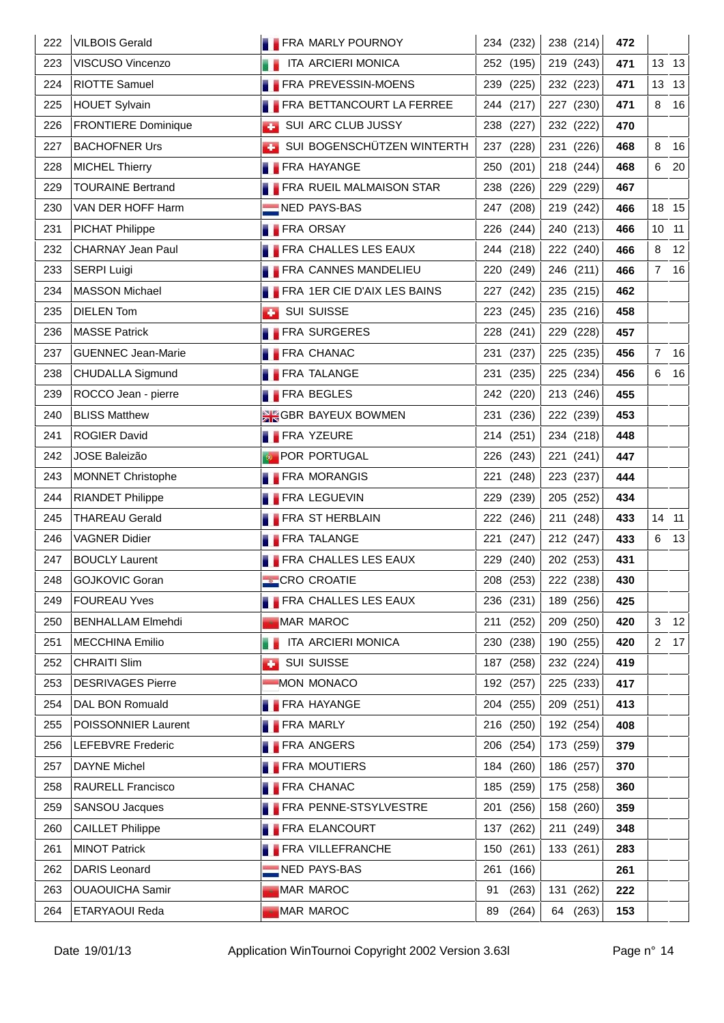| 222 | <b>VILBOIS Gerald</b>      | <b>FRA MARLY POURNOY</b>         | 234 (232)   | 238 (214)             | 472 |                |       |
|-----|----------------------------|----------------------------------|-------------|-----------------------|-----|----------------|-------|
| 223 | VISCUSO Vincenzo           | <b>THE ITA ARCIERI MONICA</b>    | 252 (195)   | 219 (243)             | 471 |                | 13 13 |
| 224 | <b>RIOTTE Samuel</b>       | <b>FRA PREVESSIN-MOENS</b>       | 239 (225)   | 232 (223)             | 471 |                | 13 13 |
| 225 | <b>HOUET Sylvain</b>       | <b>FRA BETTANCOURT LA FERREE</b> | 244 (217)   | 227 (230)             | 471 | 8              | 16    |
| 226 | <b>FRONTIERE Dominique</b> | SUI ARC CLUB JUSSY               | 238 (227)   | 232 (222)             | 470 |                |       |
| 227 | <b>BACHOFNER Urs</b>       | SUI BOGENSCHÜTZEN WINTERTH       | 237 (228)   | 231 (226)             | 468 | 8              | 16    |
| 228 | <b>MICHEL Thierry</b>      | <b>FRA HAYANGE</b>               | 250 (201)   | 218 (244)             | 468 | 6              | 20    |
| 229 | <b>TOURAINE Bertrand</b>   | <b>FRA RUEIL MALMAISON STAR</b>  | 238 (226)   | 229 (229)             | 467 |                |       |
| 230 | VAN DER HOFF Harm          | NED PAYS-BAS                     | 247 (208)   | 219 (242)             | 466 |                | 18 15 |
| 231 | <b>PICHAT Philippe</b>     | <b>FRA ORSAY</b>                 | 226 (244)   | 240 (213)             | 466 | 10 11          |       |
| 232 | CHARNAY Jean Paul          | <b>FRA CHALLES LES EAUX</b>      | 244 (218)   | 222 (240)             | 466 | 8              | 12    |
| 233 | <b>SERPI Luigi</b>         | <b>FRA CANNES MANDELIEU</b>      | 220 (249)   | 246 (211)             | 466 | $\overline{7}$ | 16    |
| 234 | <b>MASSON Michael</b>      | FRA 1ER CIE D'AIX LES BAINS      | 227 (242)   | 235 (215)             | 462 |                |       |
| 235 | <b>DIELEN Tom</b>          | <b>BUI SUISSE</b>                | 223 (245)   | 235 (216)             | 458 |                |       |
| 236 | <b>MASSE Patrick</b>       | <b>FRA SURGERES</b>              | 228 (241)   | 229 (228)             | 457 |                |       |
| 237 | <b>GUENNEC Jean-Marie</b>  | <b>FRA CHANAC</b>                | 231 (237)   | 225 (235)             | 456 | $\overline{7}$ | 16    |
| 238 | CHUDALLA Sigmund           | <b>FRA TALANGE</b>               | 231 (235)   | 225 (234)             | 456 | 6              | 16    |
| 239 | ROCCO Jean - pierre        | <b>FRA BEGLES</b>                | 242 (220)   | 213 (246)             | 455 |                |       |
| 240 | <b>BLISS Matthew</b>       | <b>SIG GBR BAYEUX BOWMEN</b>     | 231 (236)   | 222 (239)             | 453 |                |       |
| 241 | <b>ROGIER David</b>        | <b>FRA YZEURE</b>                | 214 (251)   | 234 (218)             | 448 |                |       |
| 242 | <b>JOSE Baleizão</b>       | <b>POR PORTUGAL</b>              | 226 (243)   | 221 (241)             | 447 |                |       |
| 243 | <b>MONNET Christophe</b>   | <b>FRA MORANGIS</b>              | 221 (248)   | 223 (237)             | 444 |                |       |
| 244 | <b>RIANDET Philippe</b>    | <b>FRA LEGUEVIN</b>              | 229 (239)   | 205 (252)             | 434 |                |       |
| 245 | <b>THAREAU Gerald</b>      | <b>FRA ST HERBLAIN</b>           | 222 (246)   | 211 (248)             | 433 | 14 11          |       |
| 246 | <b>VAGNER Didier</b>       | <b>FRA TALANGE</b>               | 221 (247)   | 212 (247)             | 433 | 6              | 13    |
| 247 | <b>BOUCLY Laurent</b>      | <b>FRA CHALLES LES EAUX</b>      | 229 (240)   | 202 (253)             | 431 |                |       |
| 248 | GOJKOVIC Goran             | <b>CRO CROATIE</b>               |             | 208 (253)   222 (238) | 430 |                |       |
| 249 | <b>FOUREAU Yves</b>        | <b>FRA CHALLES LES EAUX</b>      | 236 (231)   | 189 (256)             | 425 |                |       |
| 250 | <b>BENHALLAM Elmehdi</b>   | MAR MAROC                        | 211 (252)   | 209 (250)             | 420 | 3              | 12    |
| 251 | <b>MECCHINA Emilio</b>     | ITA ARCIERI MONICA               | 230 (238)   | 190 (255)             | 420 | $\overline{2}$ | 17    |
| 252 | <b>CHRAITI Slim</b>        | <b>BUI SUISSE</b>                | 187 (258)   | 232 (224)             | 419 |                |       |
| 253 | <b>DESRIVAGES Pierre</b>   | MON MONACO                       | 192 (257)   | 225 (233)             | 417 |                |       |
| 254 | DAL BON Romuald            | <b>FRA HAYANGE</b>               | 204 (255)   | 209 (251)             | 413 |                |       |
| 255 | POISSONNIER Laurent        | <b>FRA MARLY</b>                 | 216 (250)   | 192 (254)             | 408 |                |       |
| 256 | <b>LEFEBVRE Frederic</b>   | <b>FRA ANGERS</b>                | 206 (254)   | 173 (259)             | 379 |                |       |
| 257 | <b>DAYNE Michel</b>        | <b>FRA MOUTIERS</b>              | 184 (260)   | 186 (257)             | 370 |                |       |
| 258 | RAURELL Francisco          | <b>FRA CHANAC</b>                | 185 (259)   | 175 (258)             | 360 |                |       |
| 259 | SANSOU Jacques             | <b>FRA PENNE-STSYLVESTRE</b>     | 201 (256)   | 158 (260)             | 359 |                |       |
| 260 | <b>CAILLET Philippe</b>    | <b>FRA ELANCOURT</b>             | 137 (262)   | 211 (249)             | 348 |                |       |
| 261 | <b>MINOT Patrick</b>       | <b>FRA VILLEFRANCHE</b>          | 150 (261)   | 133 (261)             | 283 |                |       |
| 262 | DARIS Leonard              | NED PAYS-BAS                     | 261 (166)   |                       | 261 |                |       |
| 263 | <b>OUAOUICHA Samir</b>     | <b>MAR MAROC</b>                 | (263)<br>91 | 131 (262)             | 222 |                |       |
| 264 | ETARYAOUI Reda             | <b>MAR MAROC</b>                 | (264)<br>89 | 64 (263)              | 153 |                |       |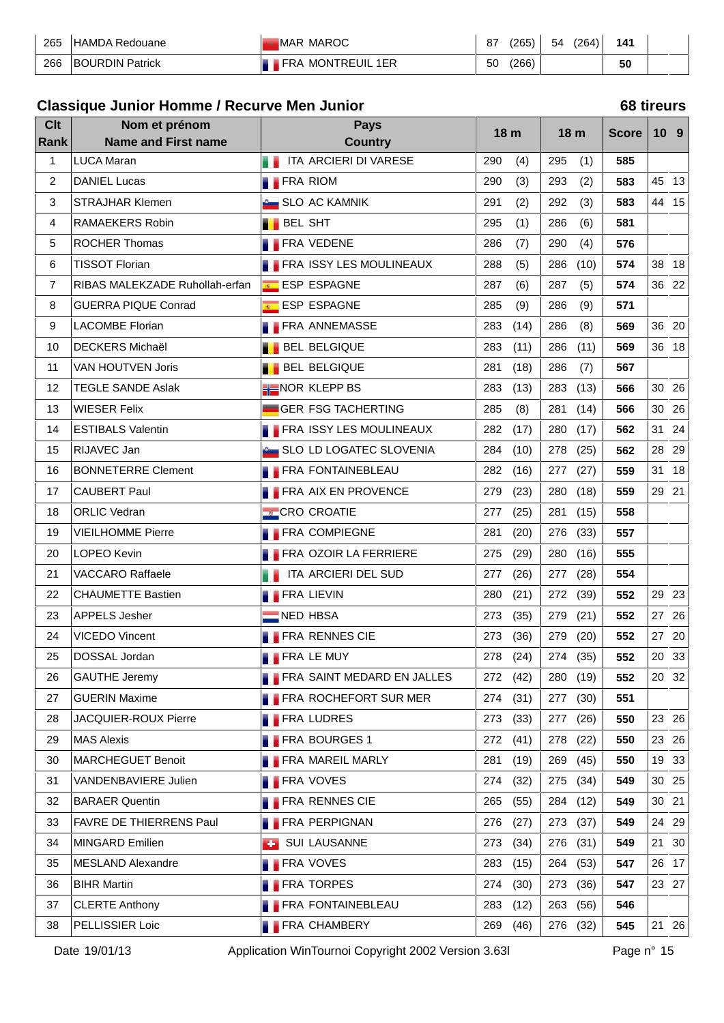| 265 | HAMDA Redouane         | MAROC<br>ZMAP.              | 07<br>01 | 265   | 54 | '264) | 141                |  |
|-----|------------------------|-----------------------------|----------|-------|----|-------|--------------------|--|
| 266 | <b>BOURDIN Patrick</b> | <b>MONTREUIL 1ER</b><br>FRA | 50       | (266) |    |       | $F^{\prime}$<br>วบ |  |

### **Classique Junior Homme / Recurve Men Junior 68 tireurs**

| 18 <sub>m</sub><br>18 m<br><b>Score</b><br><b>Name and First name</b><br><b>Country</b><br>Rank<br>ITA ARCIERI DI VARESE<br>1<br><b>LUCA Maran</b><br>290<br>(4)<br>295<br>585<br>(1)<br>. .<br>$\overline{2}$<br><b>FRA RIOM</b><br>290<br>(3)<br><b>DANIEL Lucas</b><br>293<br>(2)<br>583<br>3<br><b>STRAJHAR Klemen</b><br><b>Computer SLO AC KAMNIK</b><br>291<br>(2)<br>292<br>583<br>(3)<br><b>BEL SHT</b><br>4<br>RAMAEKERS Robin<br>295<br>(1)<br>286<br>581<br>(6)<br>ROCHER Thomas<br><b>FRA VEDENE</b><br>5<br>286<br>(4)<br>(7)<br>290<br>576<br><b>TISSOT Florian</b><br>6<br><b>FRA ISSY LES MOULINEAUX</b><br>288<br>(5)<br>(10)<br>574<br>286<br>$\overline{7}$<br>RIBAS MALEKZADE Ruhollah-erfan<br>ESP ESPAGNE<br>287<br>574<br>(6)<br>287<br>(5)<br><b>GUERRA PIQUE Conrad</b><br>ESP ESPAGNE<br>285<br>8<br>(9)<br>286<br>(9)<br>571 | 10 <sub>9</sub><br>45 13<br>44 15<br>38 18<br>36 22<br>36 20<br>36 18<br>30 26<br>30 26 |
|----------------------------------------------------------------------------------------------------------------------------------------------------------------------------------------------------------------------------------------------------------------------------------------------------------------------------------------------------------------------------------------------------------------------------------------------------------------------------------------------------------------------------------------------------------------------------------------------------------------------------------------------------------------------------------------------------------------------------------------------------------------------------------------------------------------------------------------------------------|-----------------------------------------------------------------------------------------|
|                                                                                                                                                                                                                                                                                                                                                                                                                                                                                                                                                                                                                                                                                                                                                                                                                                                          |                                                                                         |
|                                                                                                                                                                                                                                                                                                                                                                                                                                                                                                                                                                                                                                                                                                                                                                                                                                                          |                                                                                         |
|                                                                                                                                                                                                                                                                                                                                                                                                                                                                                                                                                                                                                                                                                                                                                                                                                                                          |                                                                                         |
|                                                                                                                                                                                                                                                                                                                                                                                                                                                                                                                                                                                                                                                                                                                                                                                                                                                          |                                                                                         |
|                                                                                                                                                                                                                                                                                                                                                                                                                                                                                                                                                                                                                                                                                                                                                                                                                                                          |                                                                                         |
|                                                                                                                                                                                                                                                                                                                                                                                                                                                                                                                                                                                                                                                                                                                                                                                                                                                          |                                                                                         |
|                                                                                                                                                                                                                                                                                                                                                                                                                                                                                                                                                                                                                                                                                                                                                                                                                                                          |                                                                                         |
|                                                                                                                                                                                                                                                                                                                                                                                                                                                                                                                                                                                                                                                                                                                                                                                                                                                          |                                                                                         |
|                                                                                                                                                                                                                                                                                                                                                                                                                                                                                                                                                                                                                                                                                                                                                                                                                                                          |                                                                                         |
| 9<br><b>LACOMBE Florian</b><br><b>FRA ANNEMASSE</b><br>283<br>(14)<br>286<br>(8)<br>569                                                                                                                                                                                                                                                                                                                                                                                                                                                                                                                                                                                                                                                                                                                                                                  |                                                                                         |
| 10<br><b>DECKERS Michaël</b><br><b>BEL BELGIQUE</b><br>283<br>(11)<br>(11)<br>286<br>569                                                                                                                                                                                                                                                                                                                                                                                                                                                                                                                                                                                                                                                                                                                                                                 |                                                                                         |
| <b>BEL BELGIQUE</b><br>11<br>VAN HOUTVEN Joris<br>281<br>(18)<br>286<br>(7)<br>567                                                                                                                                                                                                                                                                                                                                                                                                                                                                                                                                                                                                                                                                                                                                                                       |                                                                                         |
| NOR KLEPP BS<br>12<br><b>TEGLE SANDE Aslak</b><br>283<br>(13)<br>(13)<br>566<br>283                                                                                                                                                                                                                                                                                                                                                                                                                                                                                                                                                                                                                                                                                                                                                                      |                                                                                         |
| 13<br><b>WIESER Felix</b><br>GER FSG TACHERTING<br>285<br>(8)<br>281<br>(14)<br>566                                                                                                                                                                                                                                                                                                                                                                                                                                                                                                                                                                                                                                                                                                                                                                      |                                                                                         |
| <b>ESTIBALS Valentin</b><br><b>FRA ISSY LES MOULINEAUX</b><br>282<br>14<br>(17)<br>280<br>(17)<br>562                                                                                                                                                                                                                                                                                                                                                                                                                                                                                                                                                                                                                                                                                                                                                    | 31 24                                                                                   |
| RIJAVEC Jan<br>15<br>SLO LD LOGATEC SLOVENIA<br>284<br>(10)<br>(25)<br>562<br>278                                                                                                                                                                                                                                                                                                                                                                                                                                                                                                                                                                                                                                                                                                                                                                        | 29<br>28                                                                                |
| 16<br><b>BONNETERRE Clement</b><br><b>FRA FONTAINEBLEAU</b><br>282<br>(16)<br>277<br>(27)<br>559                                                                                                                                                                                                                                                                                                                                                                                                                                                                                                                                                                                                                                                                                                                                                         | 31<br>18                                                                                |
| <b>CAUBERT Paul</b><br><b>FRA AIX EN PROVENCE</b><br>279<br>(18)<br>559<br>17<br>(23)<br>280                                                                                                                                                                                                                                                                                                                                                                                                                                                                                                                                                                                                                                                                                                                                                             | 29 21                                                                                   |
| <b>ORLIC Vedran</b><br>558<br>18<br><b>CRO CROATIE</b><br>277<br>(25)<br>281<br>(15)                                                                                                                                                                                                                                                                                                                                                                                                                                                                                                                                                                                                                                                                                                                                                                     |                                                                                         |
| <b>FRA COMPIEGNE</b><br>19<br><b>VIEILHOMME Pierre</b><br>281<br>(20)<br>276<br>(33)<br>557                                                                                                                                                                                                                                                                                                                                                                                                                                                                                                                                                                                                                                                                                                                                                              |                                                                                         |
| <b>FRA OZOIR LA FERRIERE</b><br><b>LOPEO Kevin</b><br>275<br>555<br>20<br>(29)<br>280<br>(16)                                                                                                                                                                                                                                                                                                                                                                                                                                                                                                                                                                                                                                                                                                                                                            |                                                                                         |
| 21<br><b>VACCARO Raffaele</b><br>ITA ARCIERI DEL SUD<br>277<br>(26)<br>(28)<br>554<br>277                                                                                                                                                                                                                                                                                                                                                                                                                                                                                                                                                                                                                                                                                                                                                                |                                                                                         |
| 22<br><b>CHAUMETTE Bastien</b><br><b>FRA LIEVIN</b><br>280<br>(21)<br>552<br>272<br>(39)                                                                                                                                                                                                                                                                                                                                                                                                                                                                                                                                                                                                                                                                                                                                                                 | 29 23                                                                                   |
| <b>APPELS Jesher</b><br>NED HBSA<br>23<br>273<br>(35)<br>(21)<br>552<br>279                                                                                                                                                                                                                                                                                                                                                                                                                                                                                                                                                                                                                                                                                                                                                                              | 27 26                                                                                   |
| <b>FRA RENNES CIE</b><br>24<br><b>VICEDO Vincent</b><br>273<br>(36)<br>279<br>(20)<br>552                                                                                                                                                                                                                                                                                                                                                                                                                                                                                                                                                                                                                                                                                                                                                                | 27 20                                                                                   |
| 278 (24)<br>552<br>25<br>DOSSAL Jordan<br><b>FRA LE MUY</b><br>274 (35)                                                                                                                                                                                                                                                                                                                                                                                                                                                                                                                                                                                                                                                                                                                                                                                  | 20 33                                                                                   |
| <b>GAUTHE Jeremy</b><br><b>FRA SAINT MEDARD EN JALLES</b><br>552<br>26<br>272<br>(42)<br>280 (19)                                                                                                                                                                                                                                                                                                                                                                                                                                                                                                                                                                                                                                                                                                                                                        | 20 32                                                                                   |
| 27<br><b>GUERIN Maxime</b><br><b>FRA ROCHEFORT SUR MER</b><br>274<br>(31)<br>277 (30)<br>551                                                                                                                                                                                                                                                                                                                                                                                                                                                                                                                                                                                                                                                                                                                                                             |                                                                                         |
| <b>FRA LUDRES</b><br>28<br>JACQUIER-ROUX Pierre<br>273<br>(33)<br>277<br>(26)<br>550                                                                                                                                                                                                                                                                                                                                                                                                                                                                                                                                                                                                                                                                                                                                                                     | 23 26                                                                                   |
| <b>MAS Alexis</b><br><b>FRA BOURGES 1</b><br>29<br>272<br>(41)<br>278<br>(22)<br>550                                                                                                                                                                                                                                                                                                                                                                                                                                                                                                                                                                                                                                                                                                                                                                     | 23 26                                                                                   |
| <b>FRA MAREIL MARLY</b><br>281<br>(19)<br>30<br><b>MARCHEGUET Benoit</b><br>269<br>(45)<br>550                                                                                                                                                                                                                                                                                                                                                                                                                                                                                                                                                                                                                                                                                                                                                           | 19 33                                                                                   |
| VANDENBAVIERE Julien<br><b>FRA VOVES</b><br>31<br>274<br>(32)<br>275<br>(34)<br>549                                                                                                                                                                                                                                                                                                                                                                                                                                                                                                                                                                                                                                                                                                                                                                      | 30 25                                                                                   |
| <b>FRA RENNES CIE</b><br>32<br><b>BARAER Quentin</b><br>265<br>(55)<br>284<br>(12)<br>549                                                                                                                                                                                                                                                                                                                                                                                                                                                                                                                                                                                                                                                                                                                                                                | 30 21                                                                                   |
| FAVRE DE THIERRENS Paul<br><b>FRA PERPIGNAN</b><br>33<br>276<br>(27)<br>(37)<br>273<br>549                                                                                                                                                                                                                                                                                                                                                                                                                                                                                                                                                                                                                                                                                                                                                               | 24 29                                                                                   |
| MINGARD Emilien<br>34<br><b>Sec.</b><br>SUI LAUSANNE<br>273<br>(34)<br>276<br>(31)<br>549                                                                                                                                                                                                                                                                                                                                                                                                                                                                                                                                                                                                                                                                                                                                                                | 21 30                                                                                   |
| <b>FRA VOVES</b><br>35<br>MESLAND Alexandre<br>283<br>(15)<br>264<br>(53)<br>547                                                                                                                                                                                                                                                                                                                                                                                                                                                                                                                                                                                                                                                                                                                                                                         | 26 17                                                                                   |
| <b>BIHR Martin</b><br><b>FRA TORPES</b><br>36<br>274<br>(30)<br>273<br>(36)<br>547                                                                                                                                                                                                                                                                                                                                                                                                                                                                                                                                                                                                                                                                                                                                                                       | 23 27                                                                                   |
| <b>FRA FONTAINEBLEAU</b><br>37<br><b>CLERTE Anthony</b><br>283<br>(12)<br>263<br>(56)<br>546                                                                                                                                                                                                                                                                                                                                                                                                                                                                                                                                                                                                                                                                                                                                                             |                                                                                         |
| PELLISSIER Loic<br>38<br><b>FRA CHAMBERY</b><br>269<br>(46)<br>545<br>276 (32)                                                                                                                                                                                                                                                                                                                                                                                                                                                                                                                                                                                                                                                                                                                                                                           | 21 26                                                                                   |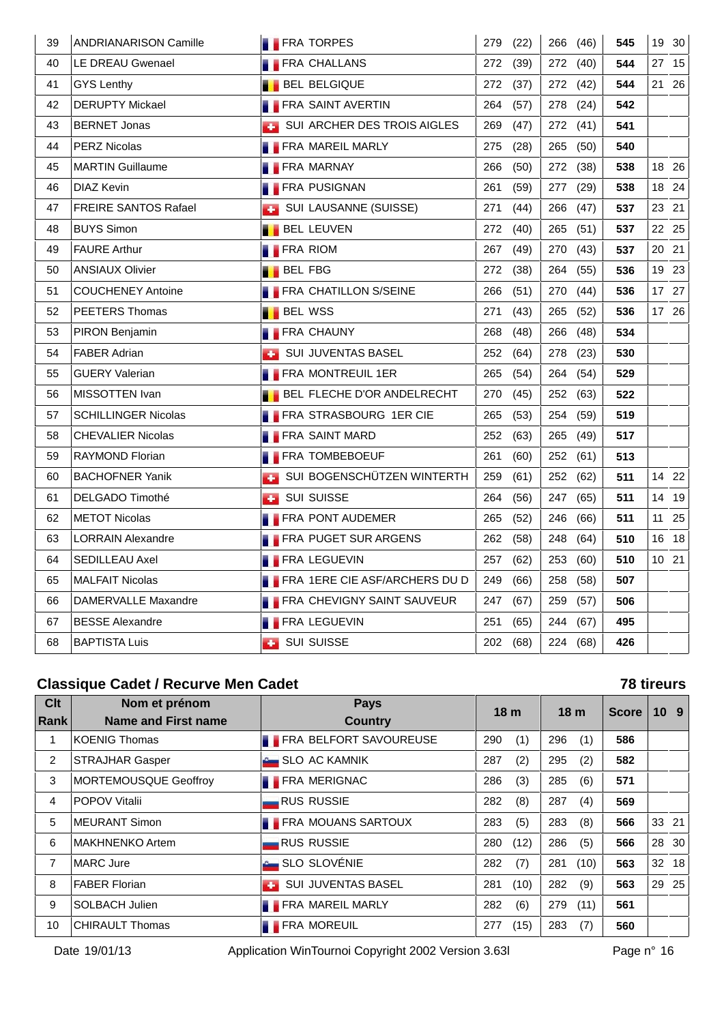| 39 | <b>ANDRIANARISON Camille</b> | <b>FRA TORPES</b>                    | 279<br>(22) | 266<br>(46) | 545 | 19 30 |
|----|------------------------------|--------------------------------------|-------------|-------------|-----|-------|
| 40 | LE DREAU Gwenael             | <b>FRA CHALLANS</b>                  | 272<br>(39) | 272<br>(40) | 544 | 27 15 |
| 41 | GYS Lenthy                   | <b>BEL BELGIQUE</b>                  | 272<br>(37) | 272 (42)    | 544 | 21 26 |
| 42 | <b>DERUPTY Mickael</b>       | <b>FRA SAINT AVERTIN</b>             | 264<br>(57) | 278<br>(24) | 542 |       |
| 43 | <b>BERNET Jonas</b>          | SUI ARCHER DES TROIS AIGLES          | 269<br>(47) | 272<br>(41) | 541 |       |
| 44 | <b>PERZ Nicolas</b>          | <b>FRA MAREIL MARLY</b>              | 275<br>(28) | 265<br>(50) | 540 |       |
| 45 | <b>MARTIN Guillaume</b>      | <b>FRA MARNAY</b>                    | 266<br>(50) | 272<br>(38) | 538 | 18 26 |
| 46 | DIAZ Kevin                   | <b>FRA PUSIGNAN</b>                  | 261<br>(59) | 277<br>(29) | 538 | 18 24 |
| 47 | <b>FREIRE SANTOS Rafael</b>  | SUI LAUSANNE (SUISSE)                | 271<br>(44) | (47)<br>266 | 537 | 23 21 |
| 48 | <b>BUYS Simon</b>            | <b>BEL LEUVEN</b>                    | 272<br>(40) | (51)<br>265 | 537 | 22 25 |
| 49 | <b>FAURE Arthur</b>          | <b>FRA RIOM</b>                      | 267<br>(49) | 270<br>(43) | 537 | 20 21 |
| 50 | <b>ANSIAUX Olivier</b>       | <b>BEL FBG</b>                       | 272<br>(38) | 264<br>(55) | 536 | 19 23 |
| 51 | <b>COUCHENEY Antoine</b>     | <b>FRA CHATILLON S/SEINE</b>         | 266<br>(51) | 270<br>(44) | 536 | 17 27 |
| 52 | PEETERS Thomas               | <b>BEL WSS</b>                       | 271<br>(43) | 265<br>(52) | 536 | 17 26 |
| 53 | PIRON Benjamin               | <b>FRA CHAUNY</b>                    | 268<br>(48) | 266<br>(48) | 534 |       |
| 54 | <b>FABER Adrian</b>          | SUI JUVENTAS BASEL                   | 252<br>(64) | 278<br>(23) | 530 |       |
| 55 | <b>GUERY Valerian</b>        | <b>FRA MONTREUIL 1ER</b>             | 265<br>(54) | 264<br>(54) | 529 |       |
| 56 | MISSOTTEN Ivan               | <b>BEL FLECHE D'OR ANDELRECHT</b>    | 270<br>(45) | 252<br>(63) | 522 |       |
| 57 | <b>SCHILLINGER Nicolas</b>   | FRA STRASBOURG 1ER CIE               | 265<br>(53) | 254<br>(59) | 519 |       |
| 58 | <b>CHEVALIER Nicolas</b>     | <b>FRA SAINT MARD</b>                | 252<br>(63) | 265<br>(49) | 517 |       |
| 59 | RAYMOND Florian              | <b>FRA TOMBEBOEUF</b>                | 261<br>(60) | 252<br>(61) | 513 |       |
| 60 | <b>BACHOFNER Yanik</b>       | SUI BOGENSCHÜTZEN WINTERTH           | 259<br>(61) | 252<br>(62) | 511 | 14 22 |
| 61 | <b>DELGADO Timothé</b>       | <b>BUI SUISSE</b>                    | 264<br>(56) | 247<br>(65) | 511 | 14 19 |
| 62 | <b>METOT Nicolas</b>         | <b>FRA PONT AUDEMER</b>              | 265<br>(52) | 246<br>(66) | 511 | 11 25 |
| 63 | <b>LORRAIN Alexandre</b>     | <b>FRA PUGET SUR ARGENS</b>          | 262<br>(58) | 248<br>(64) | 510 | 16 18 |
| 64 | SEDILLEAU Axel               | <b>FRA LEGUEVIN</b>                  | 257<br>(62) | 253<br>(60) | 510 | 10 21 |
| 65 | <b>MALFAIT Nicolas</b>       | <b>FRA 1ERE CIE ASF/ARCHERS DU D</b> | 249<br>(66) | 258<br>(58) | 507 |       |
| 66 | DAMERVALLE Maxandre          | FRA CHEVIGNY SAINT SAUVEUR           | 247<br>(67) | 259<br>(57) | 506 |       |
| 67 | <b>BESSE Alexandre</b>       | <b>FRA LEGUEVIN</b>                  | 251<br>(65) | 244<br>(67) | 495 |       |
| 68 | <b>BAPTISTA Luis</b>         | <b>B</b> SUI SUISSE                  | 202 (68)    | 224 (68)    | 426 |       |

### **Classique Cadet / Recurve Men Cadet 78 tireurs**

| <b>Clt</b><br>Rank | Nom et prénom<br><b>Name and First name</b> | <b>Pays</b><br><b>Country</b>   | 18 <sub>m</sub> |      | 18 <sub>m</sub> |          |     | 10 <sub>9</sub> |
|--------------------|---------------------------------------------|---------------------------------|-----------------|------|-----------------|----------|-----|-----------------|
| 1                  | <b>KOENIG Thomas</b>                        | <b>FRA BELFORT SAVOUREUSE</b>   | 290             | (1)  | 296             | (1)      | 586 |                 |
| 2                  | <b>STRAJHAR Gasper</b>                      | SLO AC KAMNIK                   | 287             | (2)  | 295             | (2)      | 582 |                 |
| 3                  | <b>MORTEMOUSQUE Geoffroy</b>                | <b>FRA MERIGNAC</b>             | 286             | (3)  | 285             | (6)      | 571 |                 |
| 4                  | POPOV Vitalii                               | <b>RUS RUSSIE</b>               | 282             | (8)  | 287             | (4)      | 569 |                 |
| 5                  | MEURANT Simon                               | FRA MOUANS SARTOUX              | 283             | (5)  | 283             | (8)      | 566 | 33 21           |
| 6                  | MAKHNENKO Artem                             | <b>RUS RUSSIE</b>               | 280             | (12) | 286             | (5)      | 566 | 28 30           |
| 7                  | <b>MARC Jure</b>                            | SLO SLOVÉNIE                    | 282             | (7)  | 281             | (10)     | 563 | 32 18           |
| 8                  | FABER Florian                               | <b>SUI JUVENTAS BASEL</b><br>æ. | 281             | (10) | 282             | (9)      | 563 | 29 25           |
| 9                  | <b>SOLBACH Julien</b>                       | <b>FRA MAREIL MARLY</b>         | 282             | (6)  |                 | 279 (11) | 561 |                 |
| 10                 | <b>CHIRAULT Thomas</b>                      | <b>FRA MOREUIL</b>              | 277             | (15) | 283             | (7)      | 560 |                 |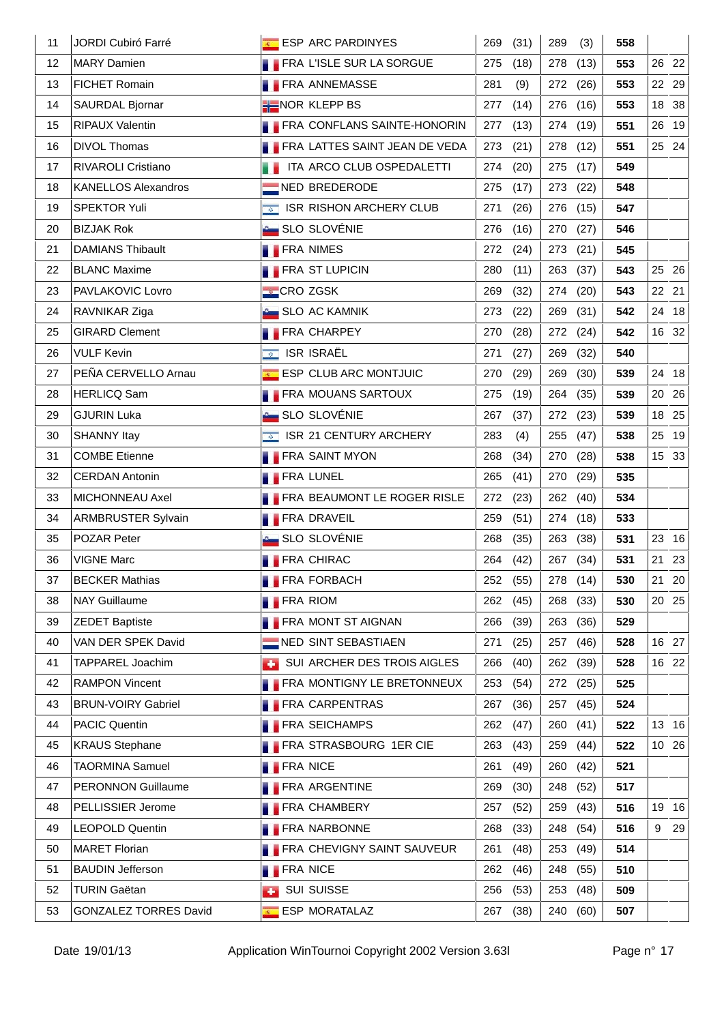| 11 | JORDI Cubiró Farré           | ESP ARC PARDINYES                       | 269<br>(31) | (3)<br>289  | 558 |         |
|----|------------------------------|-----------------------------------------|-------------|-------------|-----|---------|
| 12 | <b>MARY Damien</b>           | FRA L'ISLE SUR LA SORGUE                | 275<br>(18) | 278<br>(13) | 553 | 26 22   |
| 13 | <b>FICHET Romain</b>         | <b>FRA ANNEMASSE</b>                    | 281<br>(9)  | 272<br>(26) | 553 | 22 29   |
| 14 | SAURDAL Bjornar              | <b>HENOR KLEPP BS</b>                   | 277<br>(14) | 276<br>(16) | 553 | 18 38   |
| 15 | RIPAUX Valentin              | <b>FRA CONFLANS SAINTE-HONORIN</b>      | 277<br>(13) | 274<br>(19) | 551 | 26 19   |
| 16 | <b>DIVOL Thomas</b>          | <b>FRA LATTES SAINT JEAN DE VEDA</b>    | 273<br>(21) | 278<br>(12) | 551 | 25 24   |
| 17 | RIVAROLI Cristiano           | <b>THE ITA ARCO CLUB OSPEDALETTI</b>    | 274<br>(20) | 275<br>(17) | 549 |         |
| 18 | <b>KANELLOS Alexandros</b>   | NED BREDERODE                           | 275<br>(17) | (22)<br>273 | 548 |         |
| 19 | <b>SPEKTOR Yuli</b>          | <b>EXECUTE: ISR RISHON ARCHERY CLUB</b> | 271<br>(26) | 276<br>(15) | 547 |         |
| 20 | <b>BIZJAK Rok</b>            | SLO SLOVÉNIE                            | 276<br>(16) | 270<br>(27) | 546 |         |
| 21 | <b>DAMIANS Thibault</b>      | <b>FRA NIMES</b>                        | 272<br>(24) | (21)<br>273 | 545 |         |
| 22 | <b>BLANC Maxime</b>          | <b>FRA ST LUPICIN</b>                   | 280<br>(11) | 263<br>(37) | 543 | 25 26   |
| 23 | PAVLAKOVIC Lovro             | CROZGSK                                 | 269<br>(32) | 274<br>(20) | 543 | 22 21   |
| 24 | RAVNIKAR Ziga                | <b>SLO AC KAMNIK</b>                    | 273<br>(22) | 269<br>(31) | 542 | 24 18   |
| 25 | <b>GIRARD Clement</b>        | <b>FRA CHARPEY</b>                      | 270<br>(28) | 272<br>(24) | 542 | 16 32   |
| 26 | <b>VULF Kevin</b>            | <b>SE ISR ISRAËL</b>                    | 271<br>(27) | 269<br>(32) | 540 |         |
| 27 | PEÑA CERVELLO Arnau          | ESP CLUB ARC MONTJUIC                   | 270<br>(29) | 269<br>(30) | 539 | 24 18   |
| 28 | <b>HERLICQ Sam</b>           | <b>FRA MOUANS SARTOUX</b>               | 275<br>(19) | 264<br>(35) | 539 | 20 26   |
| 29 | <b>GJURIN Luka</b>           | <b>A</b> SLO SLOVÉNIE                   | 267<br>(37) | (23)<br>272 | 539 | 18 25   |
| 30 | SHANNY Itay                  | ISR 21 CENTURY ARCHERY                  | 283<br>(4)  | 255<br>(47) | 538 | 25 19   |
| 31 | <b>COMBE Etienne</b>         | <b>FRA SAINT MYON</b>                   | 268<br>(34) | 270<br>(28) | 538 | 15 33   |
| 32 | <b>CERDAN Antonin</b>        | <b>FRA LUNEL</b>                        | 265<br>(41) | 270<br>(29) | 535 |         |
| 33 | MICHONNEAU Axel              | FRA BEAUMONT LE ROGER RISLE             | 272<br>(23) | 262<br>(40) | 534 |         |
| 34 | <b>ARMBRUSTER Sylvain</b>    | <b>FRA DRAVEIL</b>                      | 259<br>(51) | (18)<br>274 | 533 |         |
| 35 | POZAR Peter                  | <b>A</b> SLO SLOVÉNIE                   | 268<br>(35) | 263<br>(38) | 531 | 23 16   |
| 36 | <b>VIGNE Marc</b>            | <b>FRA CHIRAC</b>                       | 264<br>(42) | 267 (34)    | 531 | 21 23   |
| 37 | <b>BECKER Mathias</b>        | <b>FRA FORBACH</b>                      | 252 (55)    | 278 (14)    | 530 | 21 20   |
| 38 | <b>NAY Guillaume</b>         | <b>FRA RIOM</b>                         | 262<br>(45) | (33)<br>268 | 530 | 20 25   |
| 39 | <b>ZEDET Baptiste</b>        | <b>FRA MONT ST AIGNAN</b>               | 266<br>(39) | (36)<br>263 | 529 |         |
| 40 | VAN DER SPEK David           | NED SINT SEBASTIAEN                     | 271<br>(25) | 257<br>(46) | 528 | 16 27   |
| 41 | TAPPAREL Joachim             | SUI ARCHER DES TROIS AIGLES             | 266<br>(40) | 262<br>(39) | 528 | 16 22   |
| 42 | <b>RAMPON Vincent</b>        | <b>FRA MONTIGNY LE BRETONNEUX</b>       | 253<br>(54) | (25)<br>272 | 525 |         |
| 43 | <b>BRUN-VOIRY Gabriel</b>    | <b>FRA CARPENTRAS</b>                   | 267<br>(36) | 257<br>(45) | 524 |         |
| 44 | <b>PACIC Quentin</b>         | <b>FRA SEICHAMPS</b>                    | 262<br>(47) | 260<br>(41) | 522 | 13 16   |
| 45 | <b>KRAUS Stephane</b>        | FRA STRASBOURG 1ER CIE                  | 263<br>(43) | 259<br>(44) | 522 | 10 26   |
| 46 | <b>TAORMINA Samuel</b>       | <b>FRA NICE</b>                         | 261<br>(49) | 260<br>(42) | 521 |         |
| 47 | PERONNON Guillaume           | <b>FRA ARGENTINE</b>                    | 269<br>(30) | 248<br>(52) | 517 |         |
| 48 | PELLISSIER Jerome            | <b>FRA CHAMBERY</b>                     | 257<br>(52) | (43)<br>259 | 516 | 19 16   |
| 49 | <b>LEOPOLD Quentin</b>       | <b>FRA NARBONNE</b>                     | 268<br>(33) | 248<br>(54) | 516 | 29<br>9 |
| 50 | <b>MARET Florian</b>         | FRA CHEVIGNY SAINT SAUVEUR              | 261<br>(48) | 253<br>(49) | 514 |         |
| 51 | <b>BAUDIN Jefferson</b>      | <b>FRA NICE</b>                         | 262<br>(46) | 248<br>(55) | 510 |         |
| 52 | <b>TURIN Gaëtan</b>          | <b>SUI SUISSE</b><br>a de la            | 256<br>(53) | 253<br>(48) | 509 |         |
| 53 | <b>GONZALEZ TORRES David</b> | ESP MORATALAZ                           | 267<br>(38) | 240<br>(60) | 507 |         |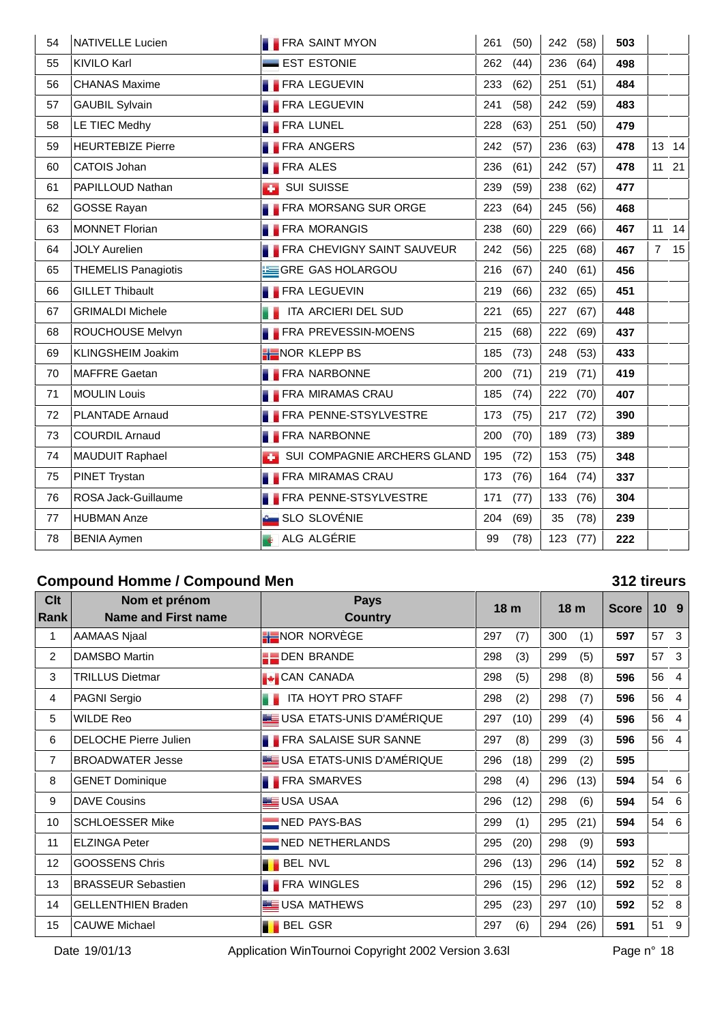| 54 | NATIVELLE Lucien           | <b>FRA SAINT MYON</b>             | 261<br>(50) | 242 (58)    | 503 |                |    |
|----|----------------------------|-----------------------------------|-------------|-------------|-----|----------------|----|
| 55 | <b>KIVILO Karl</b>         | <b>EST ESTONIE</b>                | 262<br>(44) | 236<br>(64) | 498 |                |    |
| 56 | <b>CHANAS Maxime</b>       | <b>FRA LEGUEVIN</b>               | 233<br>(62) | (51)<br>251 | 484 |                |    |
| 57 | <b>GAUBIL Sylvain</b>      | <b>FRA LEGUEVIN</b>               | 241<br>(58) | (59)<br>242 | 483 |                |    |
| 58 | LE TIEC Medhy              | <b>FRA LUNEL</b>                  | (63)<br>228 | (50)<br>251 | 479 |                |    |
| 59 | <b>HEURTEBIZE Pierre</b>   | <b>FRA ANGERS</b>                 | 242<br>(57) | 236<br>(63) | 478 | 13 14          |    |
| 60 | CATOIS Johan               | <b>FRA ALES</b>                   | (61)<br>236 | 242 (57)    | 478 | 11 21          |    |
| 61 | PAPILLOUD Nathan           | <b>SUI SUISSE</b>                 | (59)<br>239 | 238<br>(62) | 477 |                |    |
| 62 | <b>GOSSE Rayan</b>         | <b>FRA MORSANG SUR ORGE</b>       | 223<br>(64) | 245<br>(56) | 468 |                |    |
| 63 | <b>MONNET Florian</b>      | <b>FRA MORANGIS</b>               | 238<br>(60) | 229<br>(66) | 467 | 11             | 14 |
| 64 | <b>JOLY Aurelien</b>       | <b>FRA CHEVIGNY SAINT SAUVEUR</b> | 242<br>(56) | 225<br>(68) | 467 | $\overline{7}$ | 15 |
| 65 | <b>THEMELIS Panagiotis</b> | GRE GAS HOLARGOU                  | 216<br>(67) | 240<br>(61) | 456 |                |    |
| 66 | <b>GILLET Thibault</b>     | <b>FRA LEGUEVIN</b>               | 219<br>(66) | 232<br>(65) | 451 |                |    |
| 67 | <b>GRIMALDI Michele</b>    | <b>THE ITA ARCIERI DEL SUD</b>    | 221<br>(65) | 227<br>(67) | 448 |                |    |
| 68 | ROUCHOUSE Melvyn           | <b>FRA PREVESSIN-MOENS</b>        | 215<br>(68) | 222<br>(69) | 437 |                |    |
| 69 | KLINGSHEIM Joakim          | <b>H</b> NOR KLEPP BS             | 185<br>(73) | 248<br>(53) | 433 |                |    |
| 70 | <b>MAFFRE Gaetan</b>       | <b>FRA NARBONNE</b>               | 200<br>(71) | 219<br>(71) | 419 |                |    |
| 71 | <b>MOULIN Louis</b>        | <b>FRA MIRAMAS CRAU</b>           | 185<br>(74) | 222 (70)    | 407 |                |    |
| 72 | <b>PLANTADE Arnaud</b>     | FRA PENNE-STSYLVESTRE             | 173<br>(75) | 217 (72)    | 390 |                |    |
| 73 | <b>COURDIL Arnaud</b>      | <b>FRA NARBONNE</b>               | 200<br>(70) | 189<br>(73) | 389 |                |    |
| 74 | <b>MAUDUIT Raphael</b>     | SUI COMPAGNIE ARCHERS GLAND       | 195<br>(72) | 153<br>(75) | 348 |                |    |
| 75 | PINET Trystan              | <b>FRA MIRAMAS CRAU</b>           | 173<br>(76) | 164<br>(74) | 337 |                |    |
| 76 | ROSA Jack-Guillaume        | <b>FRA PENNE-STSYLVESTRE</b>      | 171<br>(77) | 133<br>(76) | 304 |                |    |
| 77 | <b>HUBMAN Anze</b>         | SLO SLOVÉNIE                      | 204<br>(69) | 35<br>(78)  | 239 |                |    |
| 78 | <b>BENIA Aymen</b>         | ALG ALGÉRIE                       | 99<br>(78)  | 123<br>(77) | 222 |                |    |

# **Compound Homme / Compound Men 312 tireurs**

| <b>Clt</b><br>Rank | Nom et prénom<br><b>Name and First name</b> | <b>Pays</b><br><b>Country</b> | 18 <sub>m</sub> |      | 18 <sub>m</sub> |      | <b>Score</b> | 10 <sub>9</sub> |                |
|--------------------|---------------------------------------------|-------------------------------|-----------------|------|-----------------|------|--------------|-----------------|----------------|
| 1                  | AAMAAS Njaal                                | <b>H</b> NOR NORVEGE          | 297             | (7)  | 300             | (1)  | 597          | 57              | 3              |
| $\overline{2}$     | <b>DAMSBO Martin</b>                        | <b>DEN BRANDE</b>             | 298             | (3)  | 299             | (5)  | 597          | 57              | $\mathbf{3}$   |
| 3                  | <b>TRILLUS Dietmar</b>                      | <b>CAN CANADA</b>             | 298             | (5)  | 298             | (8)  | 596          | 56              | $\overline{4}$ |
| 4                  | PAGNI Sergio                                | <b>THE ITA HOYT PRO STAFF</b> | 298             | (2)  | 298             | (7)  | 596          | 56              | -4             |
| 5                  | <b>WILDE Reo</b>                            | USA ETATS-UNIS D'AMÉRIQUE     | 297             | (10) | 299             | (4)  | 596          | 56              | -4             |
| 6                  | DELOCHE Pierre Julien                       | <b>FRA SALAISE SUR SANNE</b>  | 297             | (8)  | 299             | (3)  | 596          | 56              | $\overline{4}$ |
| $\overline{7}$     | <b>BROADWATER Jesse</b>                     | USA ETATS-UNIS D'AMÉRIQUE     | 296             | (18) | 299             | (2)  | 595          |                 |                |
| 8                  | <b>GENET Dominique</b>                      | <b>FRA SMARVES</b>            | 298             | (4)  | 296             | (13) | 594          | 54 6            |                |
| 9                  | <b>DAVE Cousins</b>                         | <b>LE USA USAA</b>            | 296             | (12) | 298             | (6)  | 594          | 54 6            |                |
| 10                 | <b>SCHLOESSER Mike</b>                      | NED PAYS-BAS                  | 299             | (1)  | 295             | (21) | 594          | 54 6            |                |
| 11                 | <b>ELZINGA Peter</b>                        | NED NETHERLANDS               | 295             | (20) | 298             | (9)  | 593          |                 |                |
| 12                 | <b>GOOSSENS Chris</b>                       | <b>BEL NVL</b>                | 296             | (13) | 296             | (14) | 592          | 52 8            |                |
| 13                 | <b>BRASSEUR Sebastien</b>                   | <b>FRA WINGLES</b>            | 296             | (15) | 296             | (12) | 592          | 52 8            |                |
| 14                 | <b>GELLENTHIEN Braden</b>                   | USA MATHEWS                   | 295             | (23) | 297             | (10) | 592          | 52              | - 8            |
| 15                 | <b>CAUWE Michael</b>                        | <b>BEL GSR</b>                | 297             | (6)  | 294             | (26) | 591          | 51              | 9              |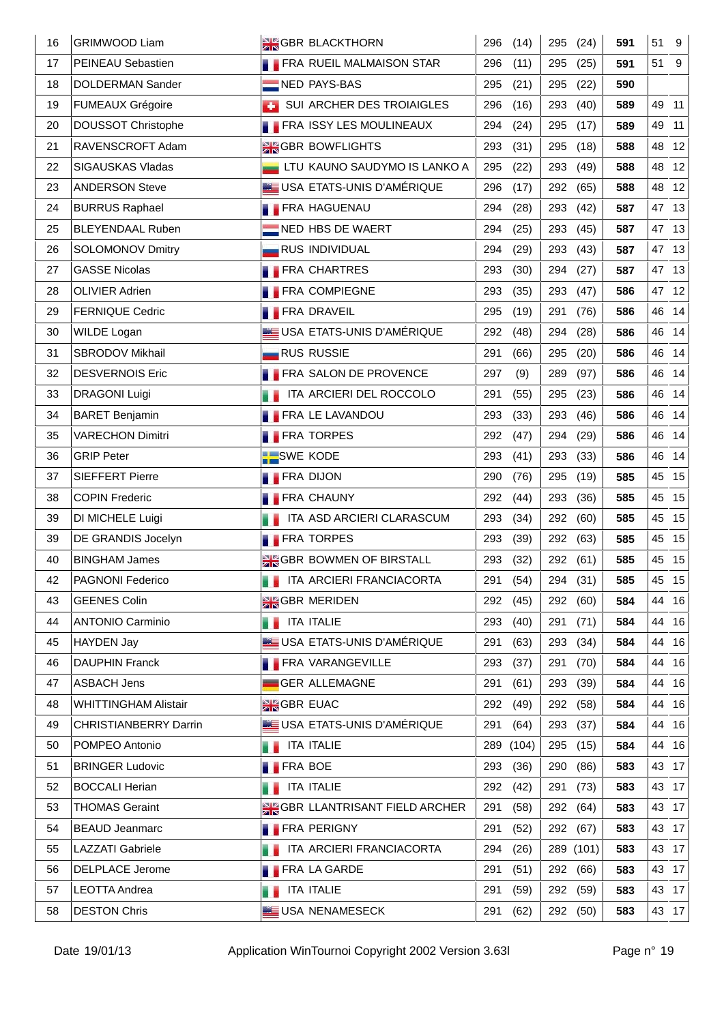| 16 | <b>GRIMWOOD Liam</b>         | <b>SIGBR BLACKTHORN</b>                | 296<br>(14)  | 295<br>(24) | 591 | 51<br>9  |
|----|------------------------------|----------------------------------------|--------------|-------------|-----|----------|
| 17 | PEINEAU Sebastien            | <b>FRA RUEIL MALMAISON STAR</b>        | 296<br>(11)  | 295<br>(25) | 591 | 51<br>9  |
| 18 | DOLDERMAN Sander             | NED PAYS-BAS                           | 295<br>(21)  | 295<br>(22) | 590 |          |
| 19 | <b>FUMEAUX Grégoire</b>      | SUI ARCHER DES TROIAIGLES              | 296<br>(16)  | 293<br>(40) | 589 | 49 11    |
| 20 | <b>DOUSSOT Christophe</b>    | <b>FRA ISSY LES MOULINEAUX</b>         | 294<br>(24)  | 295<br>(17) | 589 | 49<br>11 |
| 21 | RAVENSCROFT Adam             | <b>SIGBR BOWFLIGHTS</b>                | 293<br>(31)  | (18)<br>295 | 588 | 48 12    |
| 22 | SIGAUSKAS Vladas             | LTU KAUNO SAUDYMO IS LANKO A           | 295<br>(22)  | 293<br>(49) | 588 | 12<br>48 |
| 23 | <b>ANDERSON Steve</b>        | USA ETATS-UNIS D'AMÉRIQUE              | 296<br>(17)  | (65)<br>292 | 588 | 48 12    |
| 24 | <b>BURRUS Raphael</b>        | <b>FRA HAGUENAU</b>                    | 294<br>(28)  | 293<br>(42) | 587 | 47 13    |
| 25 | <b>BLEYENDAAL Ruben</b>      | NED HBS DE WAERT                       | 294<br>(25)  | (45)<br>293 | 587 | 47 13    |
| 26 | SOLOMONOV Dmitry             | <b>RUS INDIVIDUAL</b>                  | 294<br>(29)  | 293<br>(43) | 587 | 47 13    |
| 27 | <b>GASSE Nicolas</b>         | <b>FRA CHARTRES</b>                    | 293<br>(30)  | (27)<br>294 | 587 | 47 13    |
| 28 | OLIVIER Adrien               | <b>FRA COMPIEGNE</b>                   | 293<br>(35)  | (47)<br>293 | 586 | 47 12    |
| 29 | <b>FERNIQUE Cedric</b>       | <b>FRA DRAVEIL</b>                     | 295<br>(19)  | (76)<br>291 | 586 | 46 14    |
| 30 | WILDE Logan                  | USA ETATS-UNIS D'AMÉRIQUE              | 292<br>(48)  | 294<br>(28) | 586 | 46 14    |
| 31 | SBRODOV Mikhail              | <b>RUS RUSSIE</b>                      | 291<br>(66)  | (20)<br>295 | 586 | 46<br>14 |
| 32 | <b>DESVERNOIS Eric</b>       | <b>FRA SALON DE PROVENCE</b>           | 297<br>(9)   | 289<br>(97) | 586 | 46 14    |
| 33 | <b>DRAGONI Luigi</b>         | ITA ARCIERI DEL ROCCOLO                | 291<br>(55)  | (23)<br>295 | 586 | 46 14    |
| 34 | <b>BARET Benjamin</b>        | <b>FRA LE LAVANDOU</b>                 | 293<br>(33)  | 293<br>(46) | 586 | 46<br>14 |
| 35 | <b>VARECHON Dimitri</b>      | <b>FRA TORPES</b>                      | 292<br>(47)  | 294<br>(29) | 586 | 46 14    |
| 36 | <b>GRIP Peter</b>            | <b>BESWE KODE</b>                      | 293<br>(41)  | (33)<br>293 | 586 | 46<br>14 |
| 37 | <b>SIEFFERT Pierre</b>       | <b>FRA DIJON</b>                       | 290<br>(76)  | 295<br>(19) | 585 | 45 15    |
| 38 | <b>COPIN Frederic</b>        | <b>FRA CHAUNY</b>                      | 292<br>(44)  | 293<br>(36) | 585 | 45 15    |
| 39 | DI MICHELE Luigi             | ITA ASD ARCIERI CLARASCUM              | 293<br>(34)  | 292<br>(60) | 585 | 45 15    |
| 39 | DE GRANDIS Jocelyn           | <b>FRA TORPES</b>                      | 293<br>(39)  | 292<br>(63) | 585 | 45 15    |
| 40 | <b>BINGHAM James</b>         | <b>SIGBR BOWMEN OF BIRSTALL</b>        | 293<br>(32)  | 292 (61)    | 585 | 45 15    |
| 42 | PAGNONI Federico             | <b>THE ITA ARCIERI FRANCIACORTA</b>    | 291 (54)     | 294 (31)    | 585 | 45 15    |
| 43 | <b>GEENES Colin</b>          | <b>SIGBR MERIDEN</b>                   | 292<br>(45)  | 292 (60)    | 584 | 44 16    |
| 44 | <b>ANTONIO Carminio</b>      | <b>THE ITA ITALIE</b>                  | 293<br>(40)  | 291<br>(71) | 584 | 44 16    |
| 45 | <b>HAYDEN Jay</b>            | USA ETATS-UNIS D'AMÉRIQUE              | 291<br>(63)  | 293<br>(34) | 584 | 44 16    |
| 46 | <b>DAUPHIN Franck</b>        | <b>FRA VARANGEVILLE</b>                | 293<br>(37)  | 291<br>(70) | 584 | 44 16    |
| 47 | <b>ASBACH Jens</b>           | GER ALLEMAGNE                          | 291<br>(61)  | 293<br>(39) | 584 | 44 16    |
| 48 | <b>WHITTINGHAM Alistair</b>  | <b>AK GBR EUAC</b>                     | 292<br>(49)  | 292<br>(58) | 584 | 44 16    |
| 49 | <b>CHRISTIANBERRY Darrin</b> | USA ETATS-UNIS D'AMÉRIQUE              | 291<br>(64)  | 293<br>(37) | 584 | 44 16    |
| 50 | POMPEO Antonio               | ITA ITALIE                             | 289<br>(104) | 295<br>(15) | 584 | 44 16    |
| 51 | <b>BRINGER Ludovic</b>       | <b>FRA BOE</b>                         | 293<br>(36)  | 290<br>(86) | 583 | 43 17    |
| 52 | <b>BOCCALI Herian</b>        | <b>ITA ITALIE</b>                      | 292<br>(42)  | 291<br>(73) | 583 | 43 17    |
| 53 | <b>THOMAS Geraint</b>        | <b>SIGGBR LLANTRISANT FIELD ARCHER</b> | 291<br>(58)  | 292<br>(64) | 583 | 43 17    |
| 54 | <b>BEAUD Jeanmarc</b>        | <b>FRA PERIGNY</b>                     | 291<br>(52)  | 292<br>(67) | 583 | 43 17    |
| 55 | <b>LAZZATI Gabriele</b>      | ITA ARCIERI FRANCIACORTA               | 294<br>(26)  | 289 (101)   | 583 | 43 17    |
| 56 | <b>DELPLACE Jerome</b>       | <b>FRA LA GARDE</b>                    | 291<br>(51)  | 292 (66)    | 583 | 43 17    |
| 57 | <b>LEOTTA Andrea</b>         | <b>ITA ITALIE</b>                      | 291<br>(59)  | 292<br>(59) | 583 | 43 17    |
| 58 | <b>DESTON Chris</b>          | USA NENAMESECK                         | 291<br>(62)  | 292 (50)    | 583 | 43 17    |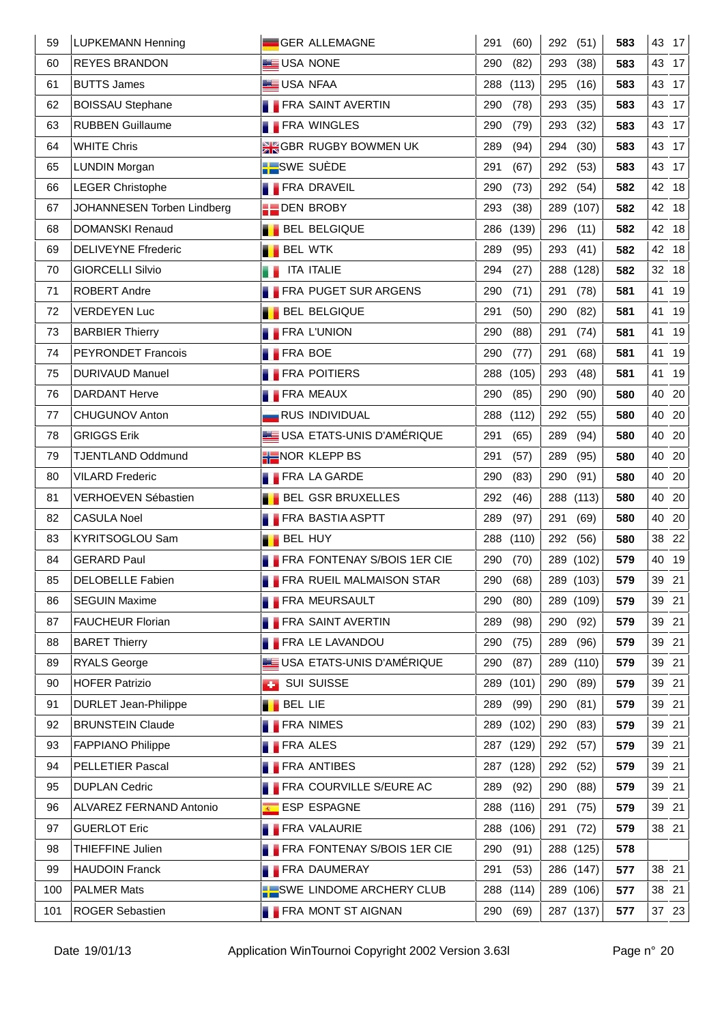| 59  | <b>LUPKEMANN Henning</b>    | GER ALLEMAGNE                   | 291<br>(60)  | 292 (51)    | 583 | 43 17    |
|-----|-----------------------------|---------------------------------|--------------|-------------|-----|----------|
| 60  | <b>REYES BRANDON</b>        | USA NONE                        | 290<br>(82)  | 293<br>(38) | 583 | 43 17    |
| 61  | <b>BUTTS James</b>          | <b>LE USA NFAA</b>              | 288<br>(113) | 295<br>(16) | 583 | 43 17    |
| 62  | <b>BOISSAU Stephane</b>     | <b>FRA SAINT AVERTIN</b>        | 290<br>(78)  | 293<br>(35) | 583 | 43 17    |
| 63  | <b>RUBBEN Guillaume</b>     | <b>FRA WINGLES</b>              | 290<br>(79)  | 293<br>(32) | 583 | 43 17    |
| 64  | <b>WHITE Chris</b>          | <b>SIGBR RUGBY BOWMEN UK</b>    | 289<br>(94)  | 294<br>(30) | 583 | 43 17    |
| 65  | <b>LUNDIN Morgan</b>        | <b>N</b> SWE SUÈDE              | 291<br>(67)  | 292<br>(53) | 583 | 43 17    |
| 66  | <b>LEGER Christophe</b>     | <b>FRA DRAVEIL</b>              | 290<br>(73)  | 292 (54)    | 582 | 42 18    |
| 67  | JOHANNESEN Torben Lindberg  | <b>DEN BROBY</b>                | 293<br>(38)  | 289 (107)   | 582 | 42 18    |
| 68  | <b>DOMANSKI Renaud</b>      | <b>BEL BELGIQUE</b>             | 286<br>(139) | (11)<br>296 | 582 | 42 18    |
| 69  | <b>DELIVEYNE Ffrederic</b>  | <b>BEL WTK</b>                  | 289<br>(95)  | 293<br>(41) | 582 | 42 18    |
| 70  | <b>GIORCELLI Silvio</b>     | ITA ITALIE                      | 294<br>(27)  | 288 (128)   | 582 | 32 18    |
| 71  | <b>ROBERT Andre</b>         | <b>FRA PUGET SUR ARGENS</b>     | 290<br>(71)  | 291<br>(78) | 581 | 41 19    |
| 72  | <b>VERDEYEN Luc</b>         | <b>BEL BELGIQUE</b>             | 291<br>(50)  | 290<br>(82) | 581 | 41<br>19 |
| 73  | <b>BARBIER Thierry</b>      | <b>FRA L'UNION</b>              | 290<br>(88)  | 291<br>(74) | 581 | 19<br>41 |
| 74  | PEYRONDET Francois          | <b>FRA BOE</b>                  | 290<br>(77)  | (68)<br>291 | 581 | 41<br>19 |
| 75  | <b>DURIVAUD Manuel</b>      | <b>FRA POITIERS</b>             | 288<br>(105) | (48)<br>293 | 581 | 41<br>19 |
| 76  | DARDANT Herve               | <b>FRA MEAUX</b>                | 290<br>(85)  | 290<br>(90) | 580 | 40 20    |
| 77  | CHUGUNOV Anton              | <b>RUS INDIVIDUAL</b>           | 288<br>(112) | 292<br>(55) | 580 | 40 20    |
| 78  | <b>GRIGGS Erik</b>          | USA ETATS-UNIS D'AMÉRIQUE       | 291<br>(65)  | 289<br>(94) | 580 | 40 20    |
| 79  | <b>TJENTLAND Oddmund</b>    | NOR KLEPP BS                    | 291<br>(57)  | (95)<br>289 | 580 | 40 20    |
| 80  | <b>VILARD Frederic</b>      | <b>FRA LA GARDE</b>             | 290<br>(83)  | 290<br>(91) | 580 | 40 20    |
| 81  | <b>VERHOEVEN Sébastien</b>  | <b>BEL GSR BRUXELLES</b>        | 292<br>(46)  | 288 (113)   | 580 | 40 20    |
| 82  | <b>CASULA Noel</b>          | <b>FRA BASTIA ASPTT</b>         | 289<br>(97)  | 291<br>(69) | 580 | 40 20    |
| 83  | KYRITSOGLOU Sam             | <b>BEL HUY</b>                  | 288 (110)    | 292 (56)    | 580 | 38 22    |
| 84  | <b>GERARD Paul</b>          | FRA FONTENAY S/BOIS 1ER CIE     | 290<br>(70)  | 289 (102)   | 579 | 40 19    |
| 85  | DELOBELLE Fabien            | <b>FRA RUEIL MALMAISON STAR</b> | 290 (68)     | 289 (103)   | 579 | 39 21    |
| 86  | <b>SEGUIN Maxime</b>        | <b>FRA MEURSAULT</b>            | 290<br>(80)  | 289 (109)   | 579 | 39 21    |
| 87  | <b>FAUCHEUR Florian</b>     | <b>FRA SAINT AVERTIN</b>        | 289<br>(98)  | 290<br>(92) | 579 | 39 21    |
| 88  | <b>BARET Thierry</b>        | <b>FRA LE LAVANDOU</b>          | 290<br>(75)  | 289<br>(96) | 579 | 39 21    |
| 89  | <b>RYALS George</b>         | USA ETATS-UNIS D'AMÉRIQUE       | 290<br>(87)  | 289 (110)   | 579 | 39 21    |
| 90  | <b>HOFER Patrizio</b>       | <b>SUI SUISSE</b><br><b>A</b>   | (101)<br>289 | 290<br>(89) | 579 | 39 21    |
| 91  | <b>DURLET Jean-Philippe</b> | <b>BEL LIE</b>                  | 289<br>(99)  | 290<br>(81) | 579 | 39 21    |
| 92  | <b>BRUNSTEIN Claude</b>     | <b>FRA NIMES</b>                | 289<br>(102) | 290<br>(83) | 579 | 39 21    |
| 93  | <b>FAPPIANO Philippe</b>    | <b>FRA ALES</b>                 | 287 (129)    | 292<br>(57) | 579 | 39 21    |
| 94  | PELLETIER Pascal            | <b>FRA ANTIBES</b>              | 287 (128)    | 292<br>(52) | 579 | 39 21    |
| 95  | <b>DUPLAN Cedric</b>        | <b>FRA COURVILLE S/EURE AC</b>  | 289<br>(92)  | 290<br>(88) | 579 | 39 21    |
| 96  | ALVAREZ FERNAND Antonio     | <b>ESP ESPAGNE</b>              | 288<br>(116) | 291<br>(75) | 579 | 39 21    |
| 97  | <b>GUERLOT Eric</b>         | <b>FRA VALAURIE</b>             | 288<br>(106) | 291<br>(72) | 579 | 38 21    |
| 98  | THIEFFINE Julien            | FRA FONTENAY S/BOIS 1ER CIE     | 290<br>(91)  | 288 (125)   | 578 |          |
| 99  | <b>HAUDOIN Franck</b>       | <b>FRA DAUMERAY</b>             | 291<br>(53)  | 286 (147)   | 577 | 38 21    |
| 100 | <b>PALMER Mats</b>          | SWE LINDOME ARCHERY CLUB        | 288<br>(114) | 289 (106)   | 577 | 38 21    |
| 101 | ROGER Sebastien             | <b>FRA MONT ST AIGNAN</b>       | 290<br>(69)  | 287 (137)   | 577 | 37 23    |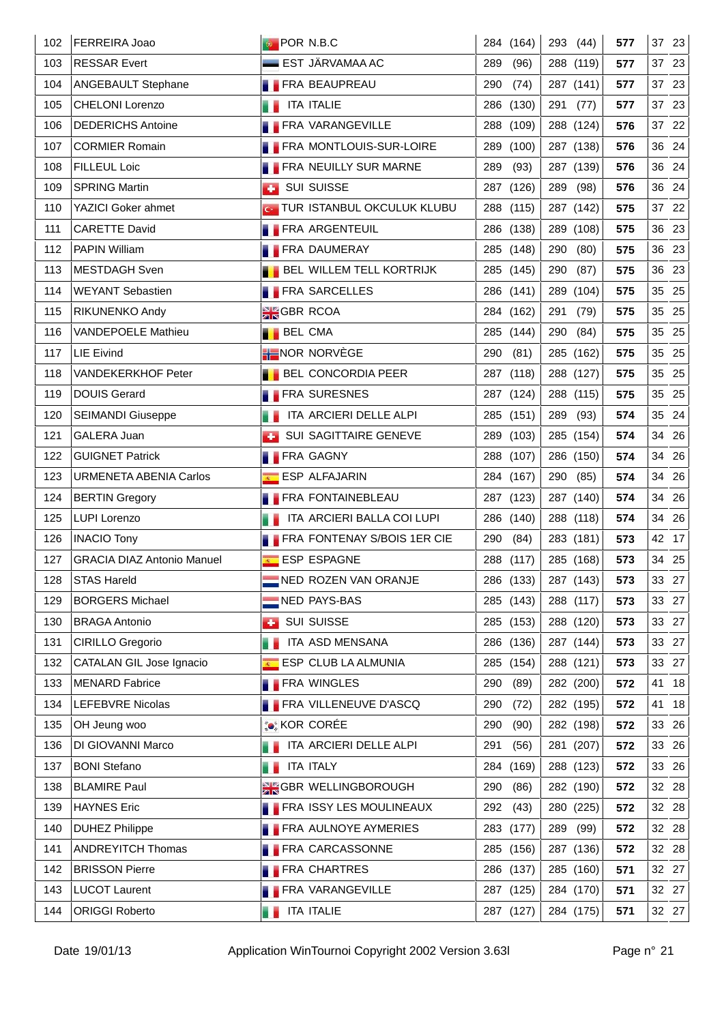| 102 | FERREIRA Joao                     | <b>POR N.B.C</b>                    | 284 (164)    | 293 (44)    | 577 | 37 23    |
|-----|-----------------------------------|-------------------------------------|--------------|-------------|-----|----------|
| 103 | <b>RESSAR Evert</b>               | $\blacksquare$ EST JÄRVAMAA AC      | 289<br>(96)  | 288 (119)   | 577 | 37 23    |
| 104 | <b>ANGEBAULT Stephane</b>         | <b>FRA BEAUPREAU</b>                | 290<br>(74)  | 287 (141)   | 577 | 37 23    |
| 105 | <b>CHELONI Lorenzo</b>            | <b>ITA ITALIE</b>                   | 286 (130)    | 291 (77)    | 577 | 37 23    |
| 106 | <b>DEDERICHS Antoine</b>          | <b>FRA VARANGEVILLE</b>             | 288<br>(109) | 288 (124)   | 576 | 37 22    |
| 107 | <b>CORMIER Romain</b>             | <b>FRA MONTLOUIS-SUR-LOIRE</b>      | 289 (100)    | 287 (138)   | 576 | 36 24    |
| 108 | FILLEUL Loic                      | <b>FRA NEUILLY SUR MARNE</b>        | 289<br>(93)  | 287 (139)   | 576 | 36 24    |
| 109 | <b>SPRING Martin</b>              | <b>BUI SUISSE</b>                   | 287 (126)    | 289<br>(98) | 576 | 36 24    |
| 110 | YAZICI Goker ahmet                | <b>G TUR ISTANBUL OKCULUK KLUBU</b> | 288 (115)    | 287 (142)   | 575 | 37 22    |
| 111 | <b>CARETTE David</b>              | <b>FRA ARGENTEUIL</b>               | 286 (138)    | 289 (108)   | 575 | 36 23    |
| 112 | PAPIN William                     | <b>FRA DAUMERAY</b>                 | 285 (148)    | 290<br>(80) | 575 | 36 23    |
| 113 | <b>MESTDAGH Sven</b>              | <b>BEL WILLEM TELL KORTRIJK</b>     | 285 (145)    | 290<br>(87) | 575 | 36 23    |
| 114 | <b>WEYANT Sebastien</b>           | <b>FRA SARCELLES</b>                | 286 (141)    | 289 (104)   | 575 | 35 25    |
| 115 | RIKUNENKO Andy                    | <b>SK</b> GBR RCOA                  | 284 (162)    | 291<br>(79) | 575 | 35 25    |
| 116 | VANDEPOELE Mathieu                | <b>BEL CMA</b>                      | 285 (144)    | 290<br>(84) | 575 | 35 25    |
| 117 | <b>LIE Eivind</b>                 | <b>HENOR NORVEGE</b>                | (81)<br>290  | 285 (162)   | 575 | 35 25    |
| 118 | <b>VANDEKERKHOF Peter</b>         | <b>BEL CONCORDIA PEER</b>           | 287 (118)    | 288 (127)   | 575 | 35 25    |
| 119 | <b>DOUIS Gerard</b>               | <b>FRA SURESNES</b>                 | 287 (124)    | 288 (115)   | 575 | 35 25    |
| 120 | <b>SEIMANDI Giuseppe</b>          | ITA ARCIERI DELLE ALPI              | 285 (151)    | 289<br>(93) | 574 | 35 24    |
| 121 | GALERA Juan                       | SUI SAGITTAIRE GENEVE               | 289 (103)    | 285 (154)   | 574 | 34 26    |
| 122 | <b>GUIGNET Patrick</b>            | <b>FRA GAGNY</b>                    | 288 (107)    | 286 (150)   | 574 | 34 26    |
| 123 | <b>URMENETA ABENIA Carlos</b>     | <b>ESP ALFAJARIN</b>                | 284 (167)    | 290 (85)    | 574 | 34 26    |
| 124 | <b>BERTIN Gregory</b>             | <b>FRA FONTAINEBLEAU</b>            | 287 (123)    | 287 (140)   | 574 | 34 26    |
| 125 | <b>LUPI Lorenzo</b>               | ITA ARCIERI BALLA COI LUPI          | 286 (140)    | 288 (118)   | 574 | 34 26    |
| 126 | <b>INACIO Tony</b>                | <b>FRA FONTENAY S/BOIS 1ER CIE</b>  | 290<br>(84)  | 283 (181)   | 573 | 42 17    |
| 127 | <b>GRACIA DIAZ Antonio Manuel</b> | ESP ESPAGNE                         | 288 (117)    | 285 (168)   | 573 | 34 25    |
| 128 | <b>STAS Hareld</b>                | NED ROZEN VAN ORANJE                | 286 (133)    | 287 $(143)$ | 573 | 33 27    |
| 129 | <b>BORGERS Michael</b>            | NED PAYS-BAS                        | 285 (143)    | 288 (117)   | 573 | 33 27    |
| 130 | <b>BRAGA Antonio</b>              | <b>BUI SUISSE</b>                   | 285 (153)    | 288 (120)   | 573 | 33 27    |
| 131 | CIRILLO Gregorio                  | ITA ASD MENSANA                     | 286<br>(136) | 287 (144)   | 573 | 33 27    |
| 132 | CATALAN GIL Jose Ignacio          | ESP CLUB LA ALMUNIA                 | 285 (154)    | 288 (121)   | 573 | 33 27    |
| 133 | <b>MENARD Fabrice</b>             | <b>FRA WINGLES</b>                  | 290<br>(89)  | 282 (200)   | 572 | 41<br>18 |
| 134 | LEFEBVRE Nicolas                  | <b>FRA VILLENEUVE D'ASCQ</b>        | 290<br>(72)  | 282 (195)   | 572 | 41<br>18 |
| 135 | OH Jeung woo                      | :● KOR CORÉE                        | 290<br>(90)  | 282 (198)   | 572 | 33 26    |
| 136 | DI GIOVANNI Marco                 | ITA ARCIERI DELLE ALPI              | 291<br>(56)  | 281 (207)   | 572 | 33 26    |
| 137 | <b>BONI Stefano</b>               | ITA ITALY                           | 284<br>(169) | 288 (123)   | 572 | 33 26    |
| 138 | <b>BLAMIRE Paul</b>               | <b>SK GBR WELLINGBOROUGH</b>        | 290<br>(86)  | 282 (190)   | 572 | 32 28    |
| 139 | <b>HAYNES Eric</b>                | <b>FRA ISSY LES MOULINEAUX</b>      | 292<br>(43)  | 280 (225)   | 572 | 32 28    |
| 140 | <b>DUHEZ Philippe</b>             | <b>FRA AULNOYE AYMERIES</b>         | 283<br>(177) | 289<br>(99) | 572 | 32 28    |
| 141 | <b>ANDREYITCH Thomas</b>          | <b>FRA CARCASSONNE</b>              | 285 (156)    | 287 (136)   | 572 | 32 28    |
| 142 | <b>BRISSON Pierre</b>             | <b>FRA CHARTRES</b>                 | 286 (137)    | 285 (160)   | 571 | 32 27    |
| 143 | <b>LUCOT Laurent</b>              | <b>FRA VARANGEVILLE</b>             | 287 (125)    | 284 (170)   | 571 | 32 27    |
| 144 | <b>ORIGGI Roberto</b>             | <b>ITA ITALIE</b><br>a a            | 287 (127)    | 284 (175)   | 571 | 32 27    |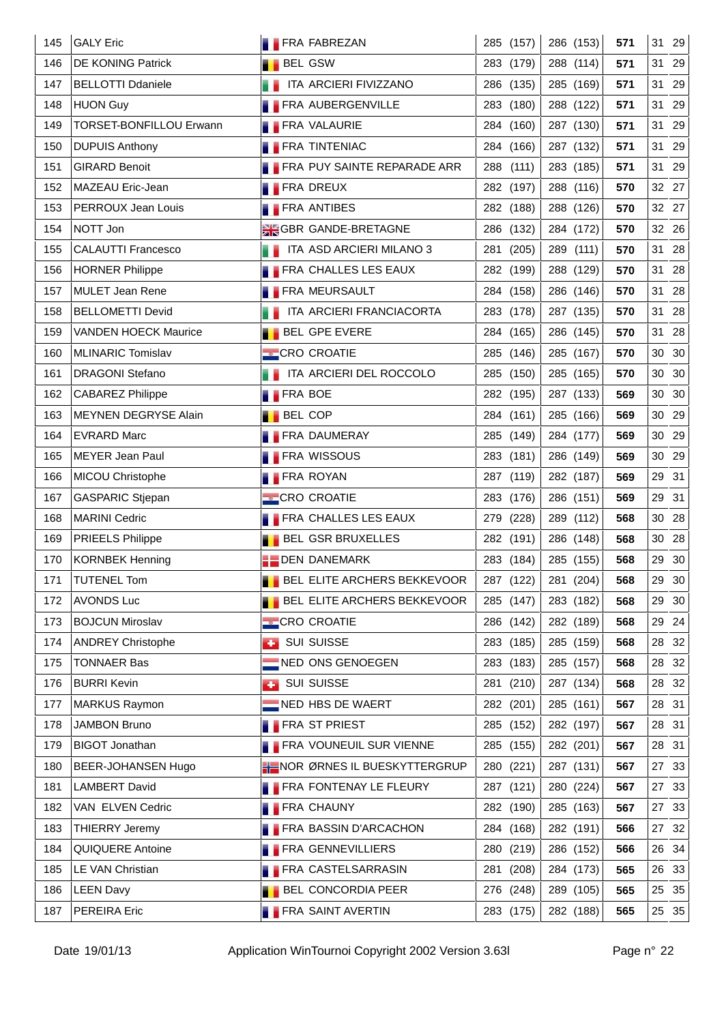| 145 | <b>GALY Eric</b>               | <b>FRA FABREZAN</b>                   | 285 (157)    | 286 (153)           | 571 | 31 29    |
|-----|--------------------------------|---------------------------------------|--------------|---------------------|-----|----------|
| 146 | <b>DE KONING Patrick</b>       | <b>BEL GSW</b>                        | 283 (179)    | 288 (114)           | 571 | 29<br>31 |
| 147 | <b>BELLOTTI Ddaniele</b>       | ITA ARCIERI FIVIZZANO                 | 286 (135)    | 285 (169)           | 571 | 29<br>31 |
| 148 | <b>HUON Guy</b>                | <b>FRA AUBERGENVILLE</b>              | 283 (180)    | 288 (122)           | 571 | 31 29    |
| 149 | <b>TORSET-BONFILLOU Erwann</b> | <b>FRA VALAURIE</b>                   | 284 (160)    | 287 (130)           | 571 | 31<br>29 |
| 150 | <b>DUPUIS Anthony</b>          | <b>FRA TINTENIAC</b>                  | 284 (166)    | 287 (132)           | 571 | 31 29    |
| 151 | <b>GIRARD Benoit</b>           | FRA PUY SAINTE REPARADE ARR           | 288 (111)    | 283 (185)           | 571 | 31 29    |
| 152 | MAZEAU Eric-Jean               | <b>FRA DREUX</b>                      | 282 (197)    | 288 (116)           | 570 | 32 27    |
| 153 | PERROUX Jean Louis             | <b>FRA ANTIBES</b>                    | 282 (188)    | 288 (126)           | 570 | 32 27    |
| 154 | NOTT Jon                       | <b>SK GANDE-BRETAGNE</b>              | 286 (132)    | 284 (172)           | 570 | 32 26    |
| 155 | <b>CALAUTTI Francesco</b>      | <b>THE ITA ASD ARCIERI MILANO 3</b>   | 281 (205)    | 289 (111)           | 570 | 31 28    |
| 156 | <b>HORNER Philippe</b>         | <b>FRA CHALLES LES EAUX</b>           | 282 (199)    | 288 (129)           | 570 | 31 28    |
| 157 | <b>MULET Jean Rene</b>         | <b>FRA MEURSAULT</b>                  | 284 (158)    | 286 (146)           | 570 | 31 28    |
| 158 | <b>BELLOMETTI Devid</b>        | <b>THE ITA ARCIERI FRANCIACORTA</b>   | 283 (178)    | 287 (135)           | 570 | 31<br>28 |
| 159 | <b>VANDEN HOECK Maurice</b>    | <b>BEL GPE EVERE</b>                  | 284 (165)    | 286 (145)           | 570 | 28<br>31 |
| 160 | MLINARIC Tomislav              | <b>CRO CROATIE</b>                    | 285 (146)    | 285 (167)           | 570 | 30 30    |
| 161 | <b>DRAGONI Stefano</b>         | <b>THE ITA ARCIERI DEL ROCCOLO</b>    | 285 (150)    | 285 (165)           | 570 | 30 30    |
| 162 | <b>CABAREZ Philippe</b>        | <b>FRA BOE</b>                        | 282 (195)    | 287 (133)           | 569 | 30 30    |
| 163 | MEYNEN DEGRYSE Alain           | <b>BEL COP</b>                        | 284 (161)    | 285 (166)           | 569 | 30 29    |
| 164 | <b>EVRARD Marc</b>             | <b>FRA DAUMERAY</b>                   | 285 (149)    | 284 (177)           | 569 | 30 29    |
| 165 | <b>MEYER Jean Paul</b>         | <b>FRA WISSOUS</b>                    | 283 (181)    | 286 (149)           | 569 | 30 29    |
| 166 | MICOU Christophe               | <b>FRA ROYAN</b>                      | 287 (119)    | 282 (187)           | 569 | 29 31    |
| 167 | <b>GASPARIC Stjepan</b>        | <b>CRO CROATIE</b>                    | 283 (176)    | 286 (151)           | 569 | 29 31    |
| 168 | <b>MARINI Cedric</b>           | <b>FRA CHALLES LES EAUX</b>           | 279<br>(228) | 289 (112)           | 568 | 30 28    |
| 169 | <b>PRIEELS Philippe</b>        | <b>BEL GSR BRUXELLES</b>              | 282 (191)    | 286 (148)           | 568 | 30 28    |
| 170 | <b>KORNBEK Henning</b>         | <b>DEN DANEMARK</b>                   | 283 (184)    | 285 (155)           | 568 | 29 30    |
| 171 | <b>TUTENEL Tom</b>             | <b>BEL ELITE ARCHERS BEKKEVOOR</b>    |              | 287 (122) 281 (204) | 568 | 29 30    |
| 172 | <b>AVONDS Luc</b>              | <b>BEL ELITE ARCHERS BEKKEVOOR</b>    | 285 (147)    | 283 (182)           | 568 | 29 30    |
| 173 | <b>BOJCUN Miroslav</b>         | <b>CRO CROATIE</b>                    | 286 (142)    | 282 (189)           | 568 | 29 24    |
| 174 | <b>ANDREY Christophe</b>       | <b>BUI SUISSE</b>                     | 283<br>(185) | 285 (159)           | 568 | 28 32    |
| 175 | <b>TONNAER Bas</b>             | NED ONS GENOEGEN                      | 283 (183)    | 285 (157)           | 568 | 28 32    |
| 176 | <b>BURRI Kevin</b>             | <b>B</b> SUI SUISSE                   | 281 (210)    | 287 (134)           | 568 | 32<br>28 |
| 177 | <b>MARKUS Raymon</b>           | NED HBS DE WAERT                      | 282 (201)    | 285 (161)           | 567 | 28 31    |
| 178 | <b>JAMBON Bruno</b>            | <b>FRA ST PRIEST</b>                  | 285 (152)    | 282 (197)           | 567 | 28 31    |
| 179 | <b>BIGOT Jonathan</b>          | <b>FRA VOUNEUIL SUR VIENNE</b>        | 285 (155)    | 282 (201)           | 567 | 28 31    |
| 180 | BEER-JOHANSEN Hugo             | <b>HE NOR ØRNES IL BUESKYTTERGRUP</b> | 280<br>(221) | 287 (131)           | 567 | 27 33    |
| 181 | <b>LAMBERT David</b>           | <b>FRA FONTENAY LE FLEURY</b>         | 287 (121)    | 280 (224)           | 567 | 27 33    |
| 182 | VAN ELVEN Cedric               | <b>FRA CHAUNY</b>                     | 282 (190)    | 285 (163)           | 567 | 27 33    |
| 183 | <b>THIERRY Jeremy</b>          | <b>FRA BASSIN D'ARCACHON</b>          | 284 (168)    | 282 (191)           | 566 | 32<br>27 |
| 184 | QUIQUERE Antoine               | <b>FRA GENNEVILLIERS</b>              | 280 (219)    | 286 (152)           | 566 | 26 34    |
| 185 | LE VAN Christian               | <b>FRA CASTELSARRASIN</b>             | 281 (208)    | 284 (173)           | 565 | 26<br>33 |
| 186 | <b>LEEN Davy</b>               | <b>BEL CONCORDIA PEER</b>             | 276 (248)    | 289 (105)           | 565 | 25 35    |
| 187 | PEREIRA Eric                   | <b>FRA SAINT AVERTIN</b>              | 283 (175)    | 282 (188)           | 565 | 25 35    |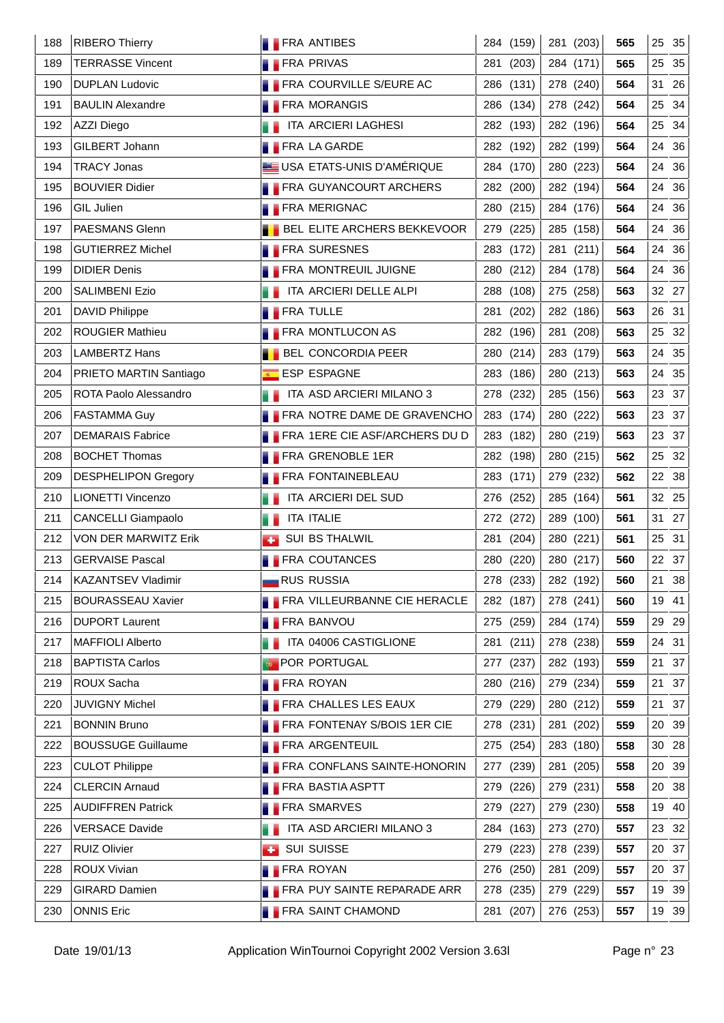| 188 | <b>RIBERO Thierry</b>      |                  | <b>FRA ANTIBES</b>                   |     | 284 (159) | 281 (203) | 565 |    | 25 35         |
|-----|----------------------------|------------------|--------------------------------------|-----|-----------|-----------|-----|----|---------------|
| 189 | <b>TERRASSE Vincent</b>    |                  | <b>FRA PRIVAS</b>                    | 281 | (203)     | 284 (171) | 565 | 25 | 35            |
| 190 | <b>DUPLAN Ludovic</b>      |                  | FRA COURVILLE S/EURE AC              |     | 286 (131) | 278 (240) | 564 | 31 | 26            |
| 191 | <b>BAULIN Alexandre</b>    |                  | <b>FRA MORANGIS</b>                  |     | 286 (134) | 278 (242) | 564 |    | 25 34         |
| 192 | AZZI Diego                 |                  | ITA ARCIERI LAGHESI                  |     | 282 (193) | 282 (196) | 564 |    | 25 34         |
| 193 | GILBERT Johann             |                  | <b>FRA LA GARDE</b>                  |     | 282 (192) | 282 (199) | 564 |    | 24 36         |
| 194 | <b>TRACY Jonas</b>         |                  | USA ETATS-UNIS D'AMÉRIQUE            |     | 284 (170) | 280 (223) | 564 |    | 24 36         |
| 195 | <b>BOUVIER Didier</b>      |                  | <b>FRA GUYANCOURT ARCHERS</b>        |     | 282 (200) | 282 (194) | 564 |    | 24 36         |
| 196 | GIL Julien                 |                  | <b>FRA MERIGNAC</b>                  |     | 280 (215) | 284 (176) | 564 |    | 24 36         |
| 197 | PAESMANS Glenn             |                  | <b>BEL ELITE ARCHERS BEKKEVOOR</b>   | 279 | (225)     | 285 (158) | 564 |    | 24 36         |
| 198 | <b>GUTIERREZ Michel</b>    |                  | <b>FRA SURESNES</b>                  |     | 283 (172) | 281 (211) | 564 |    | 24 36         |
| 199 | <b>DIDIER Denis</b>        |                  | <b>FRA MONTREUIL JUIGNE</b>          |     | 280 (212) | 284 (178) | 564 |    | 24 36         |
| 200 | <b>SALIMBENI Ezio</b>      |                  | ITA ARCIERI DELLE ALPI               |     | 288 (108) | 275 (258) | 563 |    | 32 27         |
| 201 | <b>DAVID Philippe</b>      | <b>FRA TULLE</b> |                                      | 281 | (202)     | 282 (186) | 563 |    | 26 31         |
| 202 | <b>ROUGIER Mathieu</b>     |                  | <b>FRA MONTLUCON AS</b>              |     | 282 (196) | 281 (208) | 563 |    | 25 32         |
| 203 | <b>LAMBERTZ Hans</b>       |                  | <b>BEL CONCORDIA PEER</b>            |     | 280 (214) | 283 (179) | 563 |    | 24 35         |
| 204 | PRIETO MARTIN Santiago     |                  | ESP ESPAGNE                          |     | 283 (186) | 280 (213) | 563 |    | 24 35         |
| 205 | ROTA Paolo Alessandro      |                  | ITA ASD ARCIERI MILANO 3             |     | 278 (232) | 285 (156) | 563 |    | 23 37         |
| 206 | <b>FASTAMMA Guy</b>        |                  | <b>FRA NOTRE DAME DE GRAVENCHO</b>   |     | 283 (174) | 280 (222) | 563 |    | 23 37         |
| 207 | <b>DEMARAIS Fabrice</b>    |                  | <b>FRA 1ERE CIE ASF/ARCHERS DU D</b> |     | 283 (182) | 280 (219) | 563 |    | 23 37         |
| 208 | <b>BOCHET Thomas</b>       |                  | <b>FRA GRENOBLE 1ER</b>              |     | 282 (198) | 280 (215) | 562 |    | 25 32         |
| 209 | <b>DESPHELIPON Gregory</b> |                  | <b>FRA FONTAINEBLEAU</b>             |     | 283 (171) | 279 (232) | 562 |    | 22 38         |
| 210 | LIONETTI Vincenzo          |                  | ITA ARCIERI DEL SUD                  |     | 276 (252) | 285 (164) | 561 |    | 32 25         |
| 211 | <b>CANCELLI Giampaolo</b>  |                  | <b>ITA ITALIE</b>                    |     | 272 (272) | 289 (100) | 561 |    | 31 27         |
| 212 | VON DER MARWITZ Erik       | a s              | SUI BS THALWIL                       |     | 281 (204) | 280 (221) | 561 |    | 25 31         |
| 213 | <b>GERVAISE Pascal</b>     |                  | <b>FRA COUTANCES</b>                 |     | 280 (220) | 280 (217) | 560 |    | 22 37         |
| 214 | <b>KAZANTSEV Vladimir</b>  |                  | <b>RUS RUSSIA</b>                    |     | 278 (233) | 282 (192) | 560 |    | $21 \quad 38$ |
| 215 | <b>BOURASSEAU Xavier</b>   |                  | FRA VILLEURBANNE CIE HERACLE         |     | 282 (187) | 278 (241) | 560 |    | 19 41         |
| 216 | <b>DUPORT Laurent</b>      |                  | <b>FRA BANVOU</b>                    |     | 275 (259) | 284 (174) | 559 |    | 29 29         |
| 217 | <b>MAFFIOLI Alberto</b>    |                  | ITA 04006 CASTIGLIONE                | 281 | (211)     | 278 (238) | 559 |    | 24 31         |
| 218 | <b>BAPTISTA Carlos</b>     |                  | <b>POR PORTUGAL</b>                  |     | 277 (237) | 282 (193) | 559 |    | 21 37         |
| 219 | ROUX Sacha                 | <b>FRA ROYAN</b> |                                      | 280 | (216)     | 279 (234) | 559 |    | 21 37         |
| 220 | <b>JUVIGNY Michel</b>      |                  | <b>FRA CHALLES LES EAUX</b>          | 279 | (229)     | 280 (212) | 559 |    | 21 37         |
| 221 | <b>BONNIN Bruno</b>        |                  | <b>FRA FONTENAY S/BOIS 1ER CIE</b>   |     | 278 (231) | 281 (202) | 559 |    | 20 39         |
| 222 | <b>BOUSSUGE Guillaume</b>  |                  | <b>FRA ARGENTEUIL</b>                |     | 275 (254) | 283 (180) | 558 |    | 30 28         |
| 223 | <b>CULOT Philippe</b>      |                  | <b>FRA CONFLANS SAINTE-HONORIN</b>   |     | 277 (239) | 281 (205) | 558 |    | 20 39         |
| 224 | <b>CLERCIN Arnaud</b>      |                  | <b>FRA BASTIA ASPTT</b>              |     | 279 (226) | 279 (231) | 558 |    | 20 38         |
| 225 | <b>AUDIFFREN Patrick</b>   |                  | <b>FRA SMARVES</b>                   |     | 279 (227) | 279 (230) | 558 |    | 19 40         |
| 226 | <b>VERSACE Davide</b>      |                  | ITA ASD ARCIERI MILANO 3             |     | 284 (163) | 273 (270) | 557 |    | 23 32         |
| 227 | RUIZ Olivier               | æ.               | <b>SUI SUISSE</b>                    |     | 279 (223) | 278 (239) | 557 |    | 20 37         |
| 228 | ROUX Vivian                | <b>FRA ROYAN</b> |                                      |     | 276 (250) | 281 (209) | 557 |    | 20 37         |
| 229 | <b>GIRARD Damien</b>       |                  | <b>FRA PUY SAINTE REPARADE ARR</b>   |     | 278 (235) | 279 (229) | 557 |    | 19 39         |
| 230 | <b>ONNIS Eric</b>          |                  | <b>FRA SAINT CHAMOND</b>             |     | 281 (207) | 276 (253) | 557 |    | 19 39         |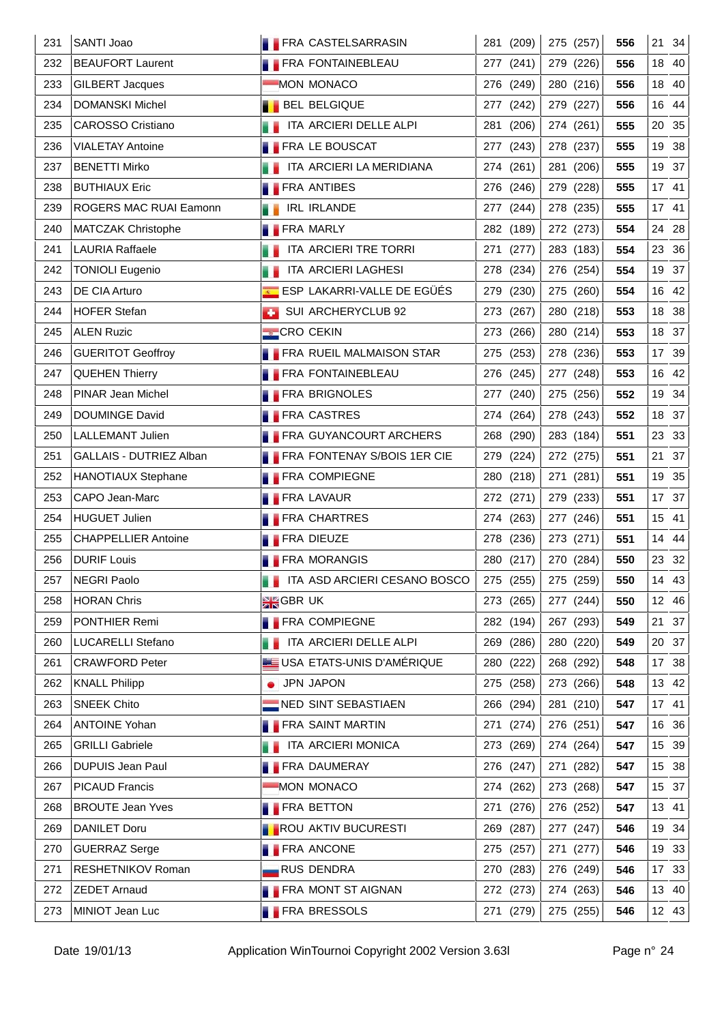| 231 | SANTI Joao                    | <b>FRA CASTELSARRASIN</b>          | 281 (209)     | 275 (257) | 556 | 21 34    |
|-----|-------------------------------|------------------------------------|---------------|-----------|-----|----------|
| 232 | <b>BEAUFORT Laurent</b>       | <b>FRA FONTAINEBLEAU</b>           | 277 (241)     | 279 (226) | 556 | 18 40    |
| 233 | <b>GILBERT Jacques</b>        | MON MONACO                         | 276 (249)     | 280 (216) | 556 | 40<br>18 |
| 234 | <b>DOMANSKI Michel</b>        | <b>BEL BELGIQUE</b>                | 277 (242)     | 279 (227) | 556 | 16 44    |
| 235 | <b>CAROSSO Cristiano</b>      | ITA ARCIERI DELLE ALPI             | 281<br>(206)  | 274 (261) | 555 | 20 35    |
| 236 | <b>VIALETAY Antoine</b>       | <b>FRA LE BOUSCAT</b>              | 277 (243)     | 278 (237) | 555 | 19 38    |
| 237 | <b>BENETTI Mirko</b>          | ITA ARCIERI LA MERIDIANA           | 274 (261)     | 281 (206) | 555 | 19 37    |
| 238 | <b>BUTHIAUX Eric</b>          | <b>FRA ANTIBES</b>                 | 276 (246)     | 279 (228) | 555 | 17 41    |
| 239 | <b>ROGERS MAC RUAI Eamonn</b> | IRL IRLANDE                        | 277 (244)     | 278 (235) | 555 | 17 41    |
| 240 | MATCZAK Christophe            | <b>FRA MARLY</b>                   | 282 (189)     | 272 (273) | 554 | 24<br>28 |
| 241 | <b>LAURIA Raffaele</b>        | ITA ARCIERI TRE TORRI              | 271 (277)     | 283 (183) | 554 | 23 36    |
| 242 | <b>TONIOLI Eugenio</b>        | ITA ARCIERI LAGHESI                | 278 (234)     | 276 (254) | 554 | 19 37    |
| 243 | DE CIA Arturo                 | ESP LAKARRI-VALLE DE EGÜÉS         | 279 (230)     | 275 (260) | 554 | 16 42    |
| 244 | <b>HOFER Stefan</b>           | SUI ARCHERYCLUB 92                 | 273 (267)     | 280 (218) | 553 | 18 38    |
| 245 | <b>ALEN Ruzic</b>             | <b>CRO CEKIN</b>                   | 273 (266)     | 280 (214) | 553 | 18 37    |
| 246 | <b>GUERITOT Geoffroy</b>      | <b>FRA RUEIL MALMAISON STAR</b>    | 275 (253)     | 278 (236) | 553 | 17 39    |
| 247 | <b>QUEHEN Thierry</b>         | <b>FRA FONTAINEBLEAU</b>           | 276 (245)     | 277 (248) | 553 | 16 42    |
| 248 | PINAR Jean Michel             | <b>FRA BRIGNOLES</b>               | 277 (240)     | 275 (256) | 552 | 19 34    |
| 249 | <b>DOUMINGE David</b>         | <b>FRA CASTRES</b>                 | 274 (264)     | 278 (243) | 552 | 18 37    |
| 250 | LALLEMANT Julien              | <b>FRA GUYANCOURT ARCHERS</b>      | 268 (290)     | 283 (184) | 551 | 23 33    |
| 251 | GALLAIS - DUTRIEZ Alban       | <b>FRA FONTENAY S/BOIS 1ER CIE</b> | 279 (224)     | 272 (275) | 551 | 21 37    |
| 252 | <b>HANOTIAUX Stephane</b>     | <b>FRA COMPIEGNE</b>               | 280 (218)     | 271 (281) | 551 | 19 35    |
| 253 | CAPO Jean-Marc                | <b>FRA LAVAUR</b>                  | 272 (271)     | 279 (233) | 551 | 17 37    |
| 254 | <b>HUGUET Julien</b>          | <b>FRA CHARTRES</b>                | 274 (263)     | 277 (246) | 551 | 15 41    |
| 255 | <b>CHAPPELLIER Antoine</b>    | <b>FRA DIEUZE</b>                  | 278 (236)     | 273 (271) | 551 | 14 44    |
| 256 | <b>DURIF Louis</b>            | <b>FRA MORANGIS</b>                | 280 (217)     | 270 (284) | 550 | 23 32    |
| 257 | NEGRI Paolo                   | ITA ASD ARCIERI CESANO BOSCO       | 275 (255) $ $ | 275 (259) | 550 | 14 43    |
| 258 | <b>HORAN Chris</b>            | <b>AK</b> GBRUK                    | 273 (265)     | 277 (244) | 550 | 12 46    |
| 259 | PONTHIER Remi                 | <b>FRA COMPIEGNE</b>               | 282 (194)     | 267 (293) | 549 | 21 37    |
| 260 | <b>LUCARELLI Stefano</b>      | ITA ARCIERI DELLE ALPI             | 269 (286)     | 280 (220) | 549 | 20 37    |
| 261 | <b>CRAWFORD Peter</b>         | USA ETATS-UNIS D'AMÉRIQUE          | 280 (222)     | 268 (292) | 548 | 17 38    |
| 262 | <b>KNALL Philipp</b>          | • JPN JAPON                        | 275 (258)     | 273 (266) | 548 | 13 42    |
| 263 | <b>SNEEK Chito</b>            | NED SINT SEBASTIAEN                | 266 (294)     | 281 (210) | 547 | 17 41    |
| 264 | <b>ANTOINE Yohan</b>          | <b>FRA SAINT MARTIN</b>            | 271 (274)     | 276 (251) | 547 | 16 36    |
| 265 | <b>GRILLI Gabriele</b>        | ITA ARCIERI MONICA                 | 273 (269)     | 274 (264) | 547 | 15 39    |
| 266 | <b>DUPUIS Jean Paul</b>       | <b>FRA DAUMERAY</b>                | 276 (247)     | 271 (282) | 547 | 15 38    |
| 267 | <b>PICAUD Francis</b>         | MON MONACO                         | 274 (262)     | 273 (268) | 547 | 15 37    |
| 268 | <b>BROUTE Jean Yves</b>       | <b>FRA BETTON</b>                  | 271 (276)     | 276 (252) | 547 | 13 41    |
| 269 | <b>DANILET Doru</b>           | <b>ROU AKTIV BUCURESTI</b>         | 269 (287)     | 277 (247) | 546 | 19 34    |
| 270 | <b>GUERRAZ Serge</b>          | <b>FRA ANCONE</b>                  | 275 (257)     | 271 (277) | 546 | 19 33    |
| 271 | <b>RESHETNIKOV Roman</b>      | RUS DENDRA                         | 270 (283)     | 276 (249) | 546 | 17 33    |
| 272 | <b>ZEDET Arnaud</b>           | <b>FRA MONT ST AIGNAN</b>          | 272 (273)     | 274 (263) | 546 | 13 40    |
| 273 | MINIOT Jean Luc               | <b>FRA BRESSOLS</b>                | 271 (279)     | 275 (255) | 546 | 12 43    |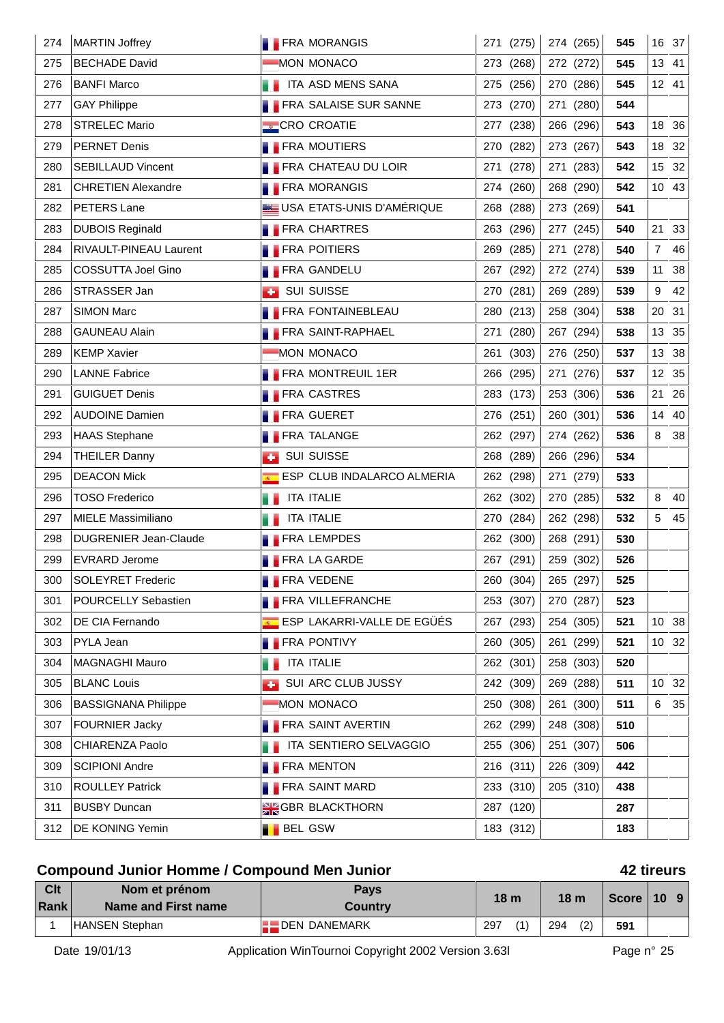| 274 | <b>MARTIN Joffrey</b>        |                | <b>FRA MORANGIS</b>          |     | 271 (275) | 274 (265) | 545 |                | 16 37 |
|-----|------------------------------|----------------|------------------------------|-----|-----------|-----------|-----|----------------|-------|
| 275 | <b>BECHADE David</b>         |                | MON MONACO                   |     | 273 (268) | 272 (272) | 545 |                | 13 41 |
| 276 | <b>BANFI Marco</b>           |                | <b>THE ITA ASD MENS SANA</b> |     | 275 (256) | 270 (286) | 545 |                | 12 41 |
| 277 | <b>GAY Philippe</b>          |                | <b>FRA SALAISE SUR SANNE</b> |     | 273 (270) | 271 (280) | 544 |                |       |
| 278 | <b>STRELEC Mario</b>         |                | <b>CRO CROATIE</b>           |     | 277 (238) | 266 (296) | 543 |                | 18 36 |
| 279 | <b>PERNET Denis</b>          |                | <b>FRA MOUTIERS</b>          |     | 270 (282) | 273 (267) | 543 |                | 18 32 |
| 280 | <b>SEBILLAUD Vincent</b>     |                | <b>FRA CHATEAU DU LOIR</b>   |     | 271 (278) | 271 (283) | 542 |                | 15 32 |
| 281 | <b>CHRETIEN Alexandre</b>    |                | <b>FRA MORANGIS</b>          |     | 274 (260) | 268 (290) | 542 |                | 10 43 |
| 282 | <b>PETERS Lane</b>           |                | USA ETATS-UNIS D'AMÉRIQUE    |     | 268 (288) | 273 (269) | 541 |                |       |
| 283 | <b>DUBOIS Reginald</b>       |                | <b>FRA CHARTRES</b>          |     | 263 (296) | 277 (245) | 540 |                | 21 33 |
| 284 | RIVAULT-PINEAU Laurent       |                | <b>FRA POITIERS</b>          | 269 | (285)     | 271 (278) | 540 | $\overline{7}$ | 46    |
| 285 | COSSUTTA Joel Gino           |                | <b>FRA GANDELU</b>           |     | 267 (292) | 272 (274) | 539 | 11             | 38    |
| 286 | STRASSER Jan                 |                | <b>BET SUI SUISSE</b>        |     | 270 (281) | 269 (289) | 539 | 9              | 42    |
| 287 | <b>SIMON Marc</b>            |                | <b>FRA FONTAINEBLEAU</b>     |     | 280 (213) | 258 (304) | 538 | 20             | 31    |
| 288 | <b>GAUNEAU Alain</b>         |                | <b>FRA SAINT-RAPHAEL</b>     |     | 271 (280) | 267 (294) | 538 | 13             | 35    |
| 289 | <b>KEMP Xavier</b>           |                | MON MONACO                   |     | 261 (303) | 276 (250) | 537 | 13             | 38    |
| 290 | <b>LANNE Fabrice</b>         |                | <b>FRA MONTREUIL 1ER</b>     |     | 266 (295) | 271 (276) | 537 |                | 12 35 |
| 291 | <b>GUIGUET Denis</b>         |                | <b>FRA CASTRES</b>           |     | 283 (173) | 253 (306) | 536 | 21             | 26    |
| 292 | <b>AUDOINE Damien</b>        |                | <b>FRA GUERET</b>            |     | 276 (251) | 260 (301) | 536 |                | 14 40 |
| 293 | <b>HAAS Stephane</b>         |                | <b>FRA TALANGE</b>           |     | 262 (297) | 274 (262) | 536 | 8              | 38    |
| 294 | <b>THEILER Danny</b>         | <b>A</b>       | <b>SUI SUISSE</b>            |     | 268 (289) | 266 (296) | 534 |                |       |
| 295 | <b>DEACON Mick</b>           |                | ESP CLUB INDALARCO ALMERIA   |     | 262 (298) | 271 (279) | 533 |                |       |
| 296 | <b>TOSO Frederico</b>        |                | <b>ITA ITALIE</b>            |     | 262 (302) | 270 (285) | 532 | 8              | 40    |
| 297 | <b>MIELE Massimiliano</b>    |                | ITA ITALIE                   |     | 270 (284) | 262 (298) | 532 | 5              | 45    |
| 298 | <b>DUGRENIER Jean-Claude</b> |                | <b>FRA LEMPDES</b>           |     | 262 (300) | 268 (291) | 530 |                |       |
| 299 | <b>EVRARD Jerome</b>         |                | <b>FRA LA GARDE</b>          |     | 267 (291) | 259 (302) | 526 |                |       |
| 300 | <b>SOLEYRET Frederic</b>     |                | <b>FRA VEDENE</b>            |     | 260 (304) | 265 (297) | 525 |                |       |
| 301 | POURCELLY Sebastien          |                | <b>FRA VILLEFRANCHE</b>      |     | 253 (307) | 270 (287) | 523 |                |       |
| 302 | DE CIA Fernando              |                | ESP LAKARRI-VALLE DE EGÜÉS   |     | 267 (293) | 254 (305) | 521 |                | 10 38 |
| 303 | <b>PYLA Jean</b>             |                | <b>FRA PONTIVY</b>           |     | 260 (305) | 261 (299) | 521 |                | 10 32 |
| 304 | <b>MAGNAGHI Mauro</b>        |                | <b>ITA ITALIE</b>            |     | 262 (301) | 258 (303) | 520 |                |       |
| 305 | <b>BLANC Louis</b>           |                | SUI ARC CLUB JUSSY           |     | 242 (309) | 269 (288) | 511 |                | 10 32 |
| 306 | <b>BASSIGNANA Philippe</b>   |                | MON MONACO                   |     | 250 (308) | 261 (300) | 511 | 6              | 35    |
| 307 | <b>FOURNIER Jacky</b>        |                | <b>FRA SAINT AVERTIN</b>     |     | 262 (299) | 248 (308) | 510 |                |       |
| 308 | CHIARENZA Paolo              |                | ITA SENTIERO SELVAGGIO       |     | 255 (306) | 251 (307) | 506 |                |       |
| 309 | <b>SCIPIONI Andre</b>        |                | <b>FRA MENTON</b>            |     | 216 (311) | 226 (309) | 442 |                |       |
| 310 | <b>ROULLEY Patrick</b>       |                | <b>FRA SAINT MARD</b>        |     | 233 (310) | 205 (310) | 438 |                |       |
| 311 | <b>BUSBY Duncan</b>          |                | <b>SIG GBR BLACKTHORN</b>    |     | 287 (120) |           | 287 |                |       |
| 312 | DE KONING Yemin              | <b>BEL GSW</b> |                              |     | 183 (312) |           | 183 |                |       |

## **Compound Junior Homme / Compound Men Junior 42 tireurs**

|  | 42 tireurs |
|--|------------|
|--|------------|

| Clt<br>Rank | Nom et prénom<br>Name and First name | <b>Pays</b><br><b>Country</b> | 18 <sub>m</sub> |     | 18 <sub>m</sub> |     | Score $\vert$ 10 9 |  |
|-------------|--------------------------------------|-------------------------------|-----------------|-----|-----------------|-----|--------------------|--|
|             | HANSEN Stephan                       | <b>LEDEN DANEMARK</b>         | 297             | (1) | 294             | (2) | 591                |  |